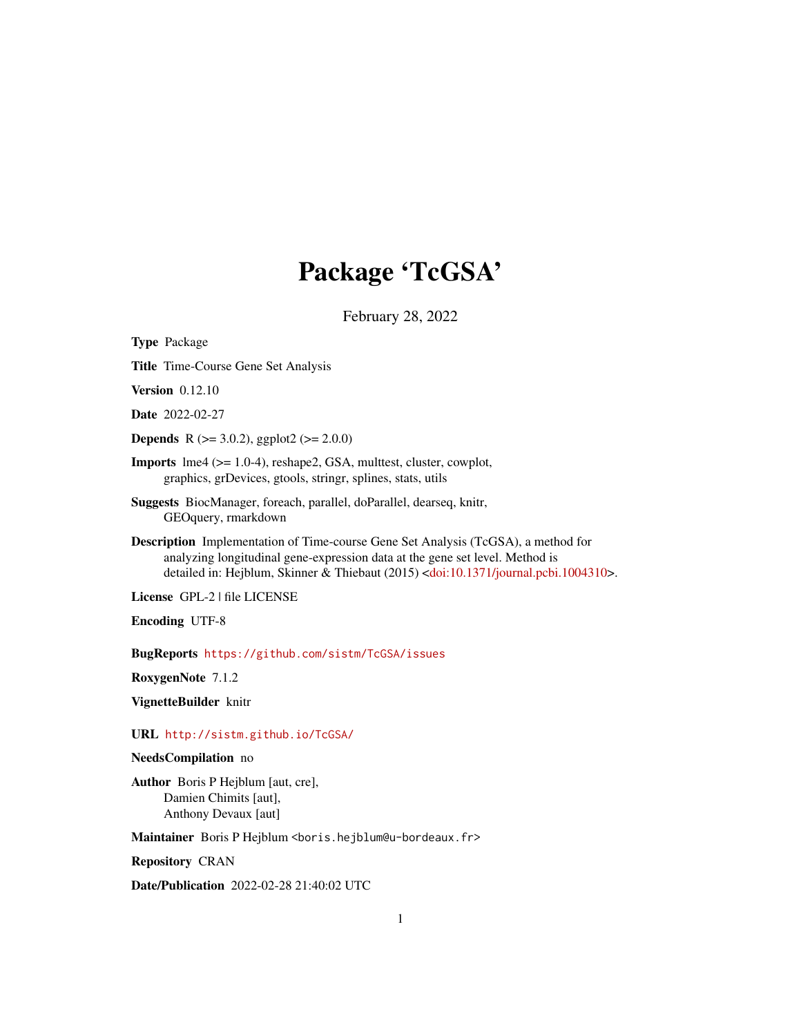# Package 'TcGSA'

February 28, 2022

<span id="page-0-0"></span>

| <b>Type Package</b>                                                                                                                                                                                                                                                              |
|----------------------------------------------------------------------------------------------------------------------------------------------------------------------------------------------------------------------------------------------------------------------------------|
| Title Time-Course Gene Set Analysis                                                                                                                                                                                                                                              |
| <b>Version</b> 0.12.10                                                                                                                                                                                                                                                           |
| <b>Date</b> 2022-02-27                                                                                                                                                                                                                                                           |
| <b>Depends</b> R ( $>= 3.0.2$ ), ggplot2 ( $>= 2.0.0$ )                                                                                                                                                                                                                          |
| <b>Imports</b> $\text{Im}4$ ( $\geq$ = 1.0-4), reshape2, GSA, multtest, cluster, cowplot,<br>graphics, grDevices, gtools, stringr, splines, stats, utils                                                                                                                         |
| Suggests BiocManager, foreach, parallel, doParallel, dearseq, knitr,<br>GEOquery, rmarkdown                                                                                                                                                                                      |
| <b>Description</b> Implementation of Time-course Gene Set Analysis (TcGSA), a method for<br>analyzing longitudinal gene-expression data at the gene set level. Method is<br>detailed in: Hejblum, Skinner & Thiebaut (2015) <doi:10.1371 journal.pcbi.1004310="">.</doi:10.1371> |
| License GPL-2   file LICENSE                                                                                                                                                                                                                                                     |
| <b>Encoding UTF-8</b>                                                                                                                                                                                                                                                            |
| BugReports https://github.com/sistm/TcGSA/issues                                                                                                                                                                                                                                 |
| RoxygenNote 7.1.2                                                                                                                                                                                                                                                                |
| VignetteBuilder knitr                                                                                                                                                                                                                                                            |
| URL http://sistm.github.io/TcGSA/                                                                                                                                                                                                                                                |
| NeedsCompilation no                                                                                                                                                                                                                                                              |
| Author Boris P Hejblum [aut, cre],<br>Damien Chimits [aut],<br>Anthony Devaux [aut]                                                                                                                                                                                              |
| Maintainer Boris P Hejblum <boris.hejblum@u-bordeaux.fr></boris.hejblum@u-bordeaux.fr>                                                                                                                                                                                           |
| <b>Repository CRAN</b>                                                                                                                                                                                                                                                           |

Date/Publication 2022-02-28 21:40:02 UTC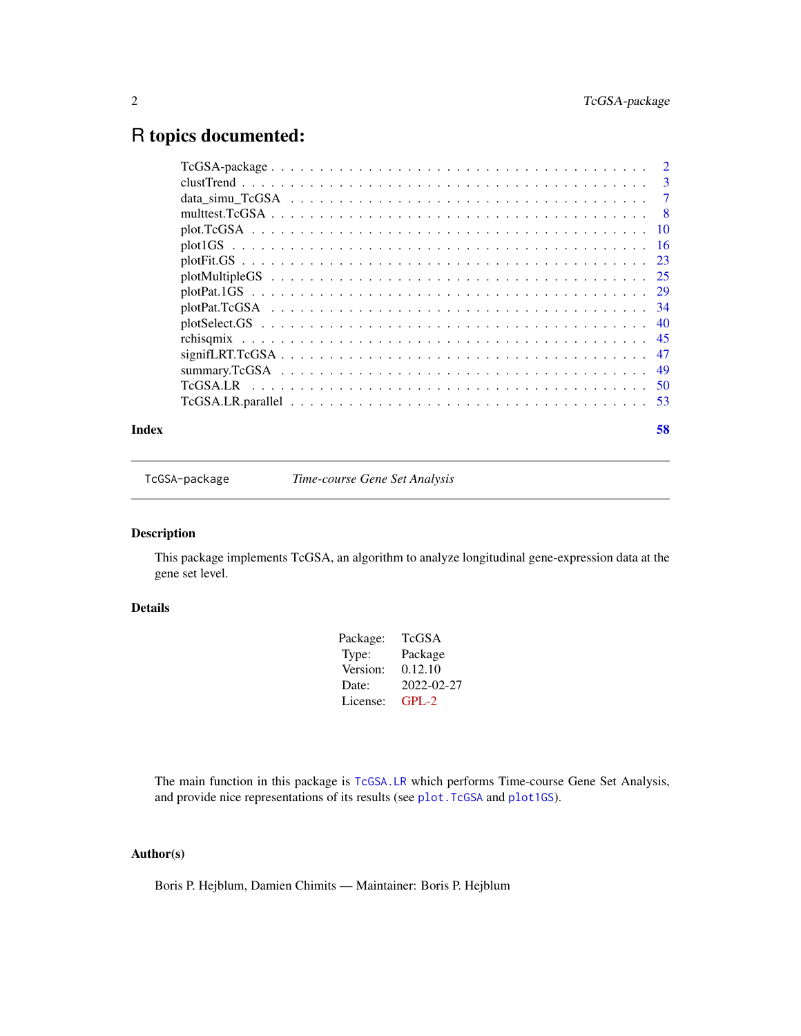## <span id="page-1-0"></span>R topics documented:

|       | data simu TcGSA $\ldots \ldots \ldots \ldots \ldots \ldots \ldots \ldots \ldots \ldots \ldots \ldots \ldots$ | $\overline{7}$ |
|-------|--------------------------------------------------------------------------------------------------------------|----------------|
|       |                                                                                                              |                |
|       |                                                                                                              |                |
|       |                                                                                                              |                |
|       |                                                                                                              |                |
|       |                                                                                                              |                |
|       |                                                                                                              |                |
|       |                                                                                                              |                |
|       |                                                                                                              |                |
|       |                                                                                                              |                |
|       |                                                                                                              |                |
|       |                                                                                                              |                |
|       |                                                                                                              |                |
|       |                                                                                                              |                |
| Index | 58                                                                                                           |                |

TcGSA-package *Time-course Gene Set Analysis*

### Description

This package implements TcGSA, an algorithm to analyze longitudinal gene-expression data at the gene set level.

#### Details

| Package: | TcGSA      |
|----------|------------|
| Type:    | Package    |
| Version: | 0.12.10    |
| Date:    | 2022-02-27 |
| License: | $GPI - 2$  |
|          |            |

The main function in this package is [TcGSA.LR](#page-49-1) which performs Time-course Gene Set Analysis, and provide nice representations of its results (see [plot.TcGSA](#page-9-1) and [plot1GS](#page-15-1)).

#### Author(s)

Boris P. Hejblum, Damien Chimits — Maintainer: Boris P. Hejblum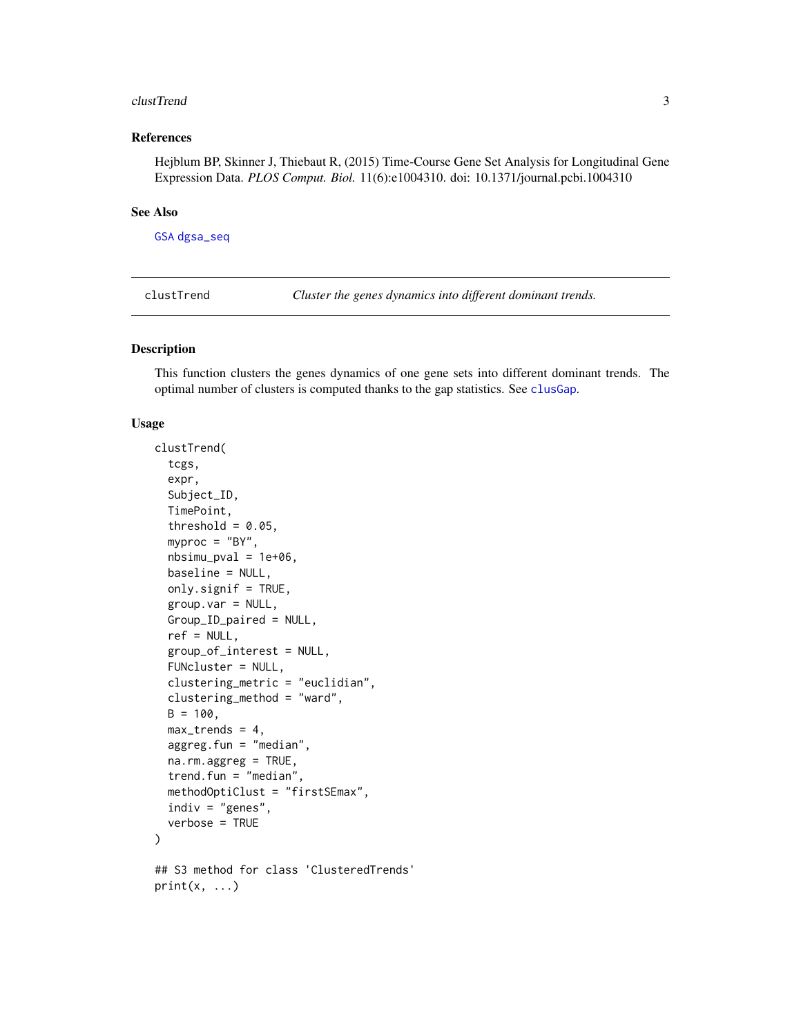#### <span id="page-2-0"></span>clustTrend 3

#### References

Hejblum BP, Skinner J, Thiebaut R, (2015) Time-Course Gene Set Analysis for Longitudinal Gene Expression Data. *PLOS Comput. Biol.* 11(6):e1004310. doi: 10.1371/journal.pcbi.1004310

#### See Also

[GSA](#page-0-0) [dgsa\\_seq](#page-0-0)

<span id="page-2-2"></span>clustTrend *Cluster the genes dynamics into different dominant trends.*

#### <span id="page-2-1"></span>Description

This function clusters the genes dynamics of one gene sets into different dominant trends. The optimal number of clusters is computed thanks to the gap statistics. See [clusGap](#page-0-0).

#### Usage

```
clustTrend(
  tcgs,
  expr,
  Subject_ID,
  TimePoint,
  threshold = 0.05,
  myproc = "BY".nbsimu_pval = 1e+06,
  baseline = NULL,
  only.signif = TRUE,
  group.var = NULL,Group_ID_paired = NULL,
  ref = NULL,group_of_interest = NULL,
  FUNcluster = NULL,
  clustering_metric = "euclidian",
  clustering_method = "ward",
  B = 100,
  max_trends = 4,
  aggreg.fun = "median",
  na.rm.aggreg = TRUE,
  trend.fun = "median",
  methodOptiClust = "firstSEmax",
  indiv = "genes",
  verbose = TRUE
)
## S3 method for class 'ClusteredTrends'
print(x, \ldots)
```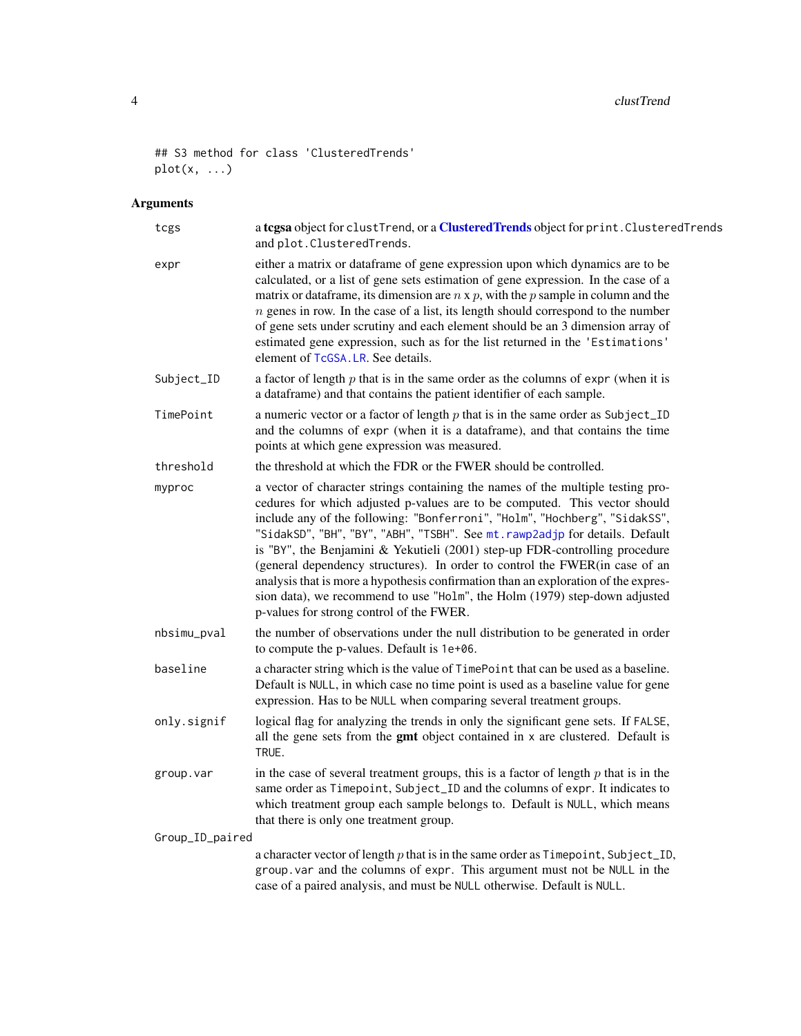#### <span id="page-3-0"></span>4 clustTrend and the clustTrend clustTrend and the clustTrend clustTrend clustTrend

```
## S3 method for class 'ClusteredTrends'
plot(x, \ldots)
```

| tcgs            | a tcgsa object for clustTrend, or a ClusteredTrends object for print. ClusteredTrends<br>and plot. ClusteredTrends.                                                                                                                                                                                                                                                                                                                                                                                                                                                                                                                                                                                      |  |
|-----------------|----------------------------------------------------------------------------------------------------------------------------------------------------------------------------------------------------------------------------------------------------------------------------------------------------------------------------------------------------------------------------------------------------------------------------------------------------------------------------------------------------------------------------------------------------------------------------------------------------------------------------------------------------------------------------------------------------------|--|
| expr            | either a matrix or dataframe of gene expression upon which dynamics are to be<br>calculated, or a list of gene sets estimation of gene expression. In the case of a<br>matrix or data frame, its dimension are $n \times p$ , with the p sample in column and the<br>$n$ genes in row. In the case of a list, its length should correspond to the number<br>of gene sets under scrutiny and each element should be an 3 dimension array of<br>estimated gene expression, such as for the list returned in the 'Estimations'<br>element of TcGSA. LR. See details.                                                                                                                                        |  |
| Subject_ID      | a factor of length $p$ that is in the same order as the columns of expr (when it is<br>a dataframe) and that contains the patient identifier of each sample.                                                                                                                                                                                                                                                                                                                                                                                                                                                                                                                                             |  |
| TimePoint       | a numeric vector or a factor of length $p$ that is in the same order as Subject_ID<br>and the columns of expr (when it is a dataframe), and that contains the time<br>points at which gene expression was measured.                                                                                                                                                                                                                                                                                                                                                                                                                                                                                      |  |
| threshold       | the threshold at which the FDR or the FWER should be controlled.                                                                                                                                                                                                                                                                                                                                                                                                                                                                                                                                                                                                                                         |  |
| myproc          | a vector of character strings containing the names of the multiple testing pro-<br>cedures for which adjusted p-values are to be computed. This vector should<br>include any of the following: "Bonferroni", "Holm", "Hochberg", "SidakSS",<br>"SidakSD", "BH", "BY", "ABH", "TSBH". See mt.rawp2adjp for details. Default<br>is "BY", the Benjamini & Yekutieli (2001) step-up FDR-controlling procedure<br>(general dependency structures). In order to control the FWER(in case of an<br>analysis that is more a hypothesis confirmation than an exploration of the expres-<br>sion data), we recommend to use "Holm", the Holm (1979) step-down adjusted<br>p-values for strong control of the FWER. |  |
| nbsimu_pval     | the number of observations under the null distribution to be generated in order<br>to compute the p-values. Default is 1e+06.                                                                                                                                                                                                                                                                                                                                                                                                                                                                                                                                                                            |  |
| baseline        | a character string which is the value of TimePoint that can be used as a baseline.<br>Default is NULL, in which case no time point is used as a baseline value for gene<br>expression. Has to be NULL when comparing several treatment groups.                                                                                                                                                                                                                                                                                                                                                                                                                                                           |  |
| only.signif     | logical flag for analyzing the trends in only the significant gene sets. If FALSE,<br>all the gene sets from the gmt object contained in x are clustered. Default is<br>TRUE.                                                                                                                                                                                                                                                                                                                                                                                                                                                                                                                            |  |
| group.var       | in the case of several treatment groups, this is a factor of length $p$ that is in the<br>same order as Timepoint, Subject_ID and the columns of expr. It indicates to<br>which treatment group each sample belongs to. Default is NULL, which means<br>that there is only one treatment group.                                                                                                                                                                                                                                                                                                                                                                                                          |  |
| Group_ID_paired |                                                                                                                                                                                                                                                                                                                                                                                                                                                                                                                                                                                                                                                                                                          |  |
|                 | a character vector of length $p$ that is in the same order as $T$ imepoint, Subject_ID,<br>group. var and the columns of expr. This argument must not be NULL in the<br>case of a paired analysis, and must be NULL otherwise. Default is NULL.                                                                                                                                                                                                                                                                                                                                                                                                                                                          |  |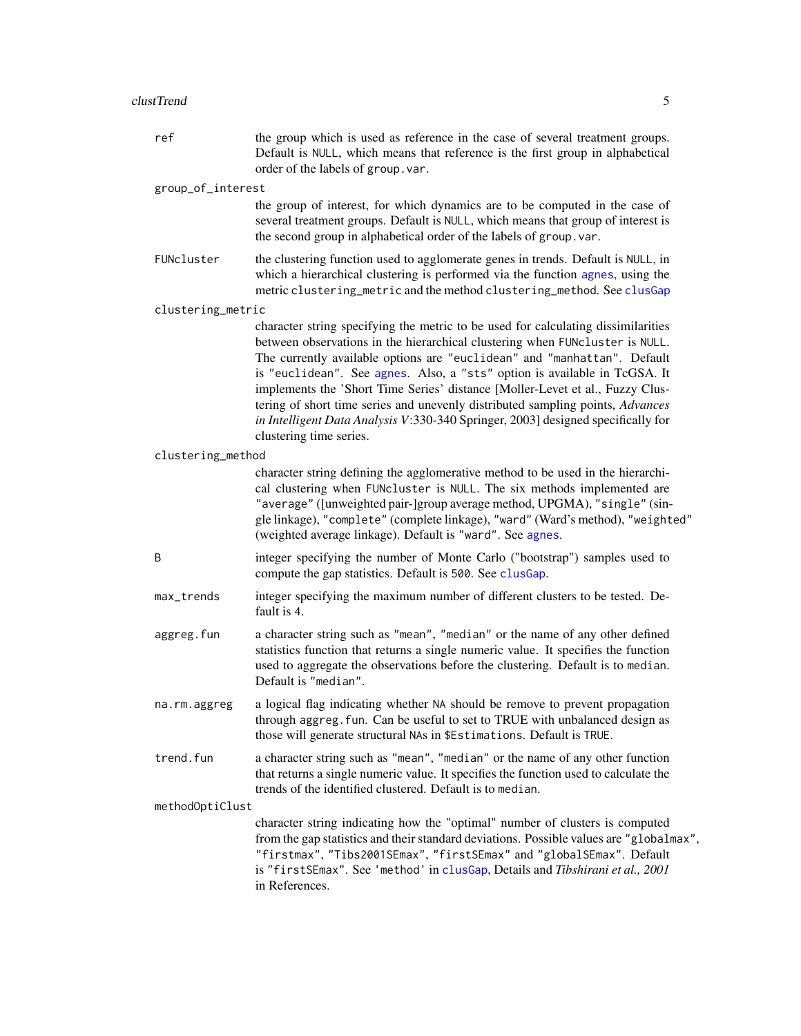<span id="page-4-0"></span>ref the group which is used as reference in the case of several treatment groups. Default is NULL, which means that reference is the first group in alphabetical order of the labels of group.var.

group\_of\_interest

the group of interest, for which dynamics are to be computed in the case of several treatment groups. Default is NULL, which means that group of interest is the second group in alphabetical order of the labels of group.var.

FUNcluster the clustering function used to agglomerate genes in trends. Default is NULL, in which a hierarchical clustering is performed via the function [agnes](#page-0-0), using the metric clustering\_metric and the method clustering\_method. See [clusGap](#page-0-0)

clustering\_metric

character string specifying the metric to be used for calculating dissimilarities between observations in the hierarchical clustering when FUNcluster is NULL. The currently available options are "euclidean" and "manhattan". Default is "euclidean". See [agnes](#page-0-0). Also, a "sts" option is available in TcGSA. It implements the 'Short Time Series' distance [Moller-Levet et al., Fuzzy Clustering of short time series and unevenly distributed sampling points, *Advances in Intelligent Data Analysis V*:330-340 Springer, 2003] designed specifically for clustering time series.

clustering\_method

|                 | character string defining the agglomerative method to be used in the hierarchi-<br>cal clustering when FUNcluster is NULL. The six methods implemented are<br>"average" ([unweighted pair-]group average method, UPGMA), "single" (sin-<br>gle linkage), "complete" (complete linkage), "ward" (Ward's method), "weighted"<br>(weighted average linkage). Default is "ward". See agnes. |
|-----------------|-----------------------------------------------------------------------------------------------------------------------------------------------------------------------------------------------------------------------------------------------------------------------------------------------------------------------------------------------------------------------------------------|
| B               | integer specifying the number of Monte Carlo ("bootstrap") samples used to<br>compute the gap statistics. Default is 500. See clusGap.                                                                                                                                                                                                                                                  |
| max_trends      | integer specifying the maximum number of different clusters to be tested. De-<br>fault is 4.                                                                                                                                                                                                                                                                                            |
| aggreg.fun      | a character string such as "mean", "median" or the name of any other defined<br>statistics function that returns a single numeric value. It specifies the function<br>used to aggregate the observations before the clustering. Default is to median.<br>Default is "median".                                                                                                           |
| na.rm.aggreg    | a logical flag indicating whether NA should be remove to prevent propagation<br>through aggreg. fun. Can be useful to set to TRUE with unbalanced design as<br>those will generate structural NAs in \$Estimations. Default is TRUE.                                                                                                                                                    |
| trend.fun       | a character string such as "mean", "median" or the name of any other function<br>that returns a single numeric value. It specifies the function used to calculate the<br>trends of the identified clustered. Default is to median.                                                                                                                                                      |
| methodOptiClust |                                                                                                                                                                                                                                                                                                                                                                                         |
|                 | character string indicating how the "optimal" number of clusters is computed<br>from the gap statistics and their standard deviations. Possible values are "globalmax",                                                                                                                                                                                                                 |

"firstmax", "Tibs2001SEmax", "firstSEmax" and "globalSEmax". Default is "firstSEmax". See 'method' in [clusGap](#page-0-0), Details and *Tibshirani et al., 2001* in References.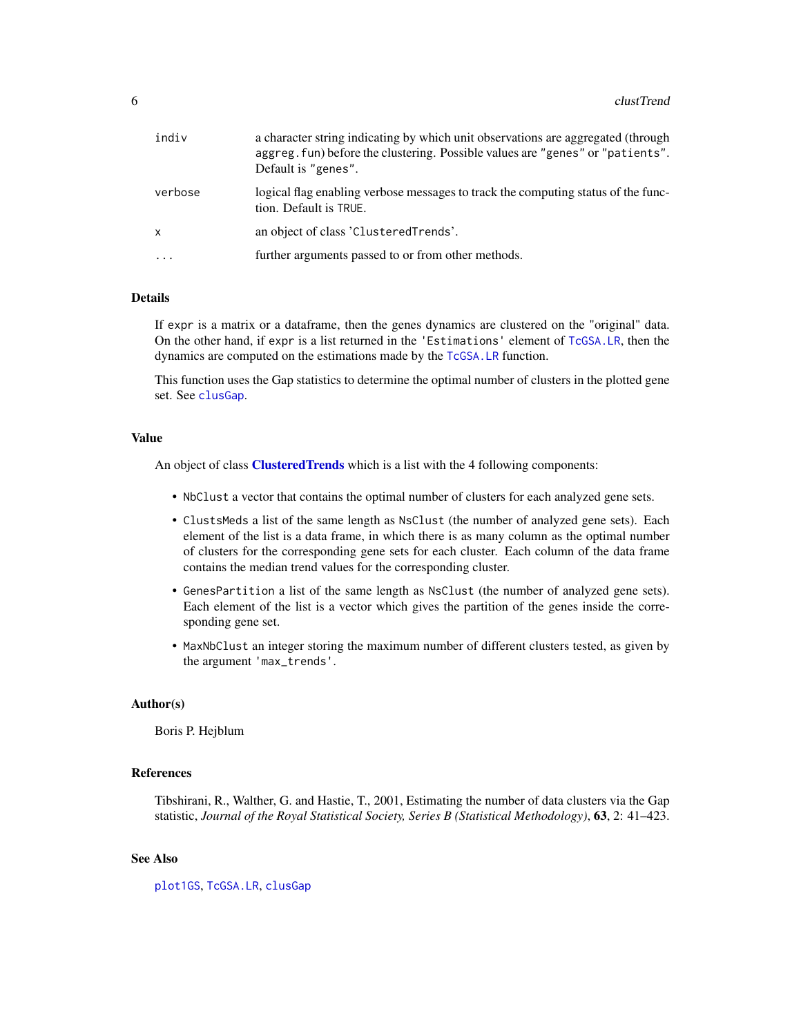<span id="page-5-0"></span>

| indiv        | a character string indicating by which unit observations are aggregated (through<br>aggreg. fun) before the clustering. Possible values are "genes" or "patients".<br>Default is "genes". |
|--------------|-------------------------------------------------------------------------------------------------------------------------------------------------------------------------------------------|
| verbose      | logical flag enabling verbose messages to track the computing status of the func-<br>tion. Default is TRUE.                                                                               |
| $\mathsf{x}$ | an object of class 'ClusteredTrends'.                                                                                                                                                     |
| $\ddotsc$    | further arguments passed to or from other methods.                                                                                                                                        |
|              |                                                                                                                                                                                           |

#### Details

If expr is a matrix or a dataframe, then the genes dynamics are clustered on the "original" data. On the other hand, if expr is a list returned in the 'Estimations' element of [TcGSA.LR](#page-49-1), then the dynamics are computed on the estimations made by the [TcGSA.LR](#page-49-1) function.

This function uses the Gap statistics to determine the optimal number of clusters in the plotted gene set. See [clusGap](#page-0-0).

#### Value

An object of class **[ClusteredTrends](#page-2-1)** which is a list with the 4 following components:

- NbClust a vector that contains the optimal number of clusters for each analyzed gene sets.
- ClustsMeds a list of the same length as NsClust (the number of analyzed gene sets). Each element of the list is a data frame, in which there is as many column as the optimal number of clusters for the corresponding gene sets for each cluster. Each column of the data frame contains the median trend values for the corresponding cluster.
- GenesPartition a list of the same length as NsClust (the number of analyzed gene sets). Each element of the list is a vector which gives the partition of the genes inside the corresponding gene set.
- MaxNbClust an integer storing the maximum number of different clusters tested, as given by the argument 'max\_trends'.

#### Author(s)

Boris P. Hejblum

#### References

Tibshirani, R., Walther, G. and Hastie, T., 2001, Estimating the number of data clusters via the Gap statistic, *Journal of the Royal Statistical Society, Series B (Statistical Methodology)*, 63, 2: 41–423.

#### See Also

[plot1GS](#page-15-1), [TcGSA.LR](#page-49-1), [clusGap](#page-0-0)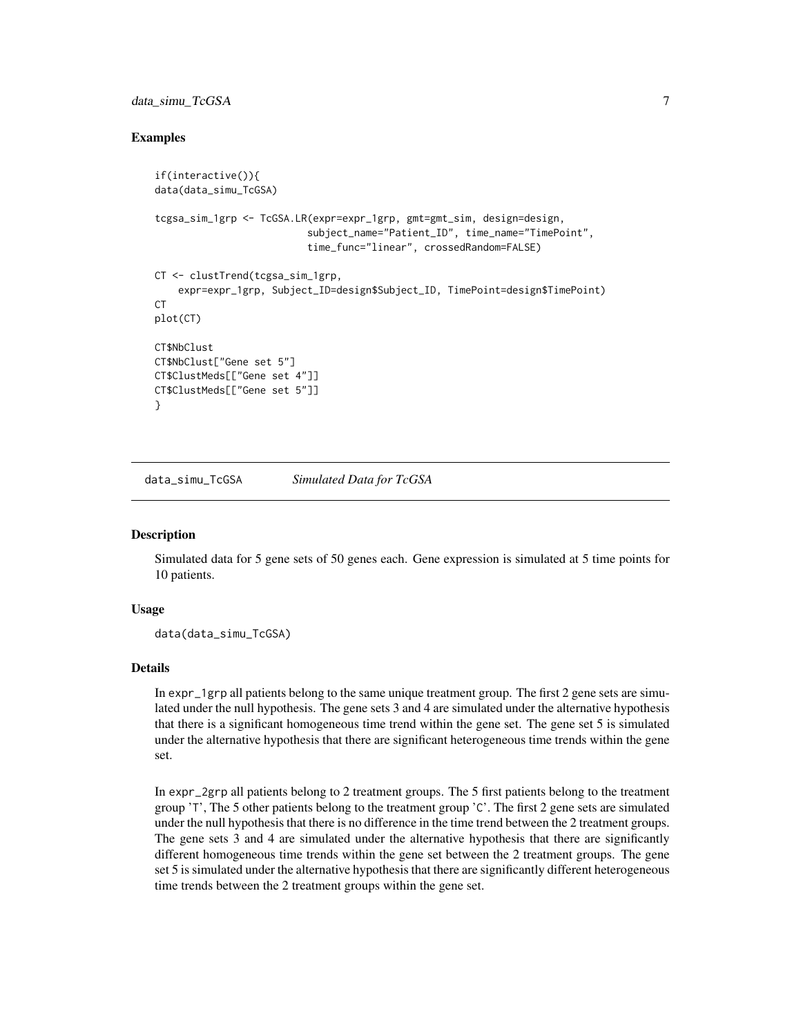#### <span id="page-6-0"></span>data\_simu\_TcGSA 7

#### Examples

```
if(interactive()){
data(data_simu_TcGSA)
tcgsa_sim_1grp <- TcGSA.LR(expr=expr_1grp, gmt=gmt_sim, design=design,
                           subject_name="Patient_ID", time_name="TimePoint",
                           time_func="linear", crossedRandom=FALSE)
CT <- clustTrend(tcgsa_sim_1grp,
    expr=expr_1grp, Subject_ID=design$Subject_ID, TimePoint=design$TimePoint)
CT.
plot(CT)
CT$NbClust
CT$NbClust["Gene set 5"]
CT$ClustMeds[["Gene set 4"]]
CT$ClustMeds[["Gene set 5"]]
}
```
data\_simu\_TcGSA *Simulated Data for TcGSA*

#### **Description**

Simulated data for 5 gene sets of 50 genes each. Gene expression is simulated at 5 time points for 10 patients.

#### Usage

```
data(data_simu_TcGSA)
```
#### Details

In expr\_1grp all patients belong to the same unique treatment group. The first 2 gene sets are simulated under the null hypothesis. The gene sets 3 and 4 are simulated under the alternative hypothesis that there is a significant homogeneous time trend within the gene set. The gene set 5 is simulated under the alternative hypothesis that there are significant heterogeneous time trends within the gene set.

In expr\_2grp all patients belong to 2 treatment groups. The 5 first patients belong to the treatment group 'T', The 5 other patients belong to the treatment group 'C'. The first 2 gene sets are simulated under the null hypothesis that there is no difference in the time trend between the 2 treatment groups. The gene sets 3 and 4 are simulated under the alternative hypothesis that there are significantly different homogeneous time trends within the gene set between the 2 treatment groups. The gene set 5 is simulated under the alternative hypothesis that there are significantly different heterogeneous time trends between the 2 treatment groups within the gene set.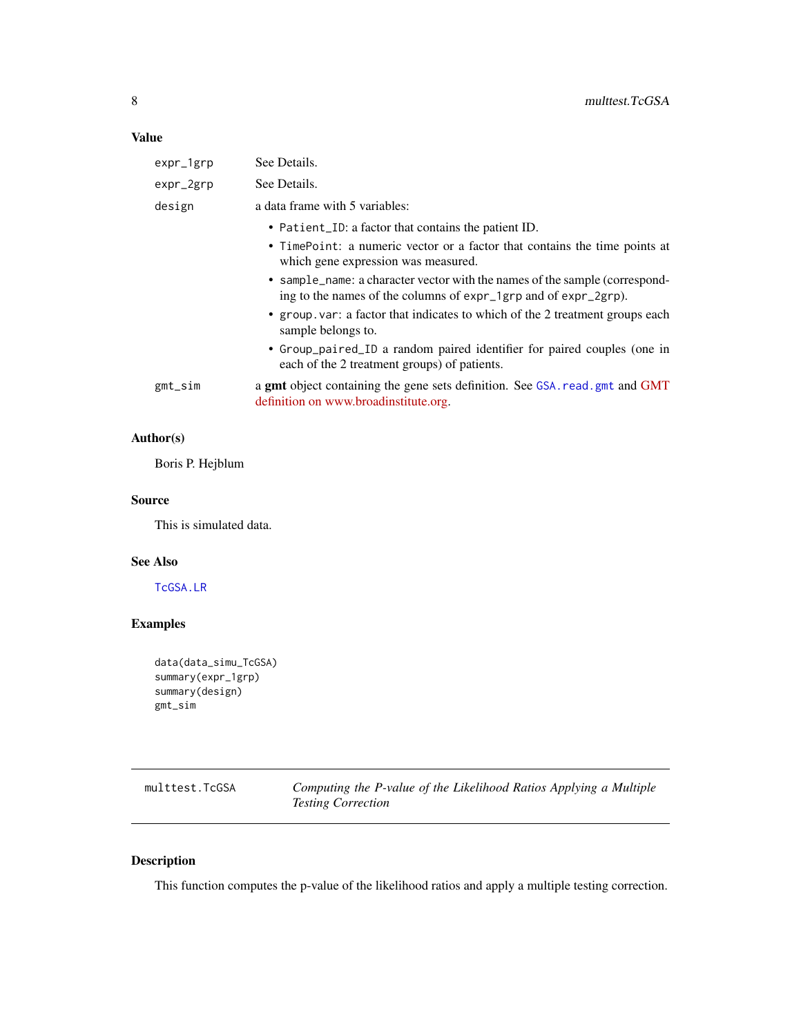<span id="page-7-0"></span>

| expr_1grp    | See Details.                                                                                                                                   |  |
|--------------|------------------------------------------------------------------------------------------------------------------------------------------------|--|
| $expr_2$ grp | See Details.                                                                                                                                   |  |
| design       | a data frame with 5 variables:                                                                                                                 |  |
|              | • Patient_ID: a factor that contains the patient ID.                                                                                           |  |
|              | • TimePoint: a numeric vector or a factor that contains the time points at<br>which gene expression was measured.                              |  |
|              | • sample_name: a character vector with the names of the sample (correspond-<br>ing to the names of the columns of expr_1grp and of expr_2grp). |  |
|              | • group var: a factor that indicates to which of the 2 treatment groups each<br>sample belongs to.                                             |  |
|              | • Group_paired_ID a random paired identifier for paired couples (one in<br>each of the 2 treatment groups) of patients.                        |  |
| gmt_sim      | a gmt object containing the gene sets definition. See GSA. read. gmt and GMT<br>definition on www.broadinstitute.org.                          |  |

### Author(s)

Boris P. Hejblum

#### Source

This is simulated data.

### See Also

[TcGSA.LR](#page-49-1)

### Examples

```
data(data_simu_TcGSA)
summary(expr_1grp)
summary(design)
gmt_sim
```
<span id="page-7-1"></span>

| multtest.TcGSA | Computing the P-value of the Likelihood Ratios Applying a Multiple |
|----------------|--------------------------------------------------------------------|
|                | <b>Testing Correction</b>                                          |

### Description

This function computes the p-value of the likelihood ratios and apply a multiple testing correction.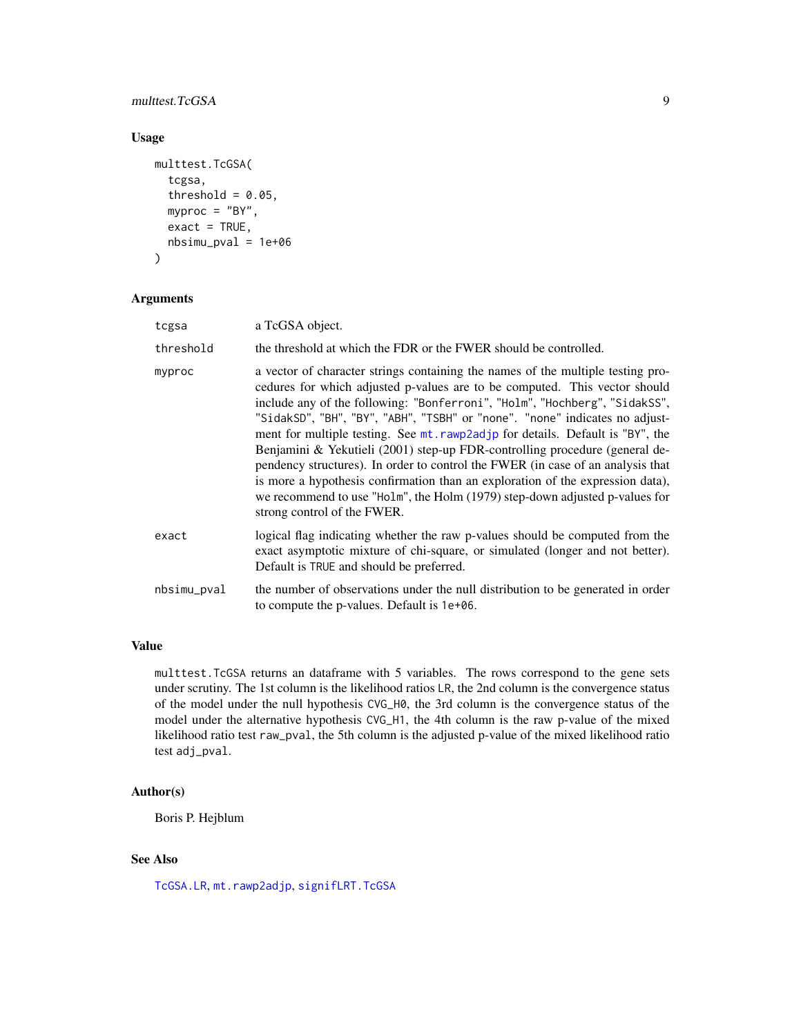#### <span id="page-8-0"></span>multtest.TcGSA 9

#### Usage

```
multtest.TcGSA(
  tcgsa,
  threshold = 0.05,
  myproc = "BY",
  exact = TRUE,nbsimu_pval = 1e+06)
```
#### Arguments

| tcgsa       | a TcGSA object.                                                                                                                                                                                                                                                                                                                                                                                                                                                                                                                                                                                                                                                                                                                                                                |
|-------------|--------------------------------------------------------------------------------------------------------------------------------------------------------------------------------------------------------------------------------------------------------------------------------------------------------------------------------------------------------------------------------------------------------------------------------------------------------------------------------------------------------------------------------------------------------------------------------------------------------------------------------------------------------------------------------------------------------------------------------------------------------------------------------|
| threshold   | the threshold at which the FDR or the FWER should be controlled.                                                                                                                                                                                                                                                                                                                                                                                                                                                                                                                                                                                                                                                                                                               |
| myproc      | a vector of character strings containing the names of the multiple testing pro-<br>cedures for which adjusted p-values are to be computed. This vector should<br>include any of the following: "Bonferroni", "Holm", "Hochberg", "SidakSS",<br>"SidakSD", "BH", "BY", "ABH", "TSBH" or "none". "none" indicates no adjust-<br>ment for multiple testing. See mt. rawp2adjp for details. Default is "BY", the<br>Benjamini & Yekutieli (2001) step-up FDR-controlling procedure (general de-<br>pendency structures). In order to control the FWER (in case of an analysis that<br>is more a hypothesis confirmation than an exploration of the expression data),<br>we recommend to use "Holm", the Holm (1979) step-down adjusted p-values for<br>strong control of the FWER. |
| exact       | logical flag indicating whether the raw p-values should be computed from the<br>exact asymptotic mixture of chi-square, or simulated (longer and not better).<br>Default is TRUE and should be preferred.                                                                                                                                                                                                                                                                                                                                                                                                                                                                                                                                                                      |
| nbsimu_pval | the number of observations under the null distribution to be generated in order<br>to compute the p-values. Default is 1e+06.                                                                                                                                                                                                                                                                                                                                                                                                                                                                                                                                                                                                                                                  |

#### Value

multtest.TcGSA returns an dataframe with 5 variables. The rows correspond to the gene sets under scrutiny. The 1st column is the likelihood ratios LR, the 2nd column is the convergence status of the model under the null hypothesis CVG\_H0, the 3rd column is the convergence status of the model under the alternative hypothesis CVG\_H1, the 4th column is the raw p-value of the mixed likelihood ratio test raw\_pval, the 5th column is the adjusted p-value of the mixed likelihood ratio test adj\_pval.

#### Author(s)

Boris P. Hejblum

#### See Also

[TcGSA.LR](#page-49-1), [mt.rawp2adjp](#page-0-0), [signifLRT.TcGSA](#page-46-1)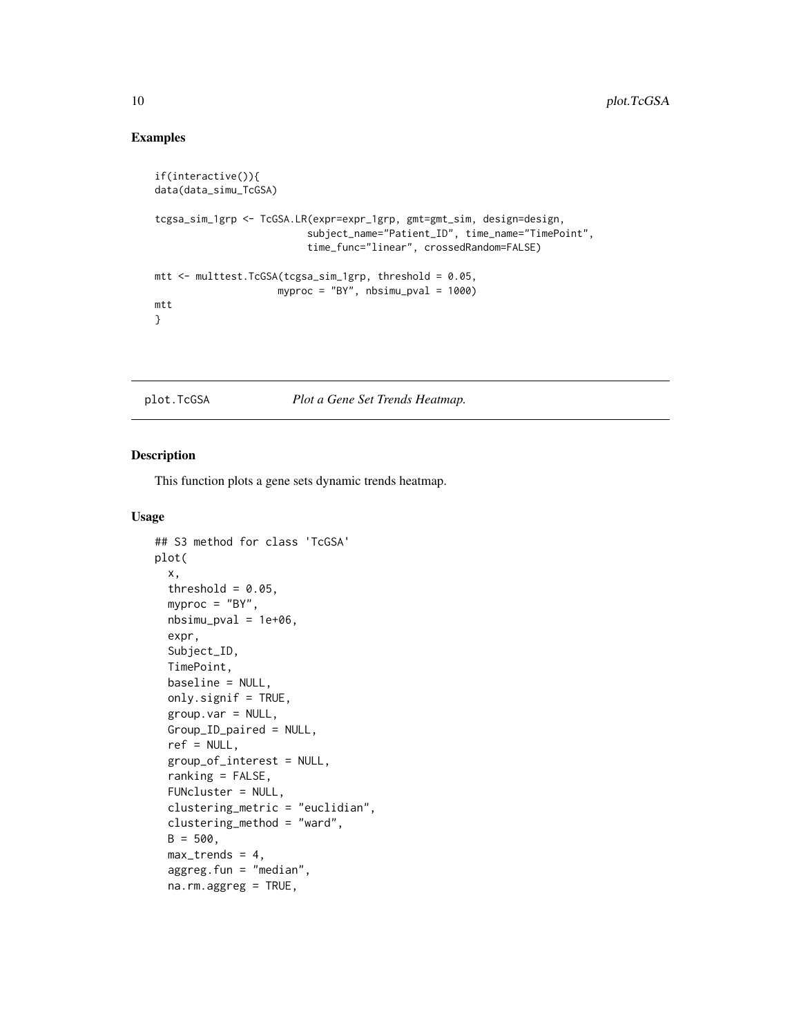### Examples

```
if(interactive()){
data(data_simu_TcGSA)
tcgsa_sim_1grp <- TcGSA.LR(expr=expr_1grp, gmt=gmt_sim, design=design,
                          subject_name="Patient_ID", time_name="TimePoint",
                          time_func="linear", crossedRandom=FALSE)
mtt \le multtest. TcGSA(tcgsa_sim_1grp, threshold = 0.05,
                     myproc = "BY", nbsimu_pval = 1000)
mtt
}
```
<span id="page-9-1"></span>plot.TcGSA *Plot a Gene Set Trends Heatmap.*

### Description

This function plots a gene sets dynamic trends heatmap.

#### Usage

```
## S3 method for class 'TcGSA'
plot(
  x,
  threshold = 0.05,
  myproc = "BY",
  nbsimu_pval = 1e+06,
  expr,
  Subject_ID,
  TimePoint,
  baseline = NULL,
  only.signif = TRUE,
  group.var = NULL,
  Group_ID_paired = NULL,
  ref = NULL,group_of_interest = NULL,
  ranking = FALSE,
  FUNcluster = NULL,
  clustering_metric = "euclidian",
  clustering_method = "ward",
  B = 500.
  max_trends = 4,
  aggreg.fun = "median",
  na.rm.aggreg = TRUE,
```
<span id="page-9-0"></span>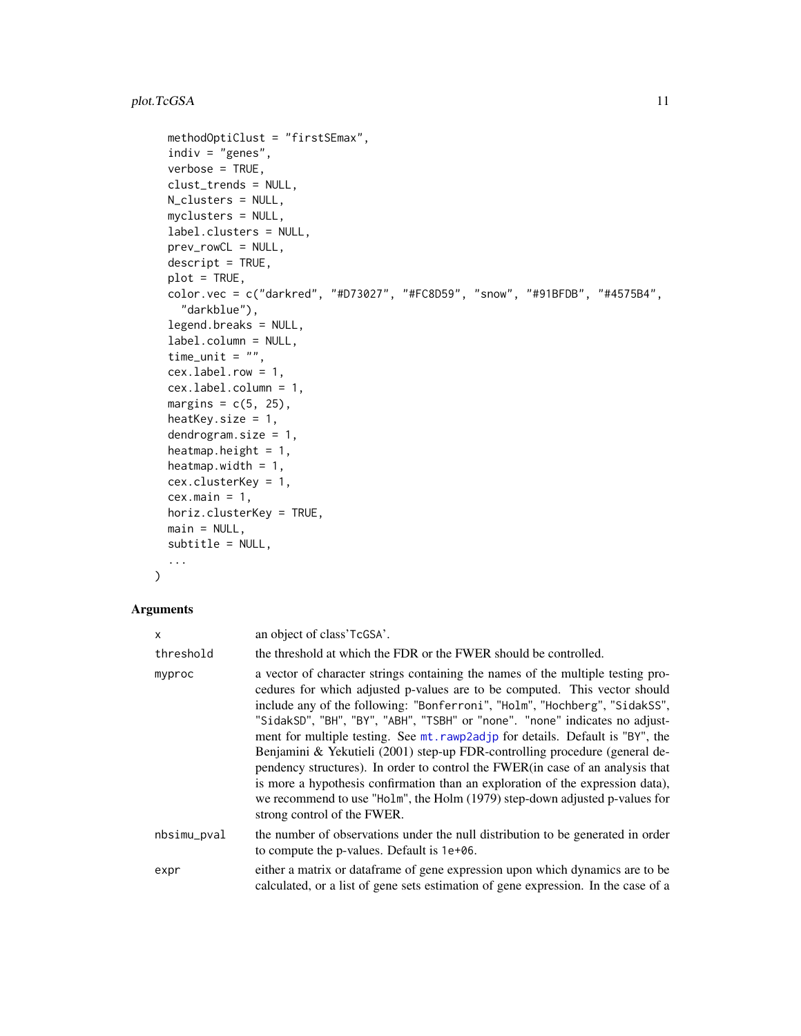```
methodOptiClust = "firstSEmax",
indiv = "genes",
verbose = TRUE,
clust_trends = NULL,
N_clusters = NULL,
myclusters = NULL,
label.clusters = NULL,
prev_rowCL = NULL,
descript = TRUE,plot = TRUE,
color.vec = c("darkred", "#D73027", "#FC8D59", "snow", "#91BFDB", "#4575B4",
  "darkblue"),
legend.breaks = NULL,
label.column = NULL,
time_unit = ",
cex.label.row = 1,
cex.label.column = 1,
margins = c(5, 25),
heatKey.size = 1,
dendrogram.size = 1,
heatmap.height = 1,
heatmap.width = 1,
cex.clusterKey = 1,
cex.mainloop = 1,
horiz.clusterKey = TRUE,
main = NULL,
subtitle = NULL,
...
```

```
\mathcal{L}
```

| x           | an object of class'TcGSA'.                                                                                                                                                                                                                                                                                                                                                                                                                                                                                                                                                                                                                                                                                                                                                    |  |
|-------------|-------------------------------------------------------------------------------------------------------------------------------------------------------------------------------------------------------------------------------------------------------------------------------------------------------------------------------------------------------------------------------------------------------------------------------------------------------------------------------------------------------------------------------------------------------------------------------------------------------------------------------------------------------------------------------------------------------------------------------------------------------------------------------|--|
| threshold   | the threshold at which the FDR or the FWER should be controlled.                                                                                                                                                                                                                                                                                                                                                                                                                                                                                                                                                                                                                                                                                                              |  |
| myproc      | a vector of character strings containing the names of the multiple testing pro-<br>cedures for which adjusted p-values are to be computed. This vector should<br>include any of the following: "Bonferroni", "Holm", "Hochberg", "SidakSS",<br>"SidakSD", "BH", "BY", "ABH", "TSBH" or "none". "none" indicates no adjust-<br>ment for multiple testing. See mt. rawp2adjp for details. Default is "BY", the<br>Benjamini & Yekutieli (2001) step-up FDR-controlling procedure (general de-<br>pendency structures). In order to control the FWER(in case of an analysis that<br>is more a hypothesis confirmation than an exploration of the expression data),<br>we recommend to use "Holm", the Holm (1979) step-down adjusted p-values for<br>strong control of the FWER. |  |
| nbsimu_pval | the number of observations under the null distribution to be generated in order<br>to compute the p-values. Default is 1e+06.                                                                                                                                                                                                                                                                                                                                                                                                                                                                                                                                                                                                                                                 |  |
| expr        | either a matrix or dataframe of gene expression upon which dynamics are to be<br>calculated, or a list of gene sets estimation of gene expression. In the case of a                                                                                                                                                                                                                                                                                                                                                                                                                                                                                                                                                                                                           |  |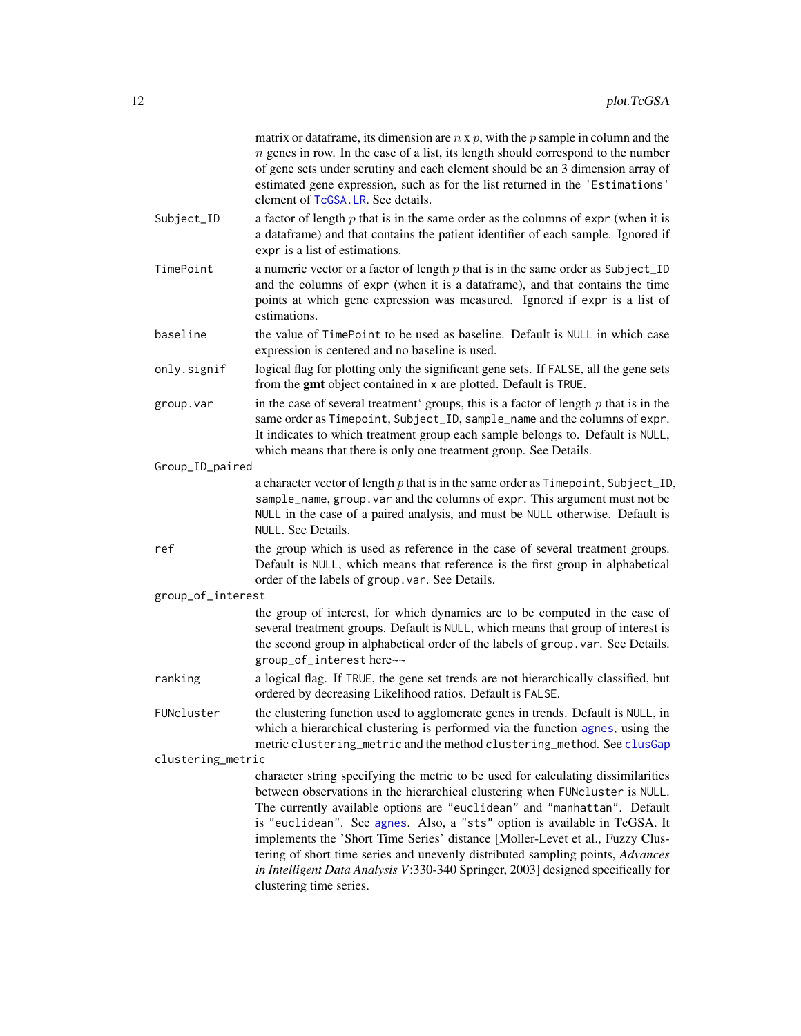<span id="page-11-0"></span>

|                   | matrix or data frame, its dimension are $n \times p$ , with the p sample in column and the<br>$n$ genes in row. In the case of a list, its length should correspond to the number<br>of gene sets under scrutiny and each element should be an 3 dimension array of<br>estimated gene expression, such as for the list returned in the 'Estimations'<br>element of TcGSA. LR. See details.                                                                                                                                                                                                                   |
|-------------------|--------------------------------------------------------------------------------------------------------------------------------------------------------------------------------------------------------------------------------------------------------------------------------------------------------------------------------------------------------------------------------------------------------------------------------------------------------------------------------------------------------------------------------------------------------------------------------------------------------------|
| Subject_ID        | a factor of length $p$ that is in the same order as the columns of expr (when it is<br>a dataframe) and that contains the patient identifier of each sample. Ignored if<br>expr is a list of estimations.                                                                                                                                                                                                                                                                                                                                                                                                    |
| TimePoint         | a numeric vector or a factor of length $p$ that is in the same order as Subject_ID<br>and the columns of expr (when it is a dataframe), and that contains the time<br>points at which gene expression was measured. Ignored if expr is a list of<br>estimations.                                                                                                                                                                                                                                                                                                                                             |
| baseline          | the value of TimePoint to be used as baseline. Default is NULL in which case<br>expression is centered and no baseline is used.                                                                                                                                                                                                                                                                                                                                                                                                                                                                              |
| only.signif       | logical flag for plotting only the significant gene sets. If FALSE, all the gene sets<br>from the <b>gmt</b> object contained in x are plotted. Default is TRUE.                                                                                                                                                                                                                                                                                                                                                                                                                                             |
| group.var         | in the case of several treatment' groups, this is a factor of length $p$ that is in the<br>same order as Timepoint, Subject_ID, sample_name and the columns of expr.<br>It indicates to which treatment group each sample belongs to. Default is NULL,<br>which means that there is only one treatment group. See Details.                                                                                                                                                                                                                                                                                   |
| Group_ID_paired   |                                                                                                                                                                                                                                                                                                                                                                                                                                                                                                                                                                                                              |
|                   | a character vector of length $p$ that is in the same order as $T$ imepoint, Subject_ID,<br>sample_name, group. var and the columns of expr. This argument must not be<br>NULL in the case of a paired analysis, and must be NULL otherwise. Default is<br>NULL. See Details.                                                                                                                                                                                                                                                                                                                                 |
| ref               | the group which is used as reference in the case of several treatment groups.<br>Default is NULL, which means that reference is the first group in alphabetical<br>order of the labels of group. var. See Details.                                                                                                                                                                                                                                                                                                                                                                                           |
| group_of_interest |                                                                                                                                                                                                                                                                                                                                                                                                                                                                                                                                                                                                              |
|                   | the group of interest, for which dynamics are to be computed in the case of<br>several treatment groups. Default is NULL, which means that group of interest is<br>the second group in alphabetical order of the labels of group. var. See Details.<br>group_of_interest here~~                                                                                                                                                                                                                                                                                                                              |
| ranking           | a logical flag. If TRUE, the gene set trends are not hierarchically classified, but<br>ordered by decreasing Likelihood ratios. Default is FALSE.                                                                                                                                                                                                                                                                                                                                                                                                                                                            |
| FUNcluster        | the clustering function used to agglomerate genes in trends. Default is NULL, in<br>which a hierarchical clustering is performed via the function agnes, using the<br>metric clustering_metric and the method clustering_method. See clusGap                                                                                                                                                                                                                                                                                                                                                                 |
| clustering_metric |                                                                                                                                                                                                                                                                                                                                                                                                                                                                                                                                                                                                              |
|                   | character string specifying the metric to be used for calculating dissimilarities<br>between observations in the hierarchical clustering when FUNcluster is NULL.<br>The currently available options are "euclidean" and "manhattan". Default<br>is "euclidean". See agnes. Also, a "sts" option is available in TcGSA. It<br>implements the 'Short Time Series' distance [Moller-Levet et al., Fuzzy Clus-<br>tering of short time series and unevenly distributed sampling points, Advances<br>in Intelligent Data Analysis V:330-340 Springer, 2003] designed specifically for<br>clustering time series. |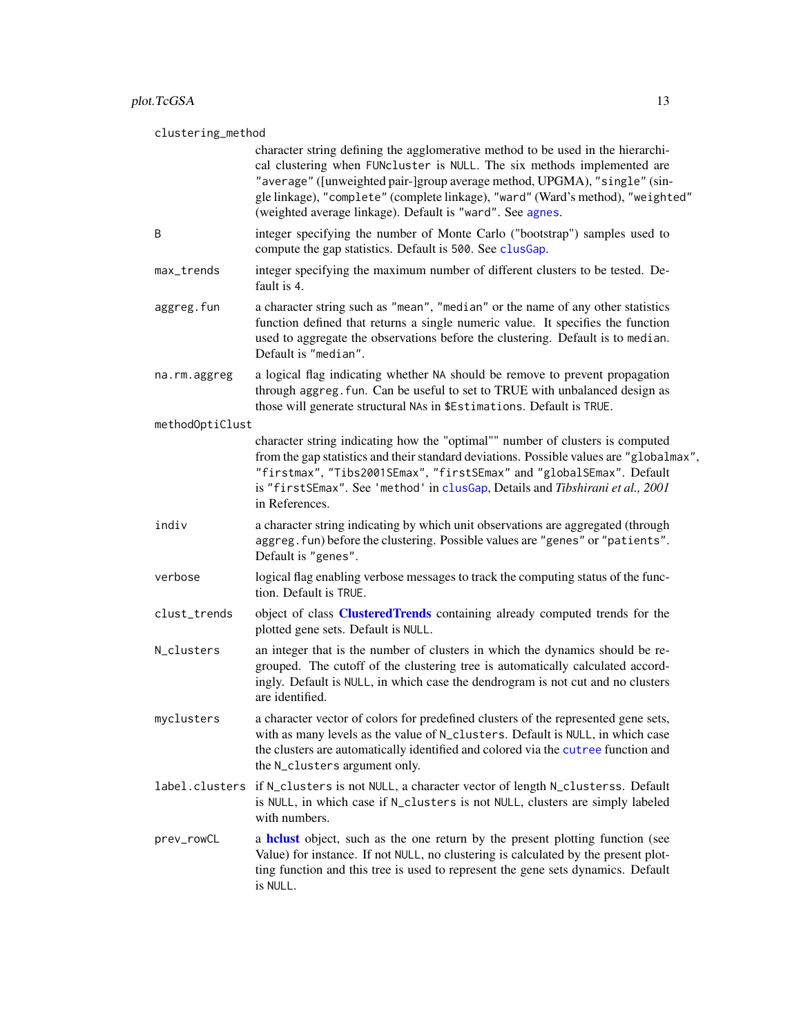#### <span id="page-12-0"></span>clustering\_method

|                 | character string defining the agglomerative method to be used in the hierarchi-<br>cal clustering when FUNcluster is NULL. The six methods implemented are<br>"average" ([unweighted pair-]group average method, UPGMA), "single" (sin-<br>gle linkage), "complete" (complete linkage), "ward" (Ward's method), "weighted"<br>(weighted average linkage). Default is "ward". See agnes. |
|-----------------|-----------------------------------------------------------------------------------------------------------------------------------------------------------------------------------------------------------------------------------------------------------------------------------------------------------------------------------------------------------------------------------------|
| B               | integer specifying the number of Monte Carlo ("bootstrap") samples used to<br>compute the gap statistics. Default is 500. See clusGap.                                                                                                                                                                                                                                                  |
| max_trends      | integer specifying the maximum number of different clusters to be tested. De-<br>fault is 4.                                                                                                                                                                                                                                                                                            |
| aggreg.fun      | a character string such as "mean", "median" or the name of any other statistics<br>function defined that returns a single numeric value. It specifies the function<br>used to aggregate the observations before the clustering. Default is to median.<br>Default is "median".                                                                                                           |
| na.rm.aggreg    | a logical flag indicating whether NA should be remove to prevent propagation<br>through aggreg. fun. Can be useful to set to TRUE with unbalanced design as<br>those will generate structural NAs in \$Estimations. Default is TRUE.                                                                                                                                                    |
| methodOptiClust |                                                                                                                                                                                                                                                                                                                                                                                         |
|                 | character string indicating how the "optimal"" number of clusters is computed<br>from the gap statistics and their standard deviations. Possible values are "globalmax",<br>"firstmax", "Tibs2001SEmax", "firstSEmax" and "globalSEmax". Default<br>is "firstSEmax". See 'method' in clusGap, Details and Tibshirani et al., 2001<br>in References.                                     |
| indiv           | a character string indicating by which unit observations are aggregated (through<br>aggreg. fun) before the clustering. Possible values are "genes" or "patients".<br>Default is "genes".                                                                                                                                                                                               |
| verbose         | logical flag enabling verbose messages to track the computing status of the func-<br>tion. Default is TRUE.                                                                                                                                                                                                                                                                             |
| clust_trends    | object of class <b>ClusteredTrends</b> containing already computed trends for the<br>plotted gene sets. Default is NULL.                                                                                                                                                                                                                                                                |
| N_clusters      | an integer that is the number of clusters in which the dynamics should be re-<br>grouped. The cutoff of the clustering tree is automatically calculated accord-<br>ingly. Default is NULL, in which case the dendrogram is not cut and no clusters<br>are identified.                                                                                                                   |
| myclusters      | a character vector of colors for predefined clusters of the represented gene sets,<br>with as many levels as the value of N_clusters. Default is NULL, in which case<br>the clusters are automatically identified and colored via the cutree function and<br>the N_clusters argument only.                                                                                              |
|                 | label.clusters if N_clusters is not NULL, a character vector of length N_clusterss. Default<br>is NULL, in which case if N_clusters is not NULL, clusters are simply labeled<br>with numbers.                                                                                                                                                                                           |
| prev_rowCL      | a helust object, such as the one return by the present plotting function (see<br>Value) for instance. If not NULL, no clustering is calculated by the present plot-<br>ting function and this tree is used to represent the gene sets dynamics. Default<br>is NULL.                                                                                                                     |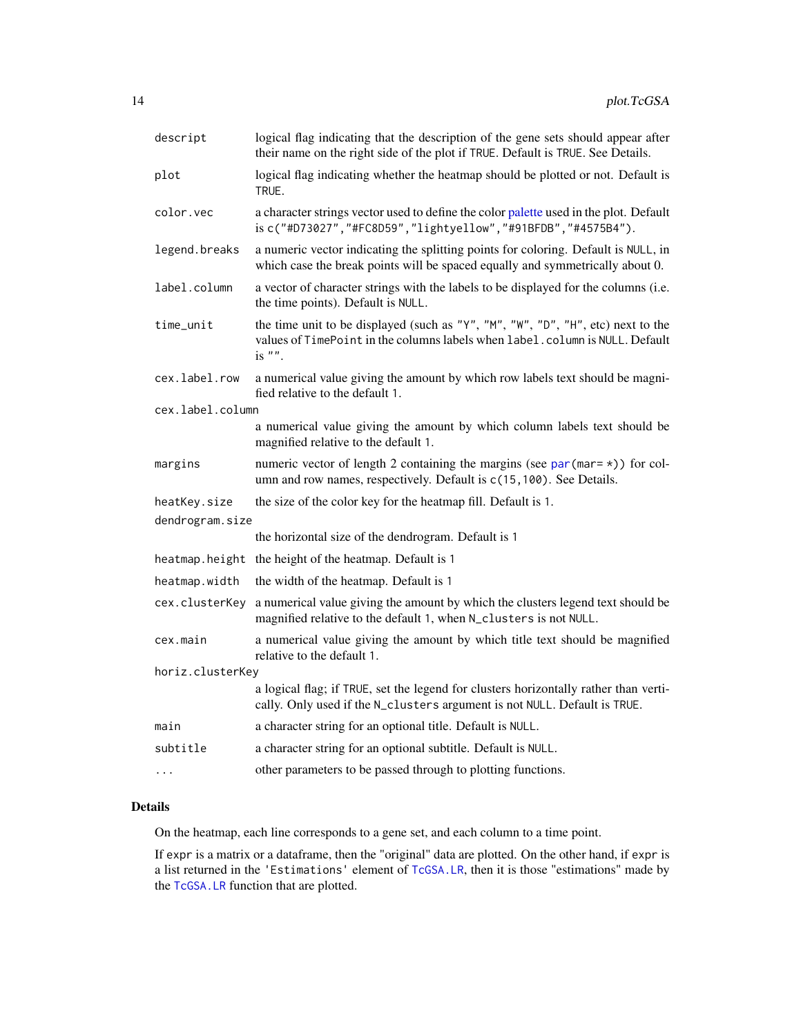<span id="page-13-0"></span>

| descript         | logical flag indicating that the description of the gene sets should appear after<br>their name on the right side of the plot if TRUE. Default is TRUE. See Details.         |  |
|------------------|------------------------------------------------------------------------------------------------------------------------------------------------------------------------------|--|
| plot             | logical flag indicating whether the heatmap should be plotted or not. Default is<br>TRUE.                                                                                    |  |
| color.vec        | a character strings vector used to define the color palette used in the plot. Default<br>is c("#D73027", "#FC8D59", "lightyellow", "#91BFDB", "#4575B4").                    |  |
| legend.breaks    | a numeric vector indicating the splitting points for coloring. Default is NULL, in<br>which case the break points will be spaced equally and symmetrically about 0.          |  |
| label.column     | a vector of character strings with the labels to be displayed for the columns (i.e.<br>the time points). Default is NULL.                                                    |  |
| time_unit        | the time unit to be displayed (such as "Y", "M", "W", "D", "H", etc) next to the<br>values of TimePoint in the columns labels when label.column is NULL. Default<br>is $"$ . |  |
| cex.label.row    | a numerical value giving the amount by which row labels text should be magni-<br>fied relative to the default 1.                                                             |  |
| cex.label.column |                                                                                                                                                                              |  |
|                  | a numerical value giving the amount by which column labels text should be<br>magnified relative to the default 1.                                                            |  |
| margins          | numeric vector of length 2 containing the margins (see $par(max=*)$ ) for col-<br>umn and row names, respectively. Default is c(15, 100). See Details.                       |  |
| heatKey.size     | the size of the color key for the heatmap fill. Default is 1.                                                                                                                |  |
| dendrogram.size  |                                                                                                                                                                              |  |
|                  | the horizontal size of the dendrogram. Default is 1                                                                                                                          |  |
| heatmap.height   | the height of the heatmap. Default is 1                                                                                                                                      |  |
| heatmap.width    | the width of the heatmap. Default is 1                                                                                                                                       |  |
| cex.clusterKey   | a numerical value giving the amount by which the clusters legend text should be<br>magnified relative to the default 1, when N_clusters is not NULL.                         |  |
| cex.main         | a numerical value giving the amount by which title text should be magnified<br>relative to the default 1.                                                                    |  |
| horiz.clusterKey |                                                                                                                                                                              |  |
|                  | a logical flag; if TRUE, set the legend for clusters horizontally rather than verti-<br>cally. Only used if the N_clusters argument is not NULL. Default is TRUE.            |  |
| main             | a character string for an optional title. Default is NULL.                                                                                                                   |  |
| subtitle         | a character string for an optional subtitle. Default is NULL.                                                                                                                |  |
| $\cdots$         | other parameters to be passed through to plotting functions.                                                                                                                 |  |

### Details

On the heatmap, each line corresponds to a gene set, and each column to a time point.

If expr is a matrix or a dataframe, then the "original" data are plotted. On the other hand, if expr is a list returned in the 'Estimations' element of [TcGSA.LR](#page-49-1), then it is those "estimations" made by the [TcGSA.LR](#page-49-1) function that are plotted.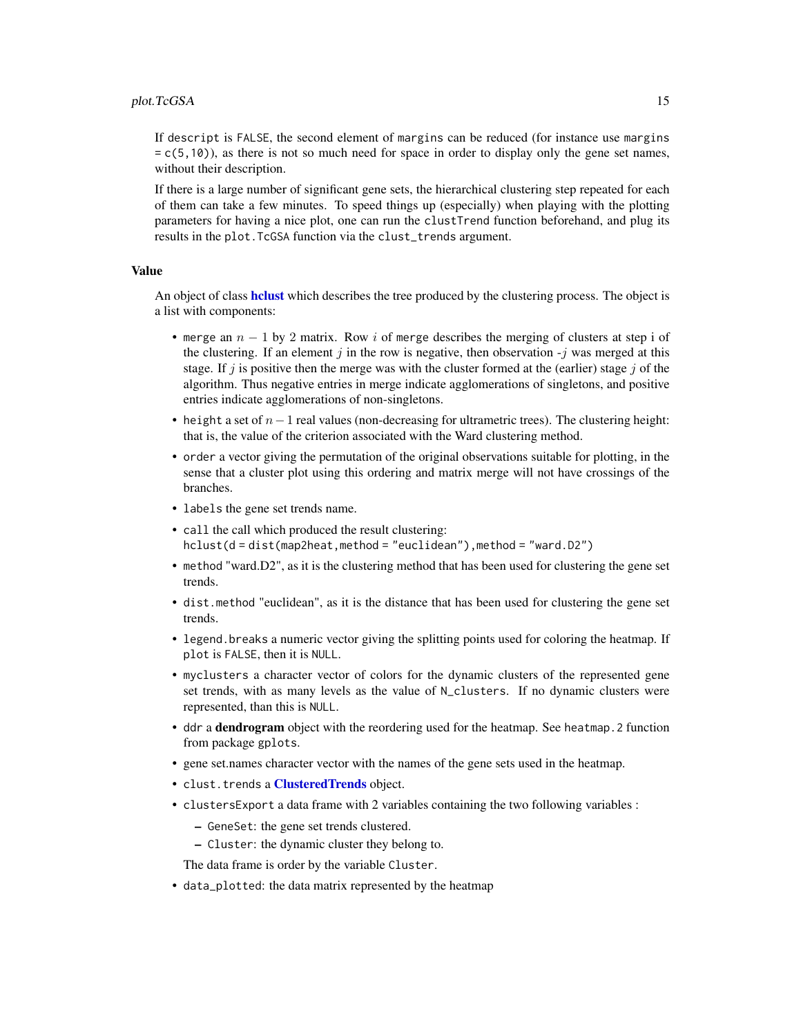<span id="page-14-0"></span>If descript is FALSE, the second element of margins can be reduced (for instance use margins  $= c(5,10)$ ), as there is not so much need for space in order to display only the gene set names, without their description.

If there is a large number of significant gene sets, the hierarchical clustering step repeated for each of them can take a few minutes. To speed things up (especially) when playing with the plotting parameters for having a nice plot, one can run the clustTrend function beforehand, and plug its results in the plot.TcGSA function via the clust\_trends argument.

#### Value

An object of class **[hclust](#page-0-0)** which describes the tree produced by the clustering process. The object is a list with components:

- merge an  $n 1$  by 2 matrix. Row i of merge describes the merging of clusters at step i of the clustering. If an element j in the row is negative, then observation  $-i$  was merged at this stage. If j is positive then the merge was with the cluster formed at the (earlier) stage j of the algorithm. Thus negative entries in merge indicate agglomerations of singletons, and positive entries indicate agglomerations of non-singletons.
- height a set of  $n-1$  real values (non-decreasing for ultrametric trees). The clustering height: that is, the value of the criterion associated with the Ward clustering method.
- order a vector giving the permutation of the original observations suitable for plotting, in the sense that a cluster plot using this ordering and matrix merge will not have crossings of the branches.
- labels the gene set trends name.
- call the call which produced the result clustering: hclust(d = dist(map2heat, method = "euclidean"), method = "ward.D2")
- method "ward.D2", as it is the clustering method that has been used for clustering the gene set trends.
- dist.method "euclidean", as it is the distance that has been used for clustering the gene set trends.
- legend.breaks a numeric vector giving the splitting points used for coloring the heatmap. If plot is FALSE, then it is NULL.
- myclusters a character vector of colors for the dynamic clusters of the represented gene set trends, with as many levels as the value of N\_clusters. If no dynamic clusters were represented, than this is NULL.
- ddr a dendrogram object with the reordering used for the heatmap. See heatmap. 2 function from package gplots.
- gene set.names character vector with the names of the gene sets used in the heatmap.
- clust.trends a [ClusteredTrends](#page-2-1) object.
- clustersExport a data frame with 2 variables containing the two following variables :
	- GeneSet: the gene set trends clustered.
	- Cluster: the dynamic cluster they belong to.

The data frame is order by the variable Cluster.

• data\_plotted: the data matrix represented by the heatmap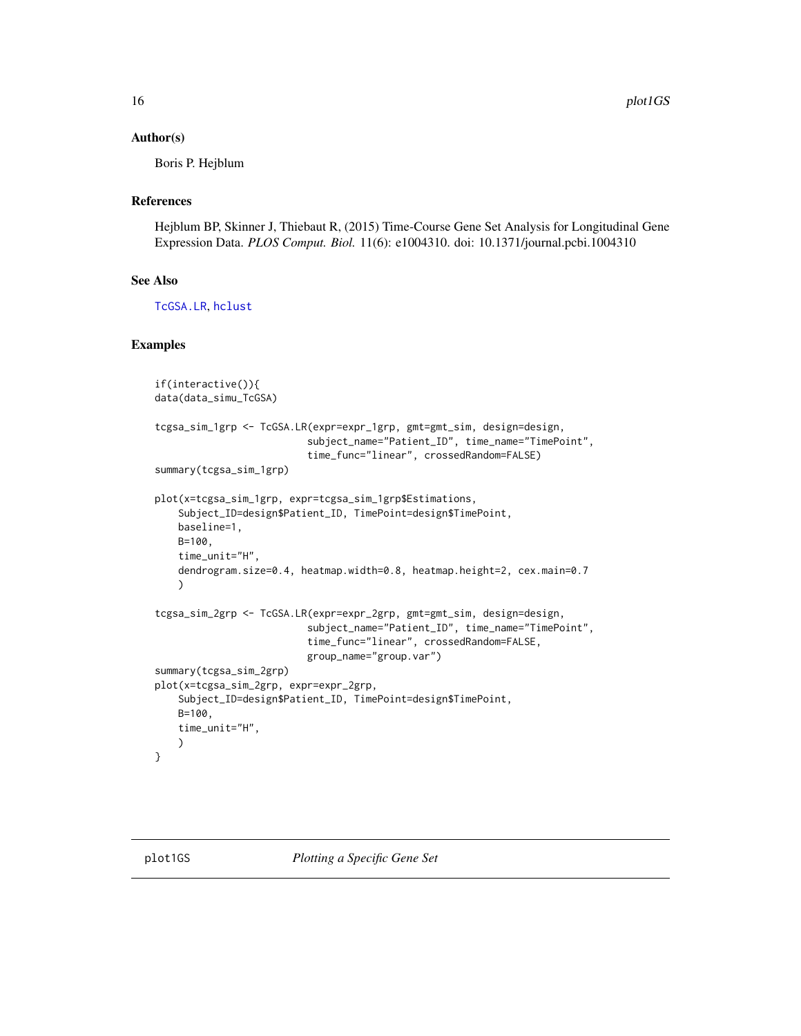#### <span id="page-15-0"></span>Author(s)

Boris P. Hejblum

### References

Hejblum BP, Skinner J, Thiebaut R, (2015) Time-Course Gene Set Analysis for Longitudinal Gene Expression Data. *PLOS Comput. Biol.* 11(6): e1004310. doi: 10.1371/journal.pcbi.1004310

#### See Also

[TcGSA.LR](#page-49-1), [hclust](#page-0-0)

#### Examples

```
if(interactive()){
data(data_simu_TcGSA)
tcgsa_sim_1grp <- TcGSA.LR(expr=expr_1grp, gmt=gmt_sim, design=design,
                          subject_name="Patient_ID", time_name="TimePoint",
                          time_func="linear", crossedRandom=FALSE)
summary(tcgsa_sim_1grp)
plot(x=tcgsa_sim_1grp, expr=tcgsa_sim_1grp$Estimations,
    Subject_ID=design$Patient_ID, TimePoint=design$TimePoint,
   baseline=1,
   B=100,
   time_unit="H",
   dendrogram.size=0.4, heatmap.width=0.8, heatmap.height=2, cex.main=0.7
   )
tcgsa_sim_2grp <- TcGSA.LR(expr=expr_2grp, gmt=gmt_sim, design=design,
                          subject_name="Patient_ID", time_name="TimePoint",
                          time_func="linear", crossedRandom=FALSE,
                          group_name="group.var")
summary(tcgsa_sim_2grp)
plot(x=tcgsa_sim_2grp, expr=expr_2grp,
    Subject_ID=design$Patient_ID, TimePoint=design$TimePoint,
   B=100,
    time_unit="H",
    )
}
```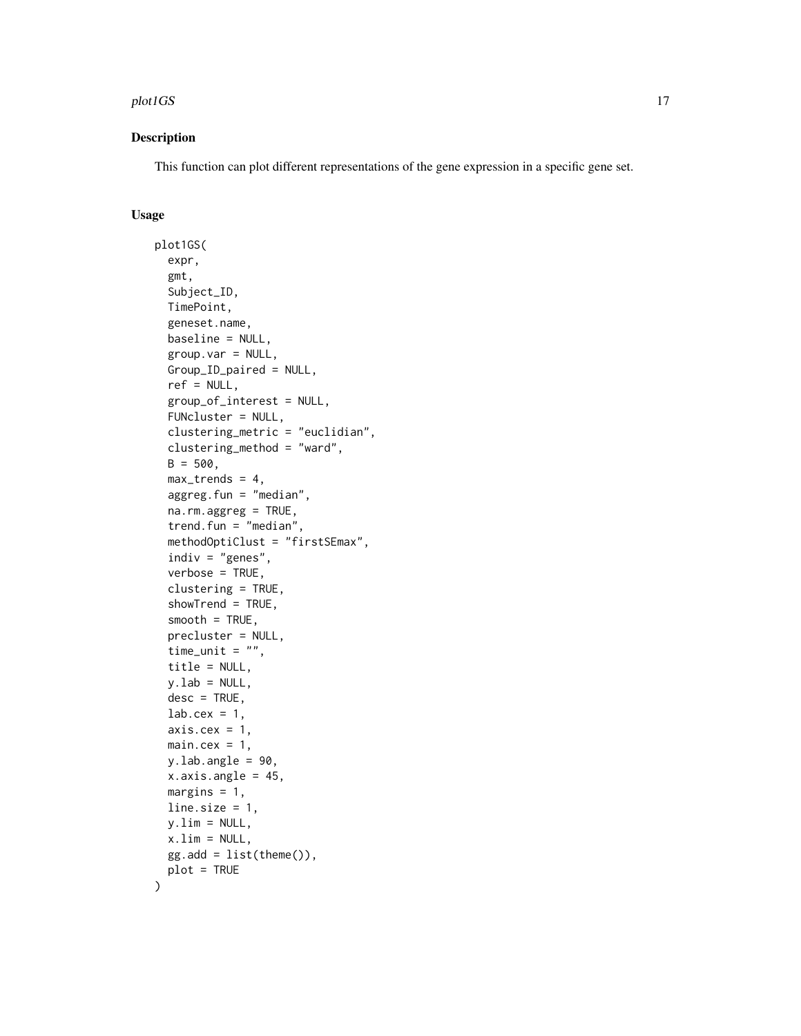#### plot1GS and the state of the state of the state of the state of the state of the state of the state of the state of the state of the state of the state of the state of the state of the state of the state of the state of th

#### Description

This function can plot different representations of the gene expression in a specific gene set.

#### Usage

```
plot1GS(
  expr,
  gmt,
  Subject_ID,
  TimePoint,
  geneset.name,
  baseline = NULL,
  group.var = NULL,Group_ID_paired = NULL,
  ref = NULL,group_of_interest = NULL,
  FUNcluster = NULL,
  clustering_metric = "euclidian",
  clustering_method = "ward",
  B = 500,max_trends = 4,
  aggreg.fun = "median",
  na.rm.aggreg = TRUE,
  trend.fun = "median",
  methodOptiClust = "firstSEmax",
  indiv = "genes",verbose = TRUE,
  clustering = TRUE,
  showTrend = TRUE,
  smooth = TRUE,
  precluster = NULL,
  time_unit = ",
  title = NULL,
  y.lab = NULL,
  desc = TRUE,lab.cex = 1,
  axis.cex = 1,
  main.cex = 1,
 y.lab.angle = 90,
  x.axis.angle = 45,
 margins = 1,
  line.size = 1,
 y.lim = NULL,x.lim = NULL,
  gg.add = list(theme()),
 plot = TRUE
)
```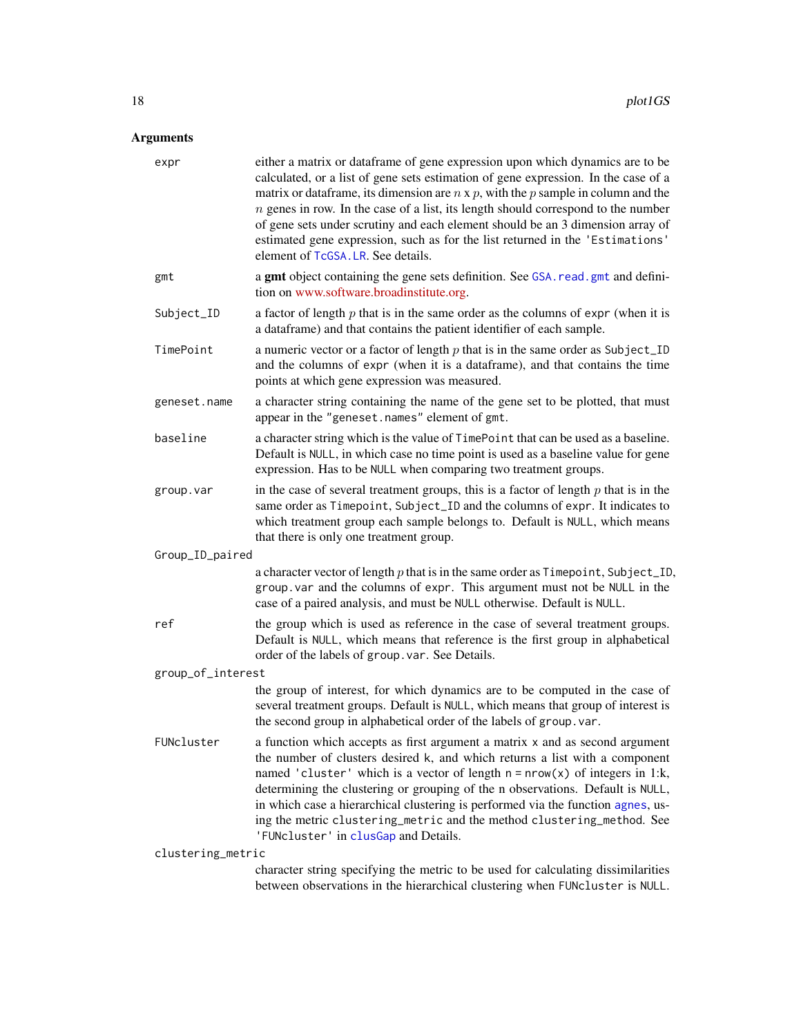<span id="page-17-0"></span>

| expr              | either a matrix or dataframe of gene expression upon which dynamics are to be<br>calculated, or a list of gene sets estimation of gene expression. In the case of a<br>matrix or data frame, its dimension are $n \times p$ , with the p sample in column and the<br>$n$ genes in row. In the case of a list, its length should correspond to the number<br>of gene sets under scrutiny and each element should be an 3 dimension array of<br>estimated gene expression, such as for the list returned in the 'Estimations'<br>element of TcGSA. LR. See details. |
|-------------------|-------------------------------------------------------------------------------------------------------------------------------------------------------------------------------------------------------------------------------------------------------------------------------------------------------------------------------------------------------------------------------------------------------------------------------------------------------------------------------------------------------------------------------------------------------------------|
| gmt               | a gmt object containing the gene sets definition. See GSA. read. gmt and defini-<br>tion on www.software.broadinstitute.org.                                                                                                                                                                                                                                                                                                                                                                                                                                      |
| Subject_ID        | a factor of length $p$ that is in the same order as the columns of expr (when it is<br>a dataframe) and that contains the patient identifier of each sample.                                                                                                                                                                                                                                                                                                                                                                                                      |
| TimePoint         | a numeric vector or a factor of length $p$ that is in the same order as Subject_ID<br>and the columns of expr (when it is a dataframe), and that contains the time<br>points at which gene expression was measured.                                                                                                                                                                                                                                                                                                                                               |
| geneset.name      | a character string containing the name of the gene set to be plotted, that must<br>appear in the "geneset.names" element of gmt.                                                                                                                                                                                                                                                                                                                                                                                                                                  |
| baseline          | a character string which is the value of TimePoint that can be used as a baseline.<br>Default is NULL, in which case no time point is used as a baseline value for gene<br>expression. Has to be NULL when comparing two treatment groups.                                                                                                                                                                                                                                                                                                                        |
| group.var         | in the case of several treatment groups, this is a factor of length $p$ that is in the<br>same order as Timepoint, Subject_ID and the columns of expr. It indicates to<br>which treatment group each sample belongs to. Default is NULL, which means<br>that there is only one treatment group.                                                                                                                                                                                                                                                                   |
| Group_ID_paired   |                                                                                                                                                                                                                                                                                                                                                                                                                                                                                                                                                                   |
|                   | a character vector of length $p$ that is in the same order as $T$ imepoint, Subject_ID,<br>group. var and the columns of expr. This argument must not be NULL in the<br>case of a paired analysis, and must be NULL otherwise. Default is NULL.                                                                                                                                                                                                                                                                                                                   |
| ref               | the group which is used as reference in the case of several treatment groups.<br>Default is NULL, which means that reference is the first group in alphabetical<br>order of the labels of group. var. See Details.                                                                                                                                                                                                                                                                                                                                                |
| group_of_interest |                                                                                                                                                                                                                                                                                                                                                                                                                                                                                                                                                                   |
|                   | the group of interest, for which dynamics are to be computed in the case of<br>several treatment groups. Default is NULL, which means that group of interest is<br>the second group in alphabetical order of the labels of group. var.                                                                                                                                                                                                                                                                                                                            |
| FUNcluster        | a function which accepts as first argument a matrix x and as second argument<br>the number of clusters desired k, and which returns a list with a component<br>named 'cluster' which is a vector of length $n = nrow(x)$ of integers in 1:k,<br>determining the clustering or grouping of the n observations. Default is NULL,<br>in which case a hierarchical clustering is performed via the function agnes, us-<br>ing the metric clustering_metric and the method clustering_method. See<br>'FUNcluster' in clusGap and Details.                              |
| clustering_metric |                                                                                                                                                                                                                                                                                                                                                                                                                                                                                                                                                                   |
|                   | character string specifying the metric to be used for calculating dissimilarities<br>between observations in the hierarchical clustering when FUNcluster is NULL.                                                                                                                                                                                                                                                                                                                                                                                                 |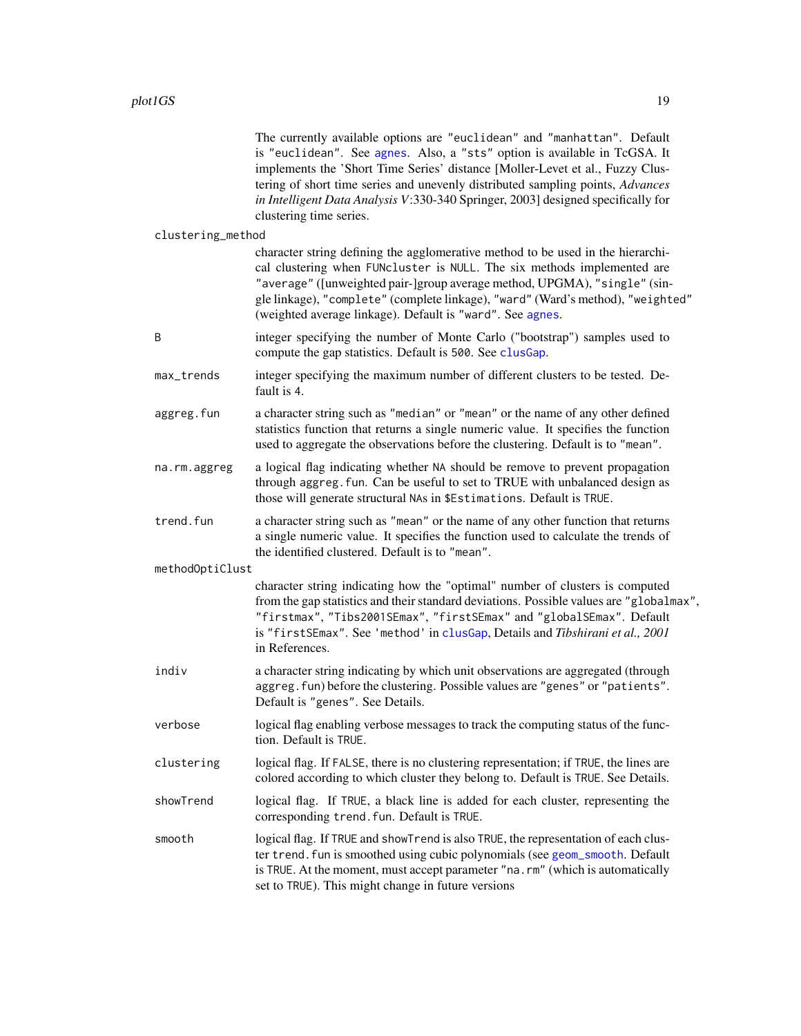<span id="page-18-0"></span>

|                   | The currently available options are "euclidean" and "manhattan". Default<br>is "euclidean". See agnes. Also, a "sts" option is available in TcGSA. It<br>implements the 'Short Time Series' distance [Moller-Levet et al., Fuzzy Clus-<br>tering of short time series and unevenly distributed sampling points, Advances<br>in Intelligent Data Analysis V:330-340 Springer, 2003] designed specifically for<br>clustering time series. |
|-------------------|-----------------------------------------------------------------------------------------------------------------------------------------------------------------------------------------------------------------------------------------------------------------------------------------------------------------------------------------------------------------------------------------------------------------------------------------|
| clustering_method |                                                                                                                                                                                                                                                                                                                                                                                                                                         |
|                   | character string defining the agglomerative method to be used in the hierarchi-<br>cal clustering when FUNcluster is NULL. The six methods implemented are<br>"average" ([unweighted pair-]group average method, UPGMA), "single" (sin-<br>gle linkage), "complete" (complete linkage), "ward" (Ward's method), "weighted"<br>(weighted average linkage). Default is "ward". See agnes.                                                 |
| B                 | integer specifying the number of Monte Carlo ("bootstrap") samples used to<br>compute the gap statistics. Default is 500. See clusGap.                                                                                                                                                                                                                                                                                                  |
| max_trends        | integer specifying the maximum number of different clusters to be tested. De-<br>fault is 4.                                                                                                                                                                                                                                                                                                                                            |
| aggreg.fun        | a character string such as "median" or "mean" or the name of any other defined<br>statistics function that returns a single numeric value. It specifies the function<br>used to aggregate the observations before the clustering. Default is to "mean".                                                                                                                                                                                 |
| na.rm.aggreg      | a logical flag indicating whether NA should be remove to prevent propagation<br>through aggreg. fun. Can be useful to set to TRUE with unbalanced design as<br>those will generate structural NAs in \$Estimations. Default is TRUE.                                                                                                                                                                                                    |
| trend.fun         | a character string such as "mean" or the name of any other function that returns<br>a single numeric value. It specifies the function used to calculate the trends of<br>the identified clustered. Default is to "mean".                                                                                                                                                                                                                |
| methodOptiClust   |                                                                                                                                                                                                                                                                                                                                                                                                                                         |
|                   | character string indicating how the "optimal" number of clusters is computed<br>from the gap statistics and their standard deviations. Possible values are "globalmax",<br>"firstmax", "Tibs2001SEmax", "firstSEmax" and "globalSEmax". Default<br>is "firstSEmax". See 'method' in clusGap, Details and Tibshirani et al., 2001<br>in References.                                                                                      |
| indiv             | a character string indicating by which unit observations are aggregated (through<br>aggreg. fun) before the clustering. Possible values are "genes" or "patients".<br>Default is "genes". See Details.                                                                                                                                                                                                                                  |
| verbose           | logical flag enabling verbose messages to track the computing status of the func-<br>tion. Default is TRUE.                                                                                                                                                                                                                                                                                                                             |
| clustering        | logical flag. If FALSE, there is no clustering representation; if TRUE, the lines are<br>colored according to which cluster they belong to. Default is TRUE. See Details.                                                                                                                                                                                                                                                               |
| showTrend         | logical flag. If TRUE, a black line is added for each cluster, representing the<br>corresponding trend. fun. Default is TRUE.                                                                                                                                                                                                                                                                                                           |
| smooth            | logical flag. If TRUE and showTrend is also TRUE, the representation of each clus-<br>ter trend. fun is smoothed using cubic polynomials (see geom_smooth. Default<br>is TRUE. At the moment, must accept parameter "na.rm" (which is automatically<br>set to TRUE). This might change in future versions                                                                                                                               |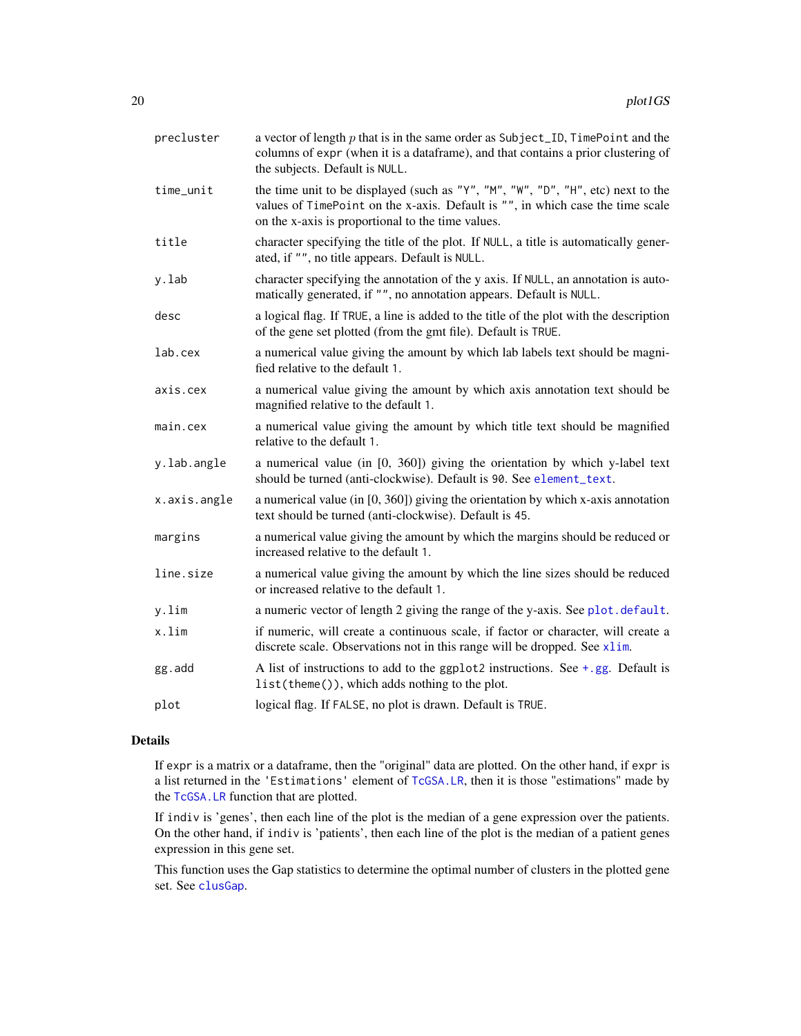<span id="page-19-0"></span>

| precluster   | a vector of length $p$ that is in the same order as Subject_ID, TimePoint and the<br>columns of expr (when it is a dataframe), and that contains a prior clustering of<br>the subjects. Default is NULL.                |
|--------------|-------------------------------------------------------------------------------------------------------------------------------------------------------------------------------------------------------------------------|
| time_unit    | the time unit to be displayed (such as "Y", "M", "W", "D", "H", etc) next to the<br>values of TimePoint on the x-axis. Default is "", in which case the time scale<br>on the x-axis is proportional to the time values. |
| title        | character specifying the title of the plot. If NULL, a title is automatically gener-<br>ated, if "", no title appears. Default is NULL.                                                                                 |
| y.lab        | character specifying the annotation of the y axis. If NULL, an annotation is auto-<br>matically generated, if "", no annotation appears. Default is NULL.                                                               |
| desc         | a logical flag. If TRUE, a line is added to the title of the plot with the description<br>of the gene set plotted (from the gmt file). Default is TRUE.                                                                 |
| lab.cex      | a numerical value giving the amount by which lab labels text should be magni-<br>fied relative to the default 1.                                                                                                        |
| axis.cex     | a numerical value giving the amount by which axis annotation text should be<br>magnified relative to the default 1.                                                                                                     |
| main.cex     | a numerical value giving the amount by which title text should be magnified<br>relative to the default 1.                                                                                                               |
| y.lab.angle  | a numerical value (in [0, 360]) giving the orientation by which y-label text<br>should be turned (anti-clockwise). Default is 90. See element_text.                                                                     |
| x.axis.angle | a numerical value (in $[0, 360]$ ) giving the orientation by which x-axis annotation<br>text should be turned (anti-clockwise). Default is 45.                                                                          |
| margins      | a numerical value giving the amount by which the margins should be reduced or<br>increased relative to the default 1.                                                                                                   |
| line.size    | a numerical value giving the amount by which the line sizes should be reduced<br>or increased relative to the default 1.                                                                                                |
| y.lim        | a numeric vector of length 2 giving the range of the y-axis. See plot.default.                                                                                                                                          |
| x.lim        | if numeric, will create a continuous scale, if factor or character, will create a<br>discrete scale. Observations not in this range will be dropped. See xlim.                                                          |
| gg.add       | A list of instructions to add to the ggplot2 instructions. See $+$ , gg. Default is<br>list(theme()), which adds nothing to the plot.                                                                                   |
| plot         | logical flag. If FALSE, no plot is drawn. Default is TRUE.                                                                                                                                                              |

#### Details

If expr is a matrix or a dataframe, then the "original" data are plotted. On the other hand, if expr is a list returned in the 'Estimations' element of [TcGSA.LR](#page-49-1), then it is those "estimations" made by the [TcGSA.LR](#page-49-1) function that are plotted.

If indiv is 'genes', then each line of the plot is the median of a gene expression over the patients. On the other hand, if indiv is 'patients', then each line of the plot is the median of a patient genes expression in this gene set.

This function uses the Gap statistics to determine the optimal number of clusters in the plotted gene set. See [clusGap](#page-0-0).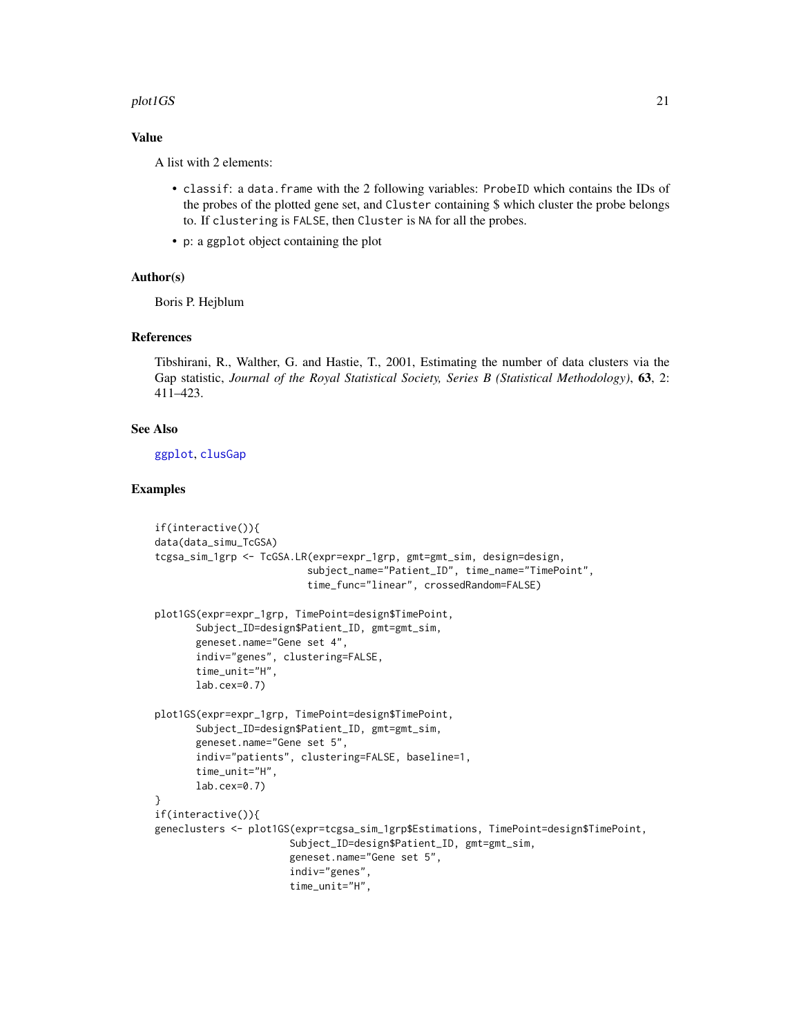#### <span id="page-20-0"></span>plot1GS 21

#### Value

A list with 2 elements:

- classif: a data.frame with the 2 following variables: ProbeID which contains the IDs of the probes of the plotted gene set, and Cluster containing \$ which cluster the probe belongs to. If clustering is FALSE, then Cluster is NA for all the probes.
- p: a ggplot object containing the plot

#### Author(s)

Boris P. Hejblum

#### References

Tibshirani, R., Walther, G. and Hastie, T., 2001, Estimating the number of data clusters via the Gap statistic, *Journal of the Royal Statistical Society, Series B (Statistical Methodology)*, 63, 2: 411–423.

#### See Also

[ggplot](#page-0-0), [clusGap](#page-0-0)

#### Examples

```
if(interactive()){
data(data_simu_TcGSA)
tcgsa_sim_1grp <- TcGSA.LR(expr=expr_1grp, gmt=gmt_sim, design=design,
                          subject_name="Patient_ID", time_name="TimePoint",
                          time_func="linear", crossedRandom=FALSE)
plot1GS(expr=expr_1grp, TimePoint=design$TimePoint,
      Subject_ID=design$Patient_ID, gmt=gmt_sim,
      geneset.name="Gene set 4",
      indiv="genes", clustering=FALSE,
      time_unit="H",
      lab.cex=0.7)
plot1GS(expr=expr_1grp, TimePoint=design$TimePoint,
      Subject_ID=design$Patient_ID, gmt=gmt_sim,
      geneset.name="Gene set 5",
      indiv="patients", clustering=FALSE, baseline=1,
      time_unit="H",
      lab.cex=0.7)
}
if(interactive()){
geneclusters <- plot1GS(expr=tcgsa_sim_1grp$Estimations, TimePoint=design$TimePoint,
                       Subject_ID=design$Patient_ID, gmt=gmt_sim,
                       geneset.name="Gene set 5",
                       indiv="genes",
                       time_unit="H",
```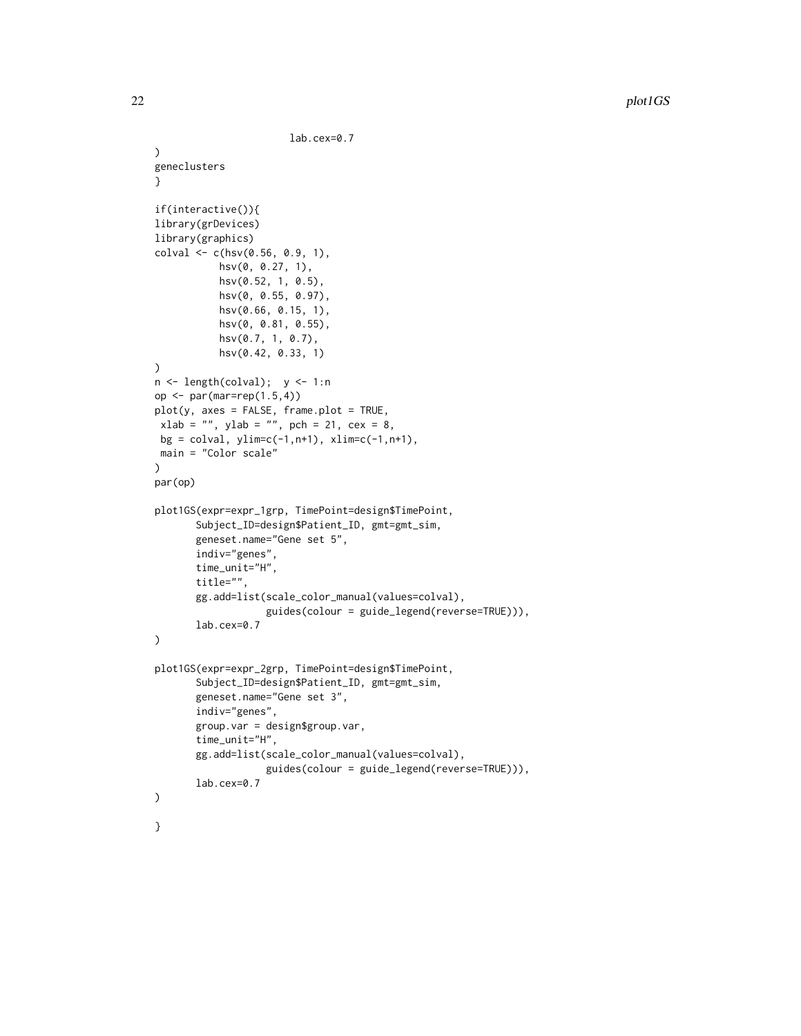```
lab.cex=0.7
)
geneclusters
}
if(interactive()){
library(grDevices)
library(graphics)
colval \leq c(hsv(0.56, 0.9, 1),hsv(0, 0.27, 1),
           hsv(0.52, 1, 0.5),
           hsv(0, 0.55, 0.97),
           hsv(0.66, 0.15, 1),
           hsv(0, 0.81, 0.55),
           hsv(0.7, 1, 0.7),
           hsv(0.42, 0.33, 1)
)
n <- length(colval); y <- 1:n
op <- par(mar=rep(1.5,4))
plot(y, axes = FALSE, frame.plot = TRUE,xlab = "", ylab = "", pch = 21, cex = 8,
bg = colval, ylim=c(-1, n+1), xlim=c(-1, n+1),main = "Color scale"
\mathcal{L}par(op)
plot1GS(expr=expr_1grp, TimePoint=design$TimePoint,
       Subject_ID=design$Patient_ID, gmt=gmt_sim,
       geneset.name="Gene set 5",
       indiv="genes",
       time_unit="H",
       title="",
       gg.add=list(scale_color_manual(values=colval),
                   guides(colour = guide_legend(reverse=TRUE))),
       lab.cex=0.7
)
plot1GS(expr=expr_2grp, TimePoint=design$TimePoint,
       Subject_ID=design$Patient_ID, gmt=gmt_sim,
       geneset.name="Gene set 3",
       indiv="genes",
       group.var = design$group.var,
       time_unit="H",
       gg.add=list(scale_color_manual(values=colval),
                   guides(colour = guide_legend(reverse=TRUE))),
       lab.cex=0.7
)
}
```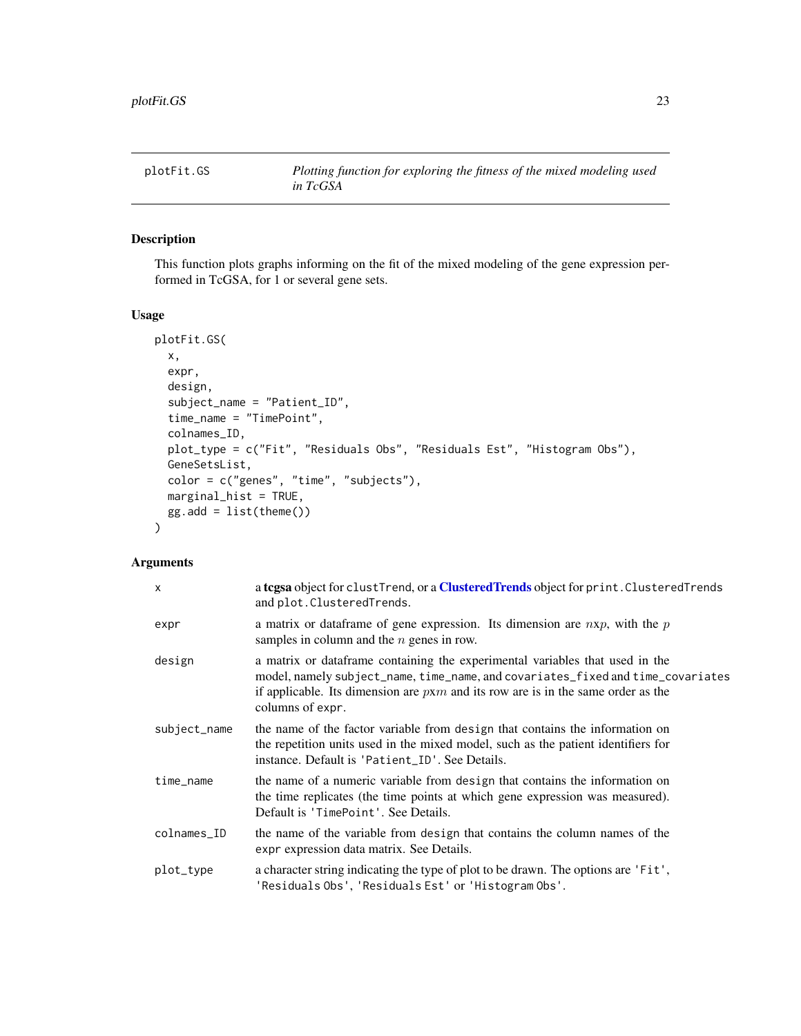<span id="page-22-0"></span>

#### Description

This function plots graphs informing on the fit of the mixed modeling of the gene expression performed in TcGSA, for 1 or several gene sets.

#### Usage

```
plotFit.GS(
 x,
  expr,
  design,
  subject_name = "Patient_ID",
  time_name = "TimePoint",
  colnames_ID,
  plot_type = c("Fit", "Residuals Obs", "Residuals Est", "Histogram Obs"),
 GeneSetsList,
  color = c("genes", "time", "subjects"),
 marginal_hist = TRUE,
 gg.add = list(theme())
\lambda
```

| $\mathsf{x}$ | a tegsa object for clustTrend, or a ClusteredTrends object for print. ClusteredTrends<br>and plot. Clustered Trends.                                                                                                                                                        |
|--------------|-----------------------------------------------------------------------------------------------------------------------------------------------------------------------------------------------------------------------------------------------------------------------------|
| expr         | a matrix or data frame of gene expression. Its dimension are $n x p$ , with the $p$<br>samples in column and the $n$ genes in row.                                                                                                                                          |
| design       | a matrix or dataframe containing the experimental variables that used in the<br>model, namely subject_name, time_name, and covariates_fixed and time_covariates<br>if applicable. Its dimension are $p x m$ and its row are is in the same order as the<br>columns of expr. |
| subject_name | the name of the factor variable from design that contains the information on<br>the repetition units used in the mixed model, such as the patient identifiers for<br>instance. Default is 'Patient_ID'. See Details.                                                        |
| time_name    | the name of a numeric variable from design that contains the information on<br>the time replicates (the time points at which gene expression was measured).<br>Default is 'TimePoint'. See Details.                                                                         |
| colnames_ID  | the name of the variable from design that contains the column names of the<br>expr expression data matrix. See Details.                                                                                                                                                     |
| plot_type    | a character string indicating the type of plot to be drawn. The options are 'Fit',<br>'Residuals Obs', 'Residuals Est' or 'Histogram Obs'.                                                                                                                                  |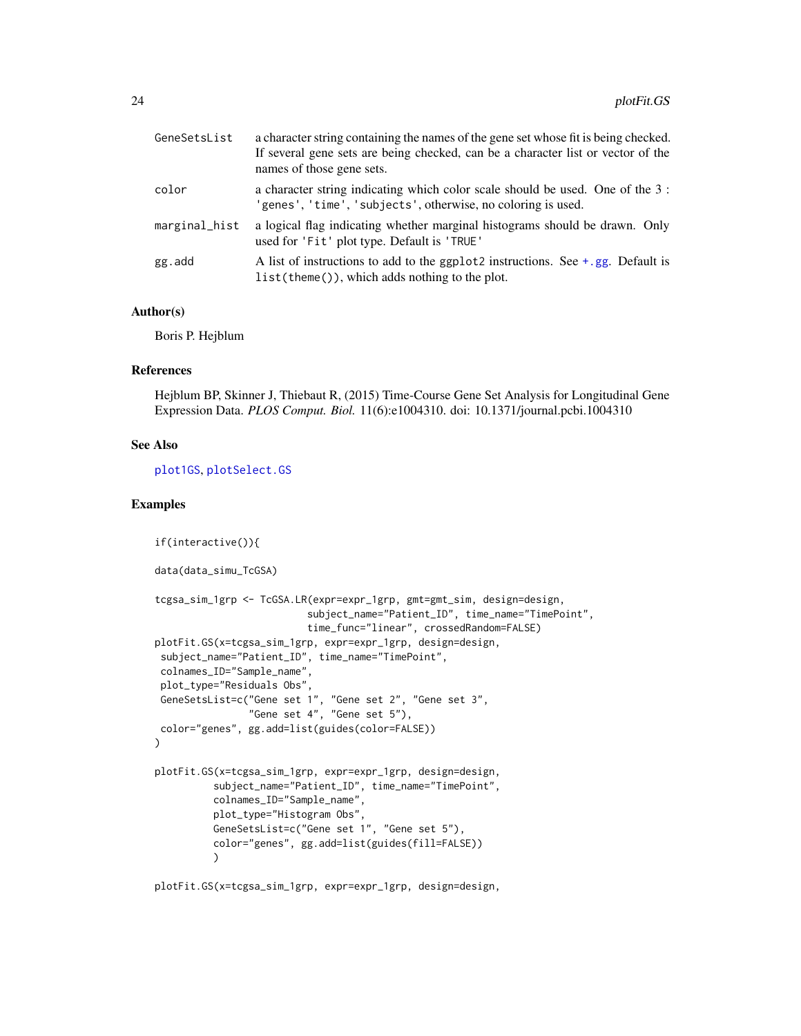<span id="page-23-0"></span>

| GeneSetsList  | a character string containing the names of the gene set whose fit is being checked.<br>If several gene sets are being checked, can be a character list or vector of the<br>names of those gene sets. |
|---------------|------------------------------------------------------------------------------------------------------------------------------------------------------------------------------------------------------|
| color         | a character string indicating which color scale should be used. One of the 3 :<br>'genes', 'time', 'subjects', otherwise, no coloring is used.                                                       |
| marginal_hist | a logical flag indicating whether marginal histograms should be drawn. Only<br>used for 'Fit' plot type. Default is 'TRUE'                                                                           |
| gg.add        | A list of instructions to add to the ggplot2 instructions. See $+$ , gg. Default is<br>$list(theme())$ , which adds nothing to the plot.                                                             |

#### Author(s)

Boris P. Hejblum

#### References

Hejblum BP, Skinner J, Thiebaut R, (2015) Time-Course Gene Set Analysis for Longitudinal Gene Expression Data. *PLOS Comput. Biol.* 11(6):e1004310. doi: 10.1371/journal.pcbi.1004310

#### See Also

[plot1GS](#page-15-1), [plotSelect.GS](#page-39-1)

#### Examples

```
if(interactive()){
data(data_simu_TcGSA)
tcgsa_sim_1grp <- TcGSA.LR(expr=expr_1grp, gmt=gmt_sim, design=design,
                          subject_name="Patient_ID", time_name="TimePoint",
                          time_func="linear", crossedRandom=FALSE)
plotFit.GS(x=tcgsa_sim_1grp, expr=expr_1grp, design=design,
subject_name="Patient_ID", time_name="TimePoint",
colnames_ID="Sample_name",
plot_type="Residuals Obs",
GeneSetsList=c("Gene set 1", "Gene set 2", "Gene set 3",
                "Gene set 4", "Gene set 5"),
color="genes", gg.add=list(guides(color=FALSE))
\mathcal{L}plotFit.GS(x=tcgsa_sim_1grp, expr=expr_1grp, design=design,
          subject_name="Patient_ID", time_name="TimePoint",
          colnames_ID="Sample_name",
          plot_type="Histogram Obs",
         GeneSetsList=c("Gene set 1", "Gene set 5"),
          color="genes", gg.add=list(guides(fill=FALSE))
          )
```
plotFit.GS(x=tcgsa\_sim\_1grp, expr=expr\_1grp, design=design,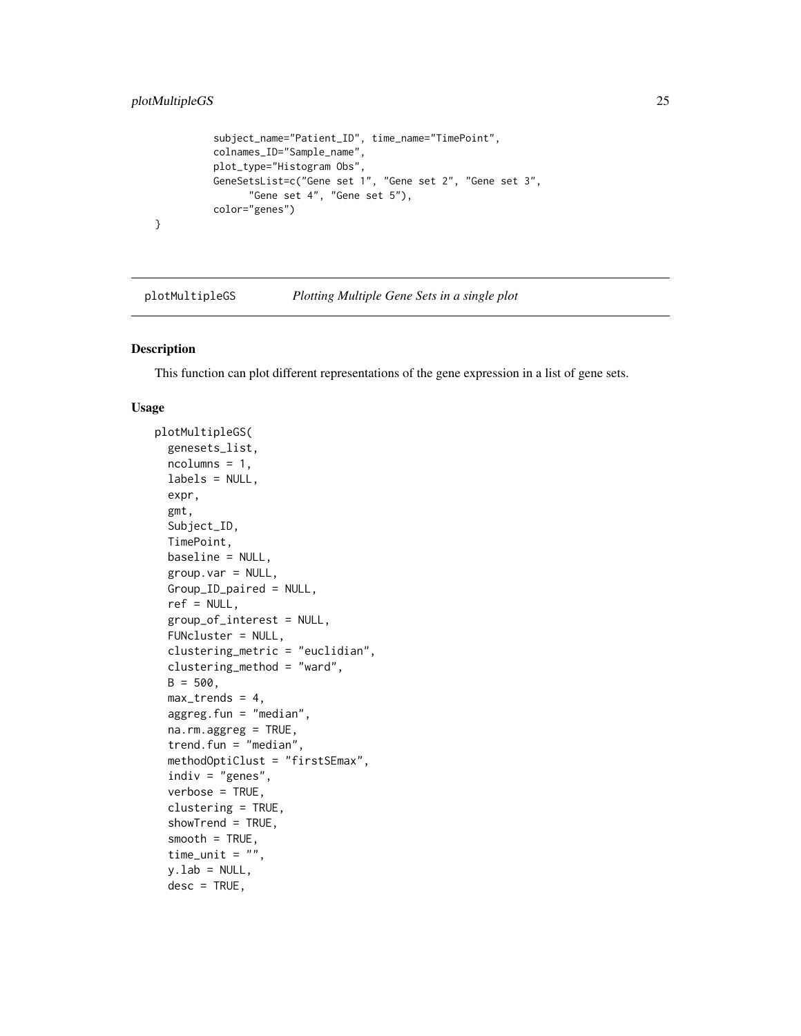```
subject_name="Patient_ID", time_name="TimePoint",
colnames_ID="Sample_name",
plot_type="Histogram Obs",
GeneSetsList=c("Gene set 1", "Gene set 2", "Gene set 3",
      "Gene set 4", "Gene set 5"),
color="genes")
```

```
plotMultipleGS Plotting Multiple Gene Sets in a single plot
```
#### Description

}

This function can plot different representations of the gene expression in a list of gene sets.

#### Usage

```
plotMultipleGS(
  genesets_list,
  ncolumn = 1,labels = NULL,expr,
  gmt,
  Subject_ID,
  TimePoint,
  baseline = NULL,
  group.var = NULL,
  Group_ID_paired = NULL,
  ref = NULL,group_of_interest = NULL,
  FUNcluster = NULL,
  clustering_metric = "euclidian",
  clustering_method = "ward",
  B = 500,max_trends = 4,
  aggreg.fun = "median",
  na.rm.aggreg = TRUE,
  trend.fun = "median",
  methodOptiClust = "firstSEmax",
  indiv = "genes",verbose = TRUE,
  clustering = TRUE,
  showTrend = TRUE,
  smooth = TRUE,time_unit = ",
  y.lab = NULL,
  desc = TRUE,
```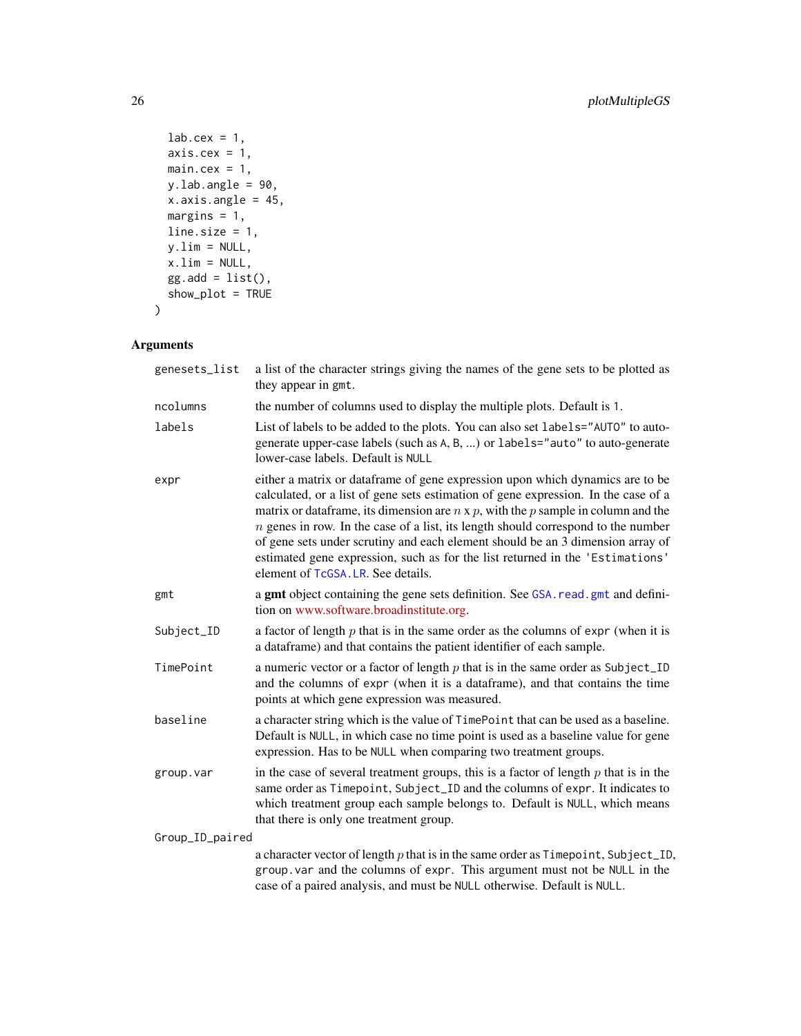```
lab.cex = 1,
 axis.cex = 1,
 main.cex = 1,y.lab.angle = 90,
 x.axis.angle = 45,
 margins = 1,
 line.size = 1,
 y.lim = NULL,x.lim = NULL,
 gg.add = list(),show_plot = TRUE
\mathcal{L}
```

| genesets_list   | a list of the character strings giving the names of the gene sets to be plotted as<br>they appear in gmt.                                                                                                                                                                                                                                                                                                                                                                                                                                                         |
|-----------------|-------------------------------------------------------------------------------------------------------------------------------------------------------------------------------------------------------------------------------------------------------------------------------------------------------------------------------------------------------------------------------------------------------------------------------------------------------------------------------------------------------------------------------------------------------------------|
| ncolumns        | the number of columns used to display the multiple plots. Default is 1.                                                                                                                                                                                                                                                                                                                                                                                                                                                                                           |
| labels          | List of labels to be added to the plots. You can also set labels="AUTO" to auto-<br>generate upper-case labels (such as A, B, ) or labels="auto" to auto-generate<br>lower-case labels. Default is NULL                                                                                                                                                                                                                                                                                                                                                           |
| expr            | either a matrix or dataframe of gene expression upon which dynamics are to be<br>calculated, or a list of gene sets estimation of gene expression. In the case of a<br>matrix or data frame, its dimension are $n \times p$ , with the p sample in column and the<br>$n$ genes in row. In the case of a list, its length should correspond to the number<br>of gene sets under scrutiny and each element should be an 3 dimension array of<br>estimated gene expression, such as for the list returned in the 'Estimations'<br>element of TcGSA. LR. See details. |
| gmt             | a gmt object containing the gene sets definition. See GSA. read. gmt and defini-<br>tion on www.software.broadinstitute.org.                                                                                                                                                                                                                                                                                                                                                                                                                                      |
| Subject_ID      | a factor of length $p$ that is in the same order as the columns of expr (when it is<br>a dataframe) and that contains the patient identifier of each sample.                                                                                                                                                                                                                                                                                                                                                                                                      |
| TimePoint       | a numeric vector or a factor of length $p$ that is in the same order as Subject_ID<br>and the columns of expr (when it is a dataframe), and that contains the time<br>points at which gene expression was measured.                                                                                                                                                                                                                                                                                                                                               |
| baseline        | a character string which is the value of TimePoint that can be used as a baseline.<br>Default is NULL, in which case no time point is used as a baseline value for gene<br>expression. Has to be NULL when comparing two treatment groups.                                                                                                                                                                                                                                                                                                                        |
| group.var       | in the case of several treatment groups, this is a factor of length $p$ that is in the<br>same order as Timepoint, Subject_ID and the columns of expr. It indicates to<br>which treatment group each sample belongs to. Default is NULL, which means<br>that there is only one treatment group.                                                                                                                                                                                                                                                                   |
| Group_ID_paired |                                                                                                                                                                                                                                                                                                                                                                                                                                                                                                                                                                   |
|                 | a character vector of length $p$ that is in the same order as $T$ imepoint, Subject_ID,<br>group. var and the columns of expr. This argument must not be NULL in the<br>case of a paired analysis, and must be NULL otherwise. Default is NULL.                                                                                                                                                                                                                                                                                                                   |

<span id="page-25-0"></span>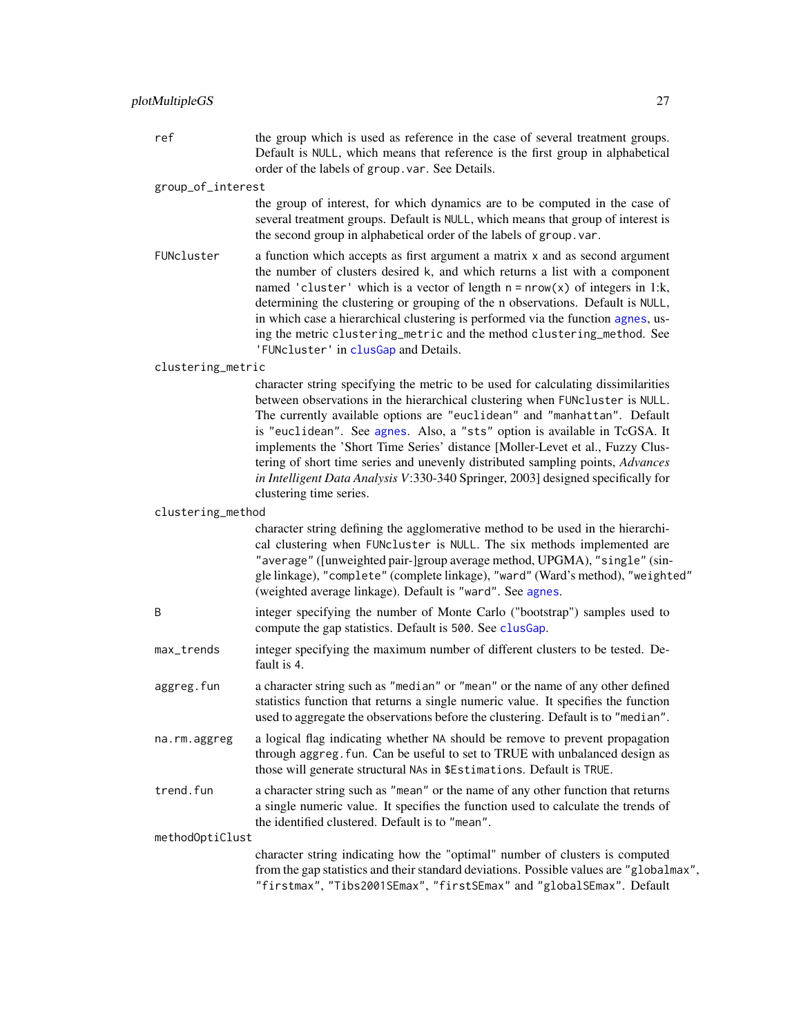<span id="page-26-0"></span>ref the group which is used as reference in the case of several treatment groups. Default is NULL, which means that reference is the first group in alphabetical order of the labels of group.var. See Details.

group\_of\_interest

the group of interest, for which dynamics are to be computed in the case of several treatment groups. Default is NULL, which means that group of interest is the second group in alphabetical order of the labels of group.var.

FUNcluster a function which accepts as first argument a matrix x and as second argument the number of clusters desired k, and which returns a list with a component named 'cluster' which is a vector of length  $n = nrow(x)$  of integers in 1:k, determining the clustering or grouping of the n observations. Default is NULL, in which case a hierarchical clustering is performed via the function [agnes](#page-0-0), using the metric clustering\_metric and the method clustering\_method. See 'FUNcluster' in [clusGap](#page-0-0) and Details.

#### clustering\_metric

character string specifying the metric to be used for calculating dissimilarities between observations in the hierarchical clustering when FUNcluster is NULL. The currently available options are "euclidean" and "manhattan". Default is "euclidean". See [agnes](#page-0-0). Also, a "sts" option is available in TcGSA. It implements the 'Short Time Series' distance [Moller-Levet et al., Fuzzy Clustering of short time series and unevenly distributed sampling points, *Advances in Intelligent Data Analysis V*:330-340 Springer, 2003] designed specifically for clustering time series.

#### clustering\_method

character string defining the agglomerative method to be used in the hierarchical clustering when FUNcluster is NULL. The six methods implemented are "average" ([unweighted pair-]group average method, UPGMA), "single" (single linkage), "complete" (complete linkage), "ward" (Ward's method), "weighted" (weighted average linkage). Default is "ward". See [agnes](#page-0-0).

- B integer specifying the number of Monte Carlo ("bootstrap") samples used to compute the gap statistics. Default is 500. See [clusGap](#page-0-0).
- max\_trends integer specifying the maximum number of different clusters to be tested. Default is 4.
- aggreg.fun a character string such as "median" or "mean" or the name of any other defined statistics function that returns a single numeric value. It specifies the function used to aggregate the observations before the clustering. Default is to "median".
- na.rm.aggreg a logical flag indicating whether NA should be remove to prevent propagation through aggreg. fun. Can be useful to set to TRUE with unbalanced design as those will generate structural NAs in \$Estimations. Default is TRUE.
- trend.fun a character string such as "mean" or the name of any other function that returns a single numeric value. It specifies the function used to calculate the trends of the identified clustered. Default is to "mean".

methodOptiClust

character string indicating how the "optimal" number of clusters is computed from the gap statistics and their standard deviations. Possible values are "globalmax", "firstmax", "Tibs2001SEmax", "firstSEmax" and "globalSEmax". Default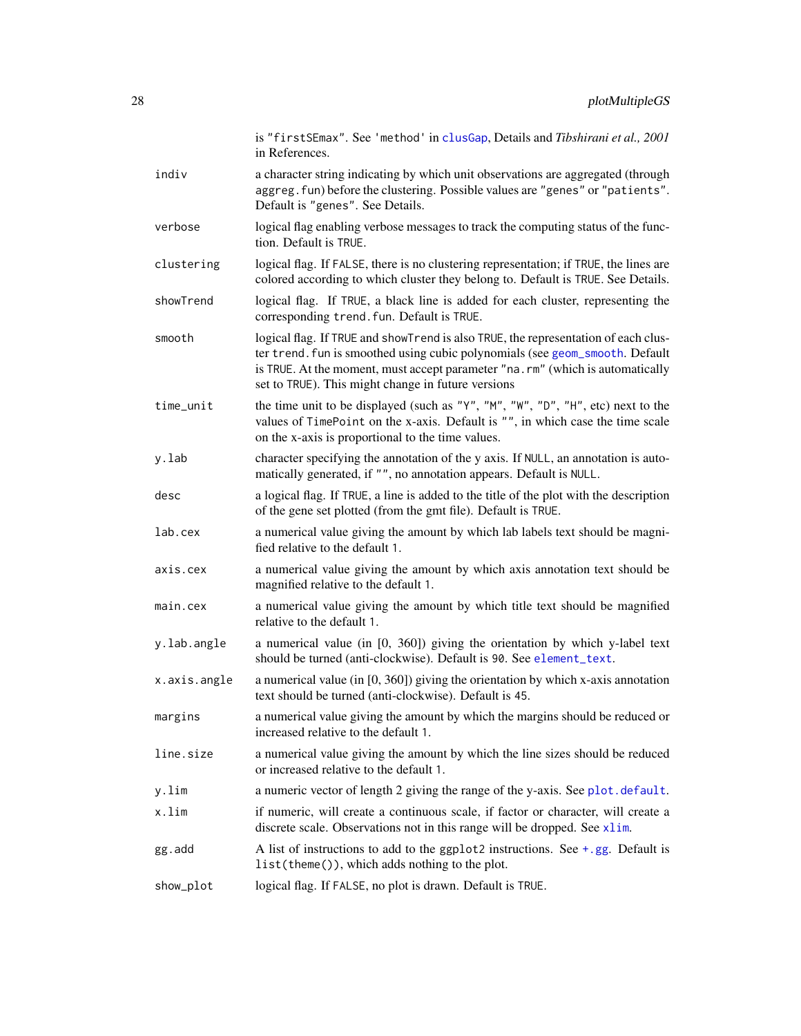<span id="page-27-0"></span>

|              | is "firstSEmax". See 'method' in clusGap, Details and Tibshirani et al., 2001<br>in References.                                                                                                                                                                                                           |
|--------------|-----------------------------------------------------------------------------------------------------------------------------------------------------------------------------------------------------------------------------------------------------------------------------------------------------------|
| indiv        | a character string indicating by which unit observations are aggregated (through<br>aggreg. fun) before the clustering. Possible values are "genes" or "patients".<br>Default is "genes". See Details.                                                                                                    |
| verbose      | logical flag enabling verbose messages to track the computing status of the func-<br>tion. Default is TRUE.                                                                                                                                                                                               |
| clustering   | logical flag. If FALSE, there is no clustering representation; if TRUE, the lines are<br>colored according to which cluster they belong to. Default is TRUE. See Details.                                                                                                                                 |
| showTrend    | logical flag. If TRUE, a black line is added for each cluster, representing the<br>corresponding trend. fun. Default is TRUE.                                                                                                                                                                             |
| smooth       | logical flag. If TRUE and showTrend is also TRUE, the representation of each clus-<br>ter trend. fun is smoothed using cubic polynomials (see geom_smooth. Default<br>is TRUE. At the moment, must accept parameter "na.rm" (which is automatically<br>set to TRUE). This might change in future versions |
| time_unit    | the time unit to be displayed (such as "Y", "M", "W", "D", "H", etc) next to the<br>values of TimePoint on the x-axis. Default is "", in which case the time scale<br>on the x-axis is proportional to the time values.                                                                                   |
| y.lab        | character specifying the annotation of the y axis. If NULL, an annotation is auto-<br>matically generated, if "", no annotation appears. Default is NULL.                                                                                                                                                 |
| desc         | a logical flag. If TRUE, a line is added to the title of the plot with the description<br>of the gene set plotted (from the gmt file). Default is TRUE.                                                                                                                                                   |
| lab.cex      | a numerical value giving the amount by which lab labels text should be magni-<br>fied relative to the default 1.                                                                                                                                                                                          |
| axis.cex     | a numerical value giving the amount by which axis annotation text should be<br>magnified relative to the default 1.                                                                                                                                                                                       |
| main.cex     | a numerical value giving the amount by which title text should be magnified<br>relative to the default 1.                                                                                                                                                                                                 |
| y.lab.angle  | a numerical value (in [0, 360]) giving the orientation by which y-label text<br>should be turned (anti-clockwise). Default is 90. See element_text.                                                                                                                                                       |
| x.axis.angle | a numerical value (in $[0, 360]$ ) giving the orientation by which x-axis annotation<br>text should be turned (anti-clockwise). Default is 45.                                                                                                                                                            |
| margins      | a numerical value giving the amount by which the margins should be reduced or<br>increased relative to the default 1.                                                                                                                                                                                     |
| line.size    | a numerical value giving the amount by which the line sizes should be reduced<br>or increased relative to the default 1.                                                                                                                                                                                  |
| y.lim        | a numeric vector of length 2 giving the range of the y-axis. See plot. default.                                                                                                                                                                                                                           |
| x.lim        | if numeric, will create a continuous scale, if factor or character, will create a<br>discrete scale. Observations not in this range will be dropped. See xlim.                                                                                                                                            |
| gg.add       | A list of instructions to add to the ggplot2 instructions. See $+$ , gg. Default is<br>list(theme()), which adds nothing to the plot.                                                                                                                                                                     |
| show_plot    |                                                                                                                                                                                                                                                                                                           |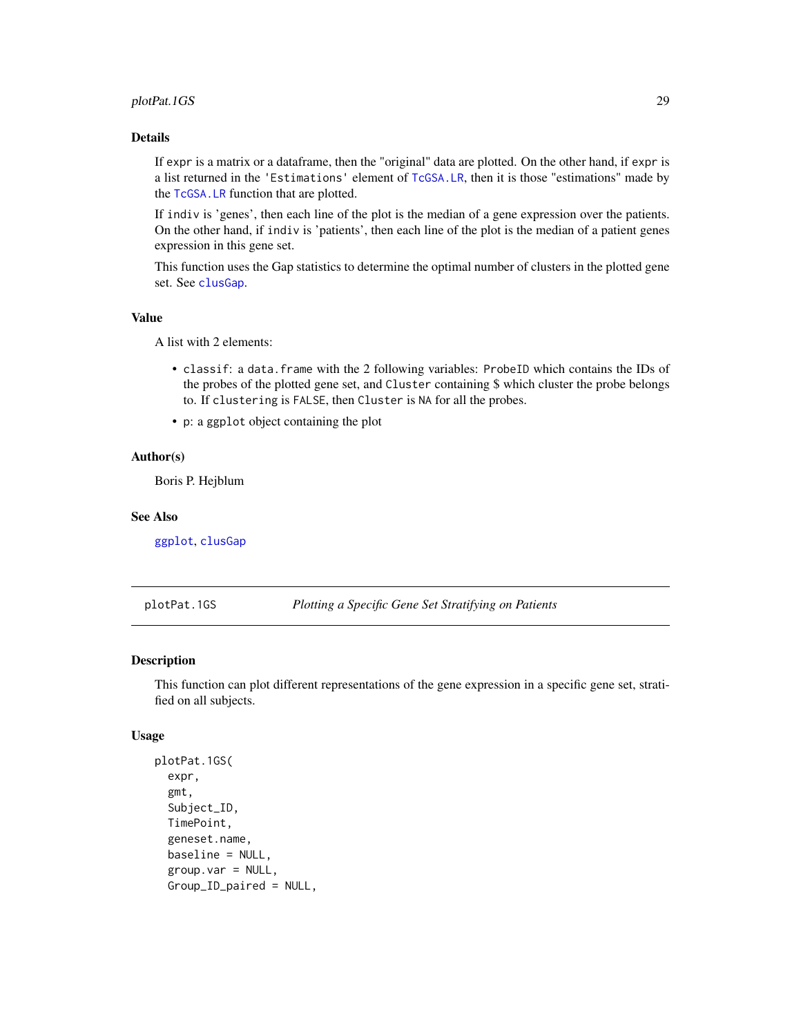#### <span id="page-28-0"></span>plotPat.1GS 29

#### Details

If expr is a matrix or a dataframe, then the "original" data are plotted. On the other hand, if expr is a list returned in the 'Estimations' element of [TcGSA.LR](#page-49-1), then it is those "estimations" made by the [TcGSA.LR](#page-49-1) function that are plotted.

If indiv is 'genes', then each line of the plot is the median of a gene expression over the patients. On the other hand, if indiv is 'patients', then each line of the plot is the median of a patient genes expression in this gene set.

This function uses the Gap statistics to determine the optimal number of clusters in the plotted gene set. See [clusGap](#page-0-0).

#### Value

A list with 2 elements:

- classif: a data.frame with the 2 following variables: ProbeID which contains the IDs of the probes of the plotted gene set, and Cluster containing \$ which cluster the probe belongs to. If clustering is FALSE, then Cluster is NA for all the probes.
- p: a ggplot object containing the plot

#### Author(s)

Boris P. Hejblum

#### See Also

[ggplot](#page-0-0), [clusGap](#page-0-0)

plotPat.1GS *Plotting a Specific Gene Set Stratifying on Patients*

#### Description

This function can plot different representations of the gene expression in a specific gene set, stratified on all subjects.

#### Usage

```
plotPat.1GS(
  expr,
  gmt,
  Subject_ID,
  TimePoint,
  geneset.name,
  baseline = NULL,
  group.var = NULL,Group_ID_paired = NULL,
```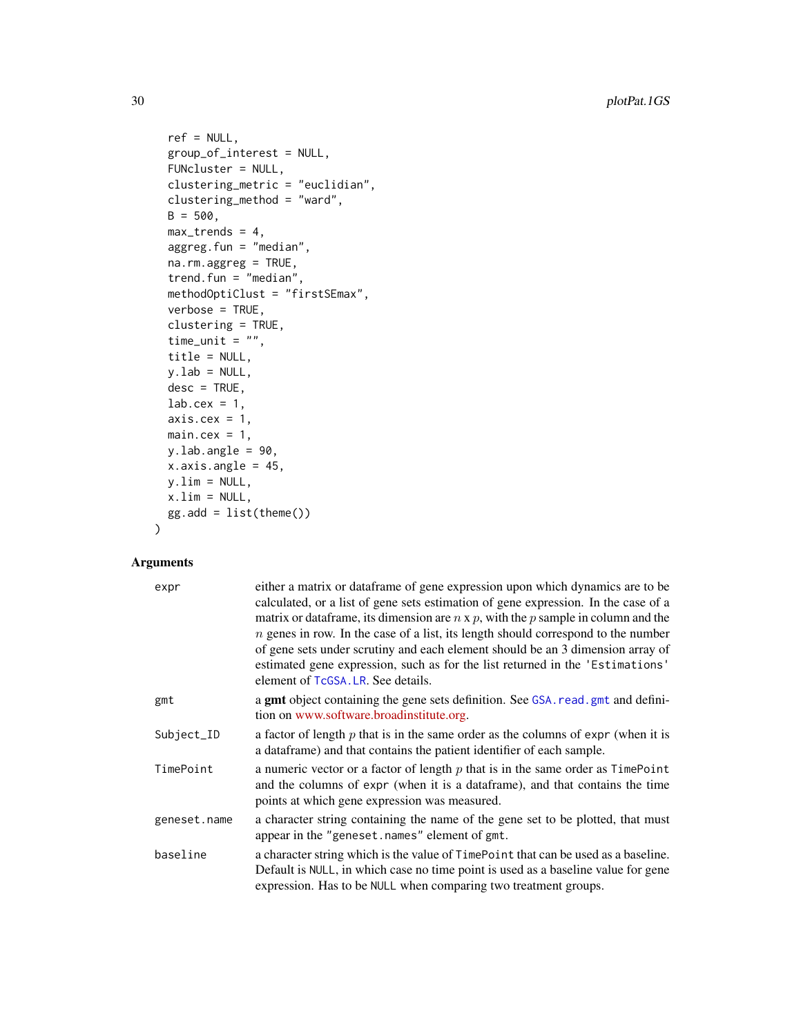```
ref = NULL,group_of_interest = NULL,
 FUNcluster = NULL,
 clustering_metric = "euclidian",
 clustering_method = "ward",
 B = 500,max_trends = 4,
 aggreg.fun = "median",
 na.rm.aggreg = TRUE,
 trend.fun = "median",
 methodOptiClust = "firstSEmax",
 verbose = TRUE,
 clustering = TRUE,
 time_unit = ",
 title = NULL,
 y.lab = NULL,
 desc = TRUE,lab.cex = 1,
 axis.cex = 1,
 main.cex = 1,
 y.lab.angle = 90,
 x.axis.angle = 45,
 y.lim = NULL,x.lim = NULL,gg.add = list(theme())\mathcal{L}
```

| expr         | either a matrix or dataframe of gene expression upon which dynamics are to be<br>calculated, or a list of gene sets estimation of gene expression. In the case of a<br>matrix or data frame, its dimension are $n \times p$ , with the p sample in column and the<br>$n$ genes in row. In the case of a list, its length should correspond to the number<br>of gene sets under scrutiny and each element should be an 3 dimension array of<br>estimated gene expression, such as for the list returned in the 'Estimations'<br>element of TcGSA. LR. See details. |
|--------------|-------------------------------------------------------------------------------------------------------------------------------------------------------------------------------------------------------------------------------------------------------------------------------------------------------------------------------------------------------------------------------------------------------------------------------------------------------------------------------------------------------------------------------------------------------------------|
| gmt          | a gmt object containing the gene sets definition. See GSA. read. gmt and defini-<br>tion on www.software.broadinstitute.org.                                                                                                                                                                                                                                                                                                                                                                                                                                      |
| Subject_ID   | a factor of length $p$ that is in the same order as the columns of expr (when it is<br>a dataframe) and that contains the patient identifier of each sample.                                                                                                                                                                                                                                                                                                                                                                                                      |
| TimePoint    | a numeric vector or a factor of length $p$ that is in the same order as $TimePoint$<br>and the columns of expr (when it is a data frame), and that contains the time<br>points at which gene expression was measured.                                                                                                                                                                                                                                                                                                                                             |
| geneset.name | a character string containing the name of the gene set to be plotted, that must<br>appear in the "geneset.names" element of gmt.                                                                                                                                                                                                                                                                                                                                                                                                                                  |
| baseline     | a character string which is the value of TimePoint that can be used as a baseline.<br>Default is NULL, in which case no time point is used as a baseline value for gene<br>expression. Has to be NULL when comparing two treatment groups.                                                                                                                                                                                                                                                                                                                        |

<span id="page-29-0"></span>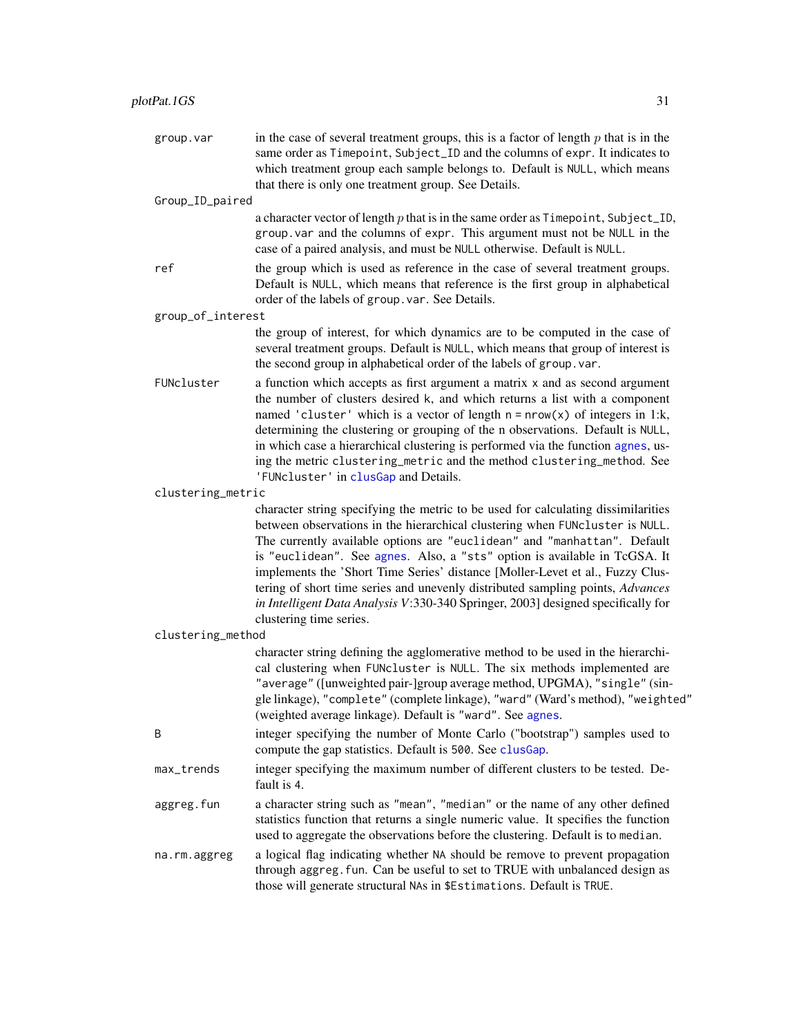<span id="page-30-0"></span>group. var in the case of several treatment groups, this is a factor of length  $p$  that is in the same order as Timepoint, Subject\_ID and the columns of expr. It indicates to which treatment group each sample belongs to. Default is NULL, which means that there is only one treatment group. See Details.

Group\_ID\_paired

a character vector of length  $p$  that is in the same order as  $T$ imepoint, Subject\_ID, group.var and the columns of expr. This argument must not be NULL in the case of a paired analysis, and must be NULL otherwise. Default is NULL.

ref the group which is used as reference in the case of several treatment groups. Default is NULL, which means that reference is the first group in alphabetical order of the labels of group.var. See Details.

group\_of\_interest

the group of interest, for which dynamics are to be computed in the case of several treatment groups. Default is NULL, which means that group of interest is the second group in alphabetical order of the labels of group.var.

FUNcluster a function which accepts as first argument a matrix x and as second argument the number of clusters desired k, and which returns a list with a component named 'cluster' which is a vector of length  $n = nrow(x)$  of integers in 1:k, determining the clustering or grouping of the n observations. Default is NULL, in which case a hierarchical clustering is performed via the function [agnes](#page-0-0), using the metric clustering\_metric and the method clustering\_method. See 'FUNcluster' in [clusGap](#page-0-0) and Details.

clustering\_metric

character string specifying the metric to be used for calculating dissimilarities between observations in the hierarchical clustering when FUNcluster is NULL. The currently available options are "euclidean" and "manhattan". Default is "euclidean". See [agnes](#page-0-0). Also, a "sts" option is available in TcGSA. It implements the 'Short Time Series' distance [Moller-Levet et al., Fuzzy Clustering of short time series and unevenly distributed sampling points, *Advances in Intelligent Data Analysis V*:330-340 Springer, 2003] designed specifically for clustering time series.

clustering\_method

character string defining the agglomerative method to be used in the hierarchical clustering when FUNcluster is NULL. The six methods implemented are "average" ([unweighted pair-]group average method, UPGMA), "single" (single linkage), "complete" (complete linkage), "ward" (Ward's method), "weighted" (weighted average linkage). Default is "ward". See [agnes](#page-0-0).

- B integer specifying the number of Monte Carlo ("bootstrap") samples used to compute the gap statistics. Default is 500. See [clusGap](#page-0-0).
- max\_trends integer specifying the maximum number of different clusters to be tested. Default is 4.
- aggreg.fun a character string such as "mean", "median" or the name of any other defined statistics function that returns a single numeric value. It specifies the function used to aggregate the observations before the clustering. Default is to median.
- na.rm.aggreg a logical flag indicating whether NA should be remove to prevent propagation through aggreg.fun. Can be useful to set to TRUE with unbalanced design as those will generate structural NAs in \$Estimations. Default is TRUE.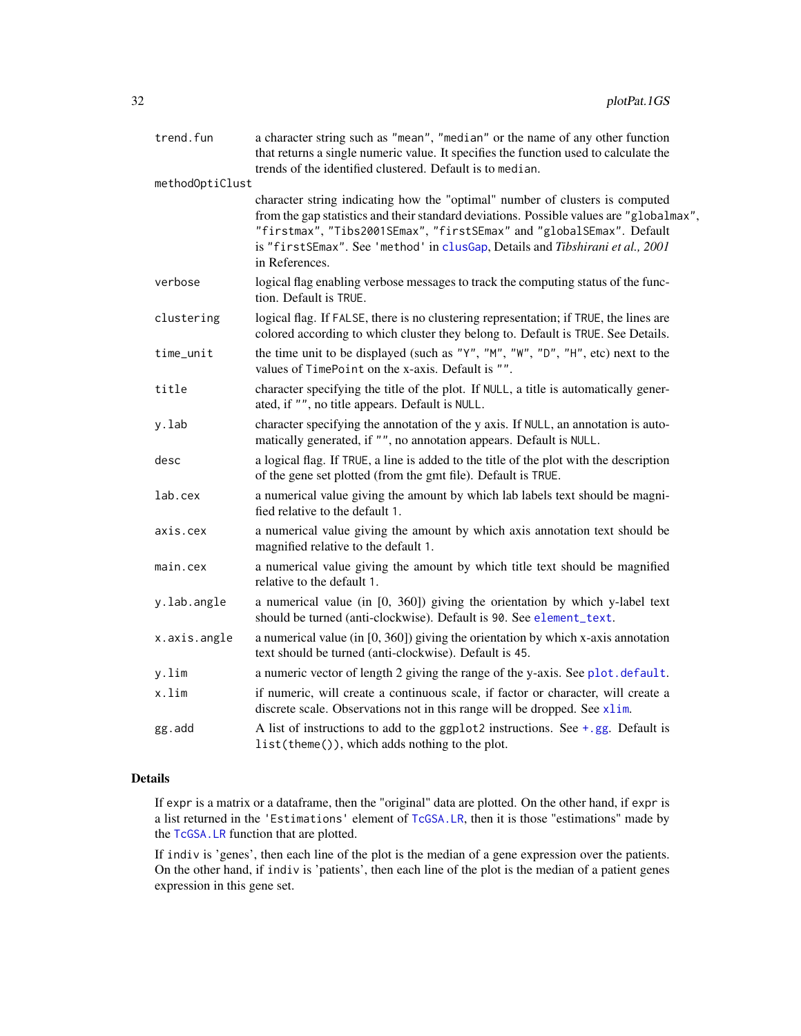<span id="page-31-0"></span>

| trend.fun       | a character string such as "mean", "median" or the name of any other function<br>that returns a single numeric value. It specifies the function used to calculate the<br>trends of the identified clustered. Default is to median.                                                                                                                 |
|-----------------|----------------------------------------------------------------------------------------------------------------------------------------------------------------------------------------------------------------------------------------------------------------------------------------------------------------------------------------------------|
| methodOptiClust |                                                                                                                                                                                                                                                                                                                                                    |
|                 | character string indicating how the "optimal" number of clusters is computed<br>from the gap statistics and their standard deviations. Possible values are "globalmax",<br>"firstmax", "Tibs2001SEmax", "firstSEmax" and "globalSEmax". Default<br>is "firstSEmax". See 'method' in clusGap, Details and Tibshirani et al., 2001<br>in References. |
| verbose         | logical flag enabling verbose messages to track the computing status of the func-<br>tion. Default is TRUE.                                                                                                                                                                                                                                        |
| clustering      | logical flag. If FALSE, there is no clustering representation; if TRUE, the lines are<br>colored according to which cluster they belong to. Default is TRUE. See Details.                                                                                                                                                                          |
| time_unit       | the time unit to be displayed (such as "Y", "M", "W", "D", "H", etc) next to the<br>values of TimePoint on the x-axis. Default is "".                                                                                                                                                                                                              |
| title           | character specifying the title of the plot. If NULL, a title is automatically gener-<br>ated, if "", no title appears. Default is NULL.                                                                                                                                                                                                            |
| y.lab           | character specifying the annotation of the y axis. If NULL, an annotation is auto-<br>matically generated, if "", no annotation appears. Default is NULL.                                                                                                                                                                                          |
| desc            | a logical flag. If TRUE, a line is added to the title of the plot with the description<br>of the gene set plotted (from the gmt file). Default is TRUE.                                                                                                                                                                                            |
| lab.cex         | a numerical value giving the amount by which lab labels text should be magni-<br>fied relative to the default 1.                                                                                                                                                                                                                                   |
| axis.cex        | a numerical value giving the amount by which axis annotation text should be<br>magnified relative to the default 1.                                                                                                                                                                                                                                |
| main.cex        | a numerical value giving the amount by which title text should be magnified<br>relative to the default 1.                                                                                                                                                                                                                                          |
| y.lab.angle     | a numerical value (in [0, 360]) giving the orientation by which y-label text<br>should be turned (anti-clockwise). Default is 90. See element_text.                                                                                                                                                                                                |
| x.axis.angle    | a numerical value (in $[0, 360]$ ) giving the orientation by which x-axis annotation<br>text should be turned (anti-clockwise). Default is 45.                                                                                                                                                                                                     |
| y.lim           | a numeric vector of length 2 giving the range of the y-axis. See plot.default.                                                                                                                                                                                                                                                                     |
| x.lim           | if numeric, will create a continuous scale, if factor or character, will create a<br>discrete scale. Observations not in this range will be dropped. See xlim.                                                                                                                                                                                     |
| gg.add          | A list of instructions to add to the ggplot2 instructions. See $+$ , gg. Default is<br>list(theme()), which adds nothing to the plot.                                                                                                                                                                                                              |

### Details

If expr is a matrix or a dataframe, then the "original" data are plotted. On the other hand, if expr is a list returned in the 'Estimations' element of [TcGSA.LR](#page-49-1), then it is those "estimations" made by the [TcGSA.LR](#page-49-1) function that are plotted.

If indiv is 'genes', then each line of the plot is the median of a gene expression over the patients. On the other hand, if indiv is 'patients', then each line of the plot is the median of a patient genes expression in this gene set.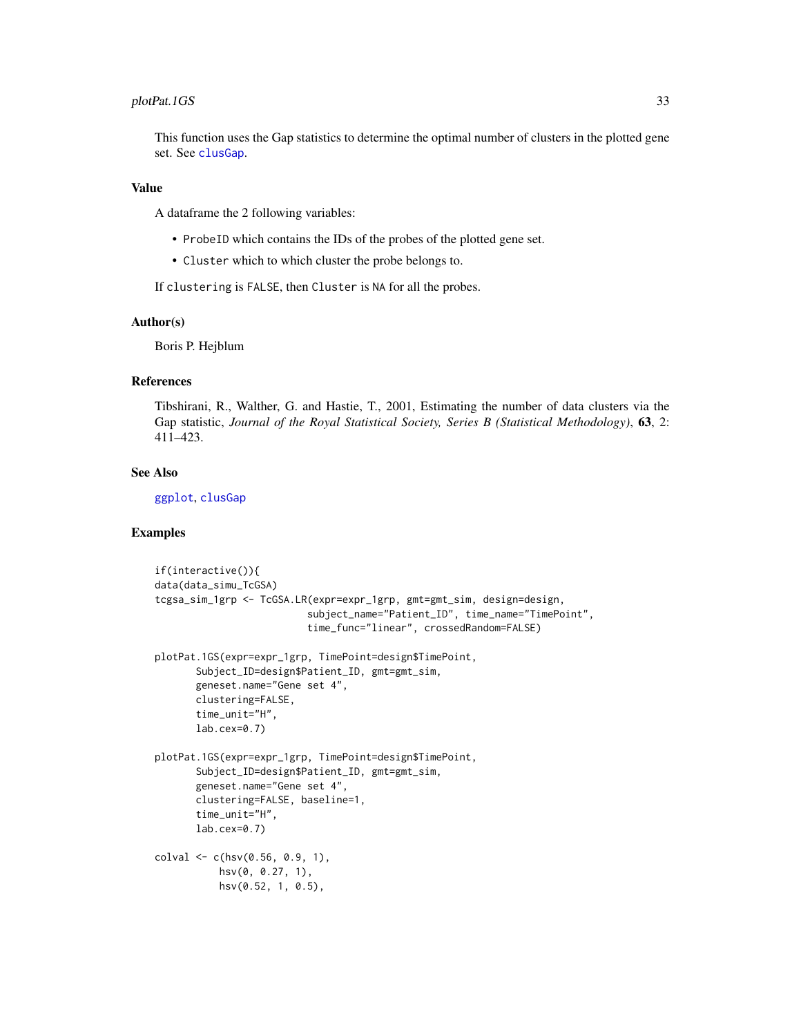#### <span id="page-32-0"></span>plotPat.1GS 33

This function uses the Gap statistics to determine the optimal number of clusters in the plotted gene set. See [clusGap](#page-0-0).

#### Value

A dataframe the 2 following variables:

- ProbeID which contains the IDs of the probes of the plotted gene set.
- Cluster which to which cluster the probe belongs to.

If clustering is FALSE, then Cluster is NA for all the probes.

#### Author(s)

Boris P. Hejblum

#### References

Tibshirani, R., Walther, G. and Hastie, T., 2001, Estimating the number of data clusters via the Gap statistic, *Journal of the Royal Statistical Society, Series B (Statistical Methodology)*, 63, 2: 411–423.

#### See Also

[ggplot](#page-0-0), [clusGap](#page-0-0)

#### Examples

```
if(interactive()){
data(data_simu_TcGSA)
tcgsa_sim_1grp <- TcGSA.LR(expr=expr_1grp, gmt=gmt_sim, design=design,
                          subject_name="Patient_ID", time_name="TimePoint",
                          time_func="linear", crossedRandom=FALSE)
plotPat.1GS(expr=expr_1grp, TimePoint=design$TimePoint,
      Subject_ID=design$Patient_ID, gmt=gmt_sim,
      geneset.name="Gene set 4",
      clustering=FALSE,
      time_unit="H",
      lab.cex=0.7)
plotPat.1GS(expr=expr_1grp, TimePoint=design$TimePoint,
      Subject_ID=design$Patient_ID, gmt=gmt_sim,
      geneset.name="Gene set 4",
      clustering=FALSE, baseline=1,
      time_unit="H",
      lab.cex=0.7)
colval \leq c(hsv(0.56, 0.9, 1),hsv(0, 0.27, 1),
          hsv(0.52, 1, 0.5),
```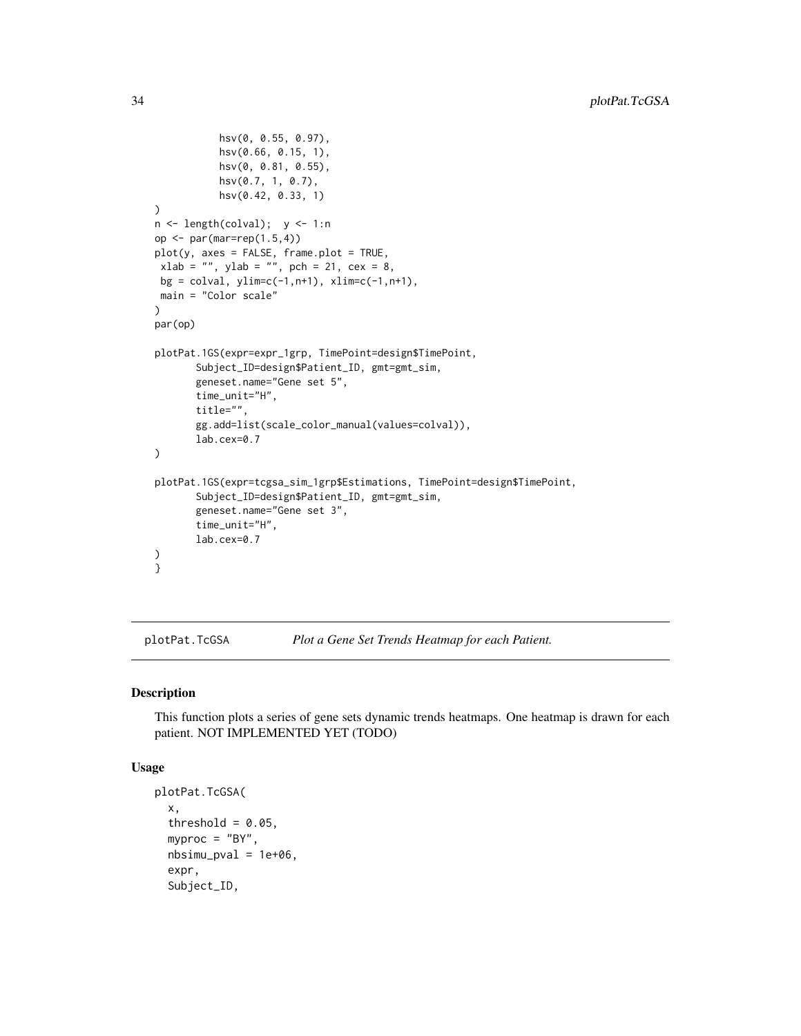```
hsv(0, 0.55, 0.97),
           hsv(0.66, 0.15, 1),
           hsv(0, 0.81, 0.55),
           hsv(0.7, 1, 0.7),
           hsv(0.42, 0.33, 1)
)
n \leq length(colval); y \leq 1:nop <- par(mar=rep(1.5,4))
plot(y, axes = FALSE, frame.plot = TRUE,xlab = "", ylab = "", pch = 21, cex = 8,
 bg = colval, ylim=c(-1, n+1), xlim=c(-1, n+1),main = "Color scale"
)
par(op)
plotPat.1GS(expr=expr_1grp, TimePoint=design$TimePoint,
       Subject_ID=design$Patient_ID, gmt=gmt_sim,
       geneset.name="Gene set 5",
       time_unit="H",
       title="",
       gg.add=list(scale_color_manual(values=colval)),
       lab.cex=0.7
\mathcal{L}plotPat.1GS(expr=tcgsa_sim_1grp$Estimations, TimePoint=design$TimePoint,
       Subject_ID=design$Patient_ID, gmt=gmt_sim,
       geneset.name="Gene set 3",
       time_unit="H",
       lab.cex=0.7
)
}
```
plotPat.TcGSA *Plot a Gene Set Trends Heatmap for each Patient.*

#### Description

This function plots a series of gene sets dynamic trends heatmaps. One heatmap is drawn for each patient. NOT IMPLEMENTED YET (TODO)

#### Usage

```
plotPat.TcGSA(
  x,
  threshold = 0.05,
 myproc = "BY".nbsimu_pval = 1e+06,
  expr,
  Subject_ID,
```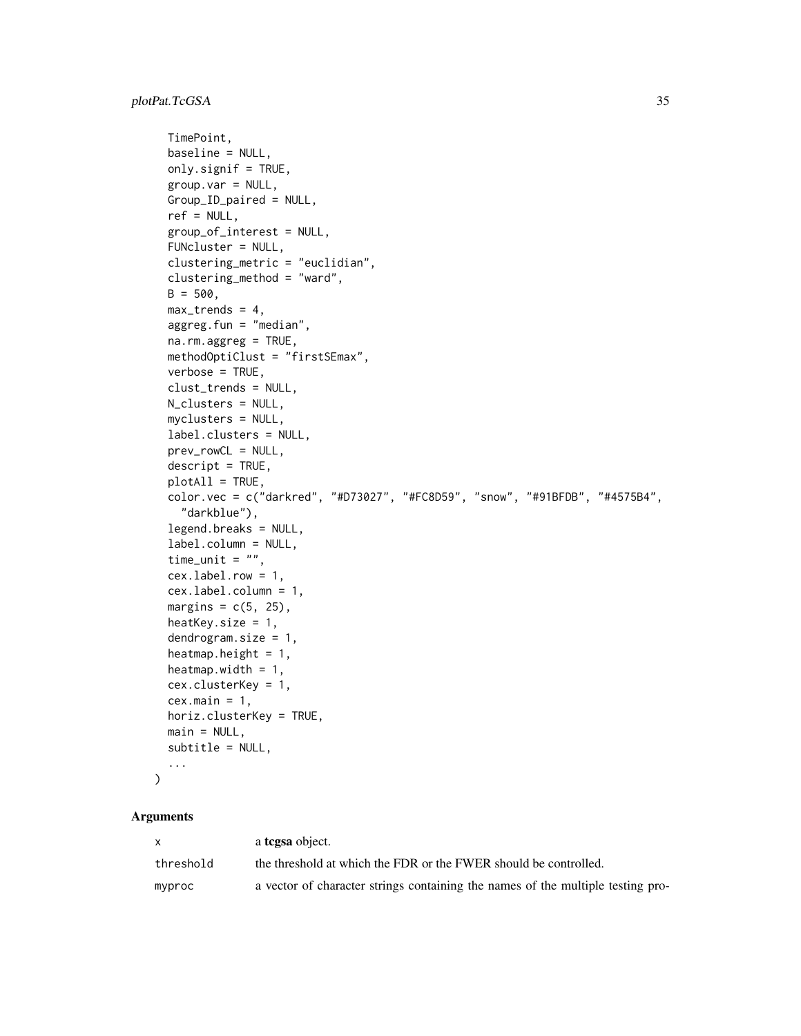```
TimePoint,
 baseline = NULL,
 only.signif = TRUE,
 group.var = NULL,
 Group_ID_paired = NULL,
  ref = NULL,group_of_interest = NULL,
 FUNcluster = NULL,
  clustering_metric = "euclidian",
  clustering_method = "ward",
 B = 500,max_trends = 4,
 aggreg.fun = "median",
 na.rm.aggreg = TRUE,
 methodOptiClust = "firstSEmax",
  verbose = TRUE,
  clust_trends = NULL,
 N_clusters = NULL,
 myclusters = NULL,
  label.clusters = NULL,
 prev_rowCL = NULL,
  descript = TRUE,plotAll = TRUE,
  color.vec = c("darkred", "#D73027", "#FC8D59", "snow", "#91BFDB", "#4575B4",
    "darkblue"),
  legend.breaks = NULL,
  label.column = NULL,
  time_unit = ",
  cex.label.row = 1,
  cex.label.column = 1,
 margins = c(5, 25),
 heatKey.size = 1,
  dendrogram.size = 1,
  heatmap.height = 1,
  heatmap.width = 1,
  cex.clusterKey = 1,
 cex.mainloop = 1,
 horiz.clusterKey = TRUE,
 main = NULL,subtitle = NULL,
  ...
\mathcal{L}
```

| x.        | a <b>tcgsa</b> object.                                                          |
|-----------|---------------------------------------------------------------------------------|
| threshold | the threshold at which the FDR or the FWER should be controlled.                |
| myproc    | a vector of character strings containing the names of the multiple testing pro- |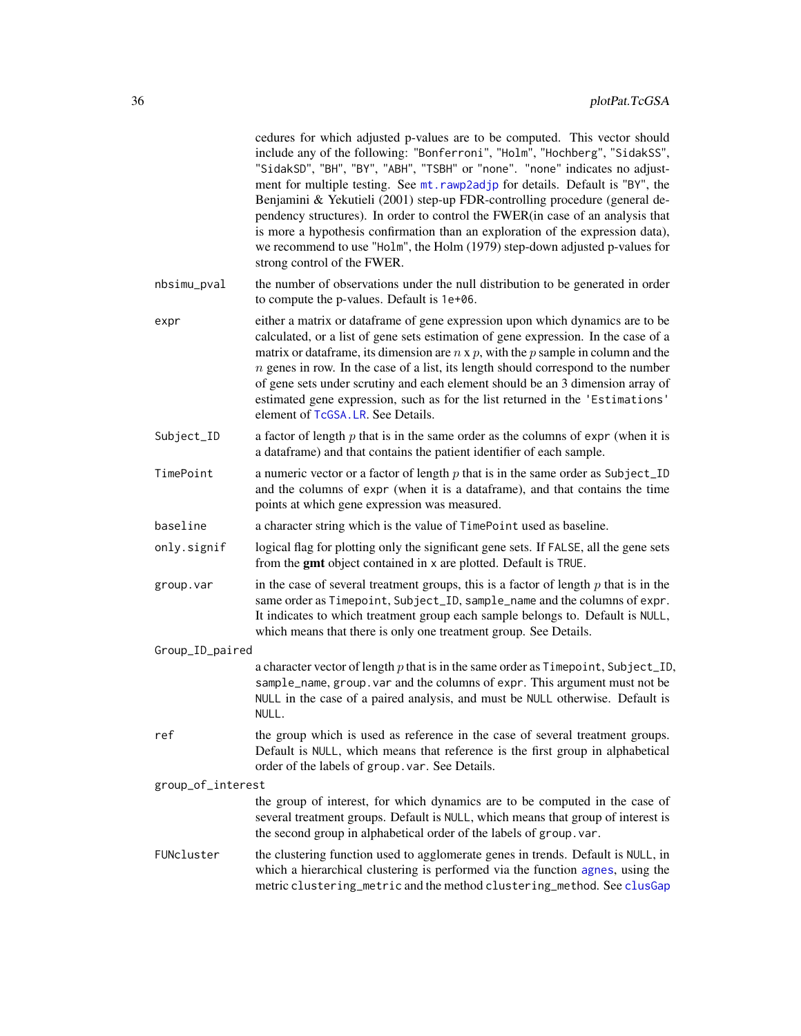<span id="page-35-0"></span>

|                   | cedures for which adjusted p-values are to be computed. This vector should<br>include any of the following: "Bonferroni", "Holm", "Hochberg", "SidakSS",<br>"SidakSD", "BH", "BY", "ABH", "TSBH" or "none". "none" indicates no adjust-<br>ment for multiple testing. See mt. rawp2adjp for details. Default is "BY", the<br>Benjamini & Yekutieli (2001) step-up FDR-controlling procedure (general de-<br>pendency structures). In order to control the FWER(in case of an analysis that<br>is more a hypothesis confirmation than an exploration of the expression data),<br>we recommend to use "Holm", the Holm (1979) step-down adjusted p-values for<br>strong control of the FWER. |  |
|-------------------|--------------------------------------------------------------------------------------------------------------------------------------------------------------------------------------------------------------------------------------------------------------------------------------------------------------------------------------------------------------------------------------------------------------------------------------------------------------------------------------------------------------------------------------------------------------------------------------------------------------------------------------------------------------------------------------------|--|
| nbsimu_pval       | the number of observations under the null distribution to be generated in order<br>to compute the p-values. Default is 1e+06.                                                                                                                                                                                                                                                                                                                                                                                                                                                                                                                                                              |  |
| expr              | either a matrix or dataframe of gene expression upon which dynamics are to be<br>calculated, or a list of gene sets estimation of gene expression. In the case of a<br>matrix or data frame, its dimension are $n \times p$ , with the $p$ sample in column and the<br>$n$ genes in row. In the case of a list, its length should correspond to the number<br>of gene sets under scrutiny and each element should be an 3 dimension array of<br>estimated gene expression, such as for the list returned in the 'Estimations'<br>element of TcGSA.LR. See Details.                                                                                                                         |  |
| Subject_ID        | a factor of length $p$ that is in the same order as the columns of expr (when it is<br>a dataframe) and that contains the patient identifier of each sample.                                                                                                                                                                                                                                                                                                                                                                                                                                                                                                                               |  |
| TimePoint         | a numeric vector or a factor of length $p$ that is in the same order as Subject_ID<br>and the columns of expr (when it is a dataframe), and that contains the time<br>points at which gene expression was measured.                                                                                                                                                                                                                                                                                                                                                                                                                                                                        |  |
| baseline          | a character string which is the value of TimePoint used as baseline.                                                                                                                                                                                                                                                                                                                                                                                                                                                                                                                                                                                                                       |  |
| only.signif       | logical flag for plotting only the significant gene sets. If FALSE, all the gene sets<br>from the gmt object contained in x are plotted. Default is TRUE.                                                                                                                                                                                                                                                                                                                                                                                                                                                                                                                                  |  |
| group.var         | in the case of several treatment groups, this is a factor of length $p$ that is in the<br>same order as Timepoint, Subject_ID, sample_name and the columns of expr.<br>It indicates to which treatment group each sample belongs to. Default is NULL,<br>which means that there is only one treatment group. See Details.                                                                                                                                                                                                                                                                                                                                                                  |  |
| Group_ID_paired   |                                                                                                                                                                                                                                                                                                                                                                                                                                                                                                                                                                                                                                                                                            |  |
|                   | a character vector of length $p$ that is in the same order as $T$ imepoint, Subject_ID,<br>sample_name, group. var and the columns of expr. This argument must not be<br>NULL in the case of a paired analysis, and must be NULL otherwise. Default is<br>NULL.                                                                                                                                                                                                                                                                                                                                                                                                                            |  |
| ref               | the group which is used as reference in the case of several treatment groups.<br>Default is NULL, which means that reference is the first group in alphabetical<br>order of the labels of group. var. See Details.                                                                                                                                                                                                                                                                                                                                                                                                                                                                         |  |
| group_of_interest |                                                                                                                                                                                                                                                                                                                                                                                                                                                                                                                                                                                                                                                                                            |  |
|                   | the group of interest, for which dynamics are to be computed in the case of<br>several treatment groups. Default is NULL, which means that group of interest is<br>the second group in alphabetical order of the labels of group. var.                                                                                                                                                                                                                                                                                                                                                                                                                                                     |  |
| FUNcluster        | the clustering function used to agglomerate genes in trends. Default is NULL, in<br>which a hierarchical clustering is performed via the function agnes, using the<br>metric clustering_metric and the method clustering_method. See clusGap                                                                                                                                                                                                                                                                                                                                                                                                                                               |  |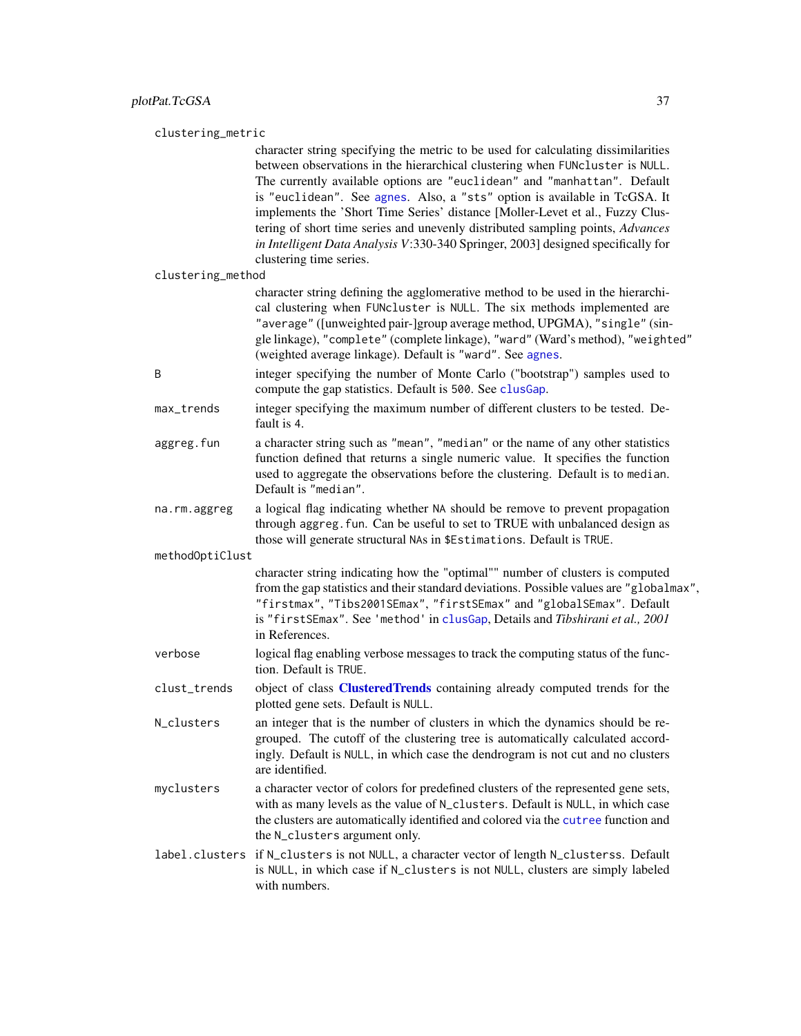<span id="page-36-0"></span>clustering\_metric

character string specifying the metric to be used for calculating dissimilarities between observations in the hierarchical clustering when FUNcluster is NULL. The currently available options are "euclidean" and "manhattan". Default is "euclidean". See [agnes](#page-0-0). Also, a "sts" option is available in TcGSA. It implements the 'Short Time Series' distance [Moller-Levet et al., Fuzzy Clustering of short time series and unevenly distributed sampling points, *Advances in Intelligent Data Analysis V*:330-340 Springer, 2003] designed specifically for clustering time series.

clustering\_method

character string defining the agglomerative method to be used in the hierarchical clustering when FUNcluster is NULL. The six methods implemented are "average" ([unweighted pair-]group average method, UPGMA), "single" (single linkage), "complete" (complete linkage), "ward" (Ward's method), "weighted" (weighted average linkage). Default is "ward". See [agnes](#page-0-0).

- B integer specifying the number of Monte Carlo ("bootstrap") samples used to compute the gap statistics. Default is 500. See [clusGap](#page-0-0).
- max\_trends integer specifying the maximum number of different clusters to be tested. Default is 4.
- aggreg.fun a character string such as "mean", "median" or the name of any other statistics function defined that returns a single numeric value. It specifies the function used to aggregate the observations before the clustering. Default is to median. Default is "median".
- na.rm.aggreg a logical flag indicating whether NA should be remove to prevent propagation through aggreg.fun. Can be useful to set to TRUE with unbalanced design as those will generate structural NAs in \$Estimations. Default is TRUE.

methodOptiClust

character string indicating how the "optimal"" number of clusters is computed from the gap statistics and their standard deviations. Possible values are "globalmax", "firstmax", "Tibs2001SEmax", "firstSEmax" and "globalSEmax". Default is "firstSEmax". See 'method' in [clusGap](#page-0-0), Details and *Tibshirani et al., 2001* in References.

- verbose logical flag enabling verbose messages to track the computing status of the function. Default is TRUE.
- clust\_trends object of class **[ClusteredTrends](#page-2-1)** containing already computed trends for the plotted gene sets. Default is NULL.
- N\_clusters an integer that is the number of clusters in which the dynamics should be regrouped. The cutoff of the clustering tree is automatically calculated accordingly. Default is NULL, in which case the dendrogram is not cut and no clusters are identified.
- myclusters a character vector of colors for predefined clusters of the represented gene sets, with as many levels as the value of N\_clusters. Default is NULL, in which case the clusters are automatically identified and colored via the [cutree](#page-0-0) function and the N\_clusters argument only.
- label.clusters if N\_clusters is not NULL, a character vector of length N\_clusterss. Default is NULL, in which case if N\_clusters is not NULL, clusters are simply labeled with numbers.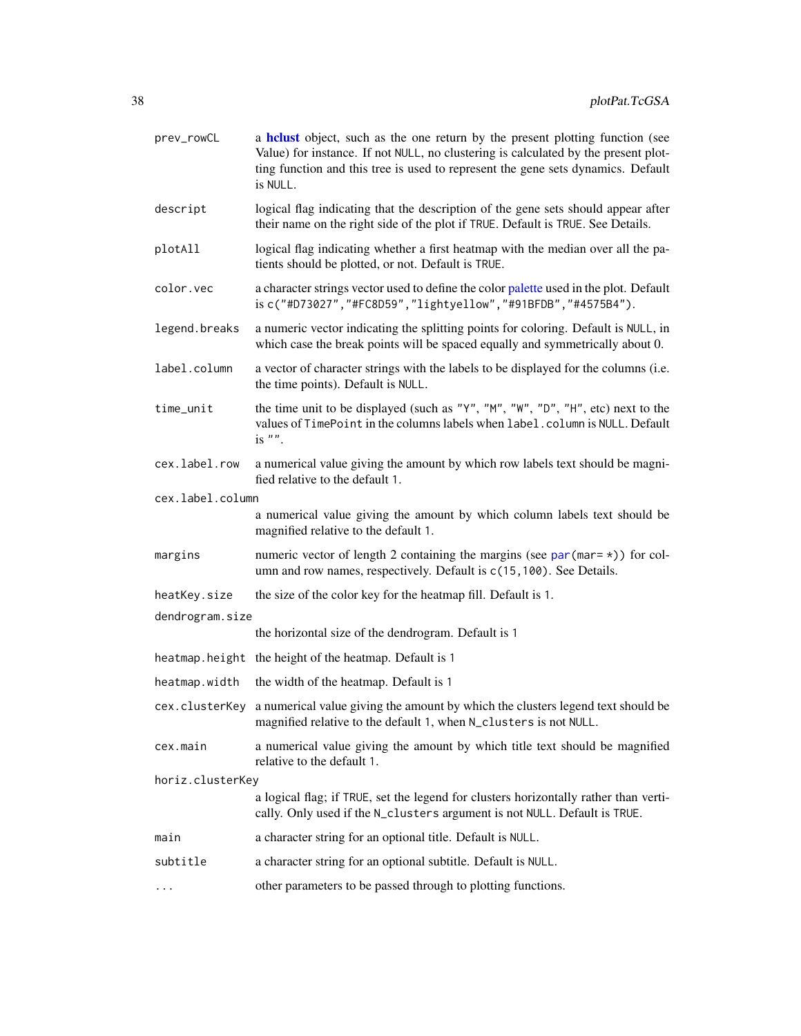<span id="page-37-0"></span>

| prev_rowCL       | a helust object, such as the one return by the present plotting function (see<br>Value) for instance. If not NULL, no clustering is calculated by the present plot-<br>ting function and this tree is used to represent the gene sets dynamics. Default<br>is NULL. |
|------------------|---------------------------------------------------------------------------------------------------------------------------------------------------------------------------------------------------------------------------------------------------------------------|
| descript         | logical flag indicating that the description of the gene sets should appear after<br>their name on the right side of the plot if TRUE. Default is TRUE. See Details.                                                                                                |
| plotAll          | logical flag indicating whether a first heatmap with the median over all the pa-<br>tients should be plotted, or not. Default is TRUE.                                                                                                                              |
| color.vec        | a character strings vector used to define the color palette used in the plot. Default<br>is c("#D73027", "#FC8D59", "lightyellow", "#91BFDB", "#4575B4").                                                                                                           |
| legend.breaks    | a numeric vector indicating the splitting points for coloring. Default is NULL, in<br>which case the break points will be spaced equally and symmetrically about 0.                                                                                                 |
| label.column     | a vector of character strings with the labels to be displayed for the columns (i.e.<br>the time points). Default is NULL.                                                                                                                                           |
| time_unit        | the time unit to be displayed (such as "Y", "M", "W", "D", "H", etc) next to the<br>values of TimePoint in the columns labels when label.column is NULL. Default<br>is $"$ .                                                                                        |
| cex.label.row    | a numerical value giving the amount by which row labels text should be magni-<br>fied relative to the default 1.                                                                                                                                                    |
| cex.label.column |                                                                                                                                                                                                                                                                     |
|                  | a numerical value giving the amount by which column labels text should be<br>magnified relative to the default 1.                                                                                                                                                   |
| margins          | numeric vector of length 2 containing the margins (see par (mar= $\star$ )) for col-<br>umn and row names, respectively. Default is c(15, 100). See Details.                                                                                                        |
| heatKey.size     | the size of the color key for the heatmap fill. Default is 1.                                                                                                                                                                                                       |
| dendrogram.size  |                                                                                                                                                                                                                                                                     |
|                  | the horizontal size of the dendrogram. Default is 1                                                                                                                                                                                                                 |
|                  | heatmap. height the height of the heatmap. Default is 1                                                                                                                                                                                                             |
| heatmap.width    | the width of the heatmap. Default is 1                                                                                                                                                                                                                              |
|                  | cex. cluster Key a numerical value giving the amount by which the clusters legend text should be<br>magnified relative to the default 1, when N_clusters is not NULL.                                                                                               |
| cex.main         | a numerical value giving the amount by which title text should be magnified<br>relative to the default 1.                                                                                                                                                           |
| horiz.clusterKey |                                                                                                                                                                                                                                                                     |
|                  | a logical flag; if TRUE, set the legend for clusters horizontally rather than verti-<br>cally. Only used if the N_clusters argument is not NULL. Default is TRUE.                                                                                                   |
| main             | a character string for an optional title. Default is NULL.                                                                                                                                                                                                          |
| subtitle         | a character string for an optional subtitle. Default is NULL.                                                                                                                                                                                                       |
| $\cdots$         | other parameters to be passed through to plotting functions.                                                                                                                                                                                                        |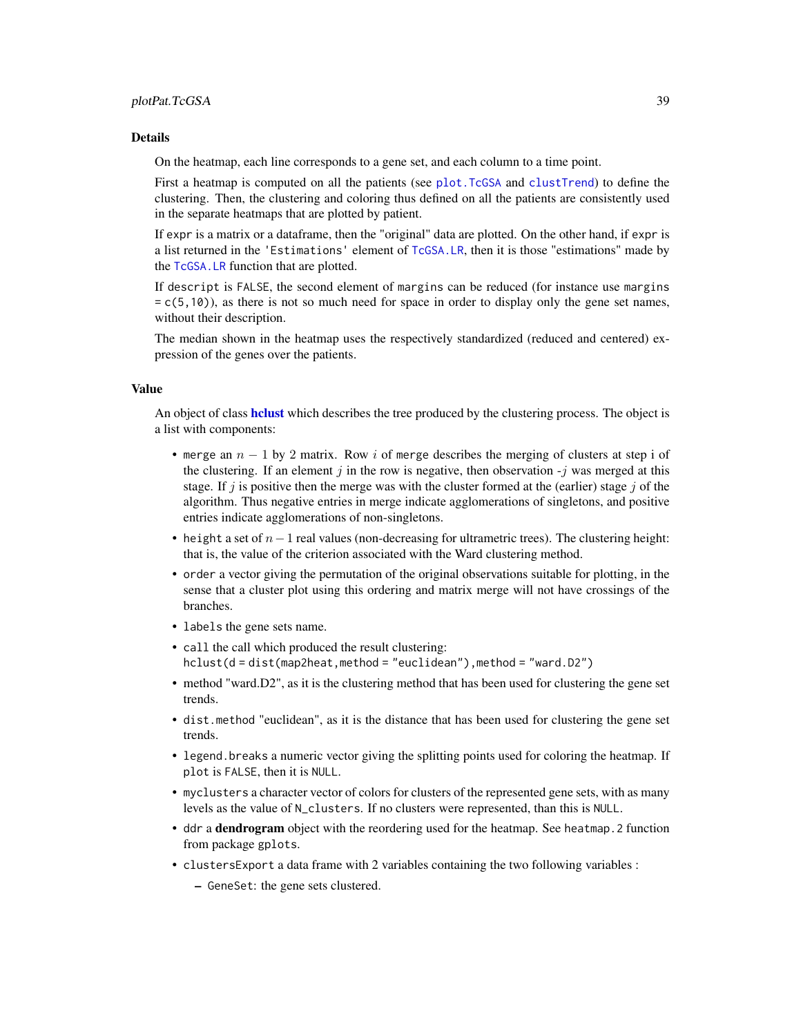#### <span id="page-38-0"></span>Details

On the heatmap, each line corresponds to a gene set, and each column to a time point.

First a heatmap is computed on all the patients (see [plot.TcGSA](#page-9-1) and [clustTrend](#page-2-2)) to define the clustering. Then, the clustering and coloring thus defined on all the patients are consistently used in the separate heatmaps that are plotted by patient.

If expr is a matrix or a dataframe, then the "original" data are plotted. On the other hand, if expr is a list returned in the 'Estimations' element of [TcGSA.LR](#page-49-1), then it is those "estimations" made by the [TcGSA.LR](#page-49-1) function that are plotted.

If descript is FALSE, the second element of margins can be reduced (for instance use margins  $= c(5,10)$ , as there is not so much need for space in order to display only the gene set names, without their description.

The median shown in the heatmap uses the respectively standardized (reduced and centered) expression of the genes over the patients.

#### Value

An object of class helust which describes the tree produced by the clustering process. The object is a list with components:

- merge an  $n 1$  by 2 matrix. Row i of merge describes the merging of clusters at step i of the clustering. If an element j in the row is negative, then observation  $-i$  was merged at this stage. If j is positive then the merge was with the cluster formed at the (earlier) stage j of the algorithm. Thus negative entries in merge indicate agglomerations of singletons, and positive entries indicate agglomerations of non-singletons.
- height a set of  $n-1$  real values (non-decreasing for ultrametric trees). The clustering height: that is, the value of the criterion associated with the Ward clustering method.
- order a vector giving the permutation of the original observations suitable for plotting, in the sense that a cluster plot using this ordering and matrix merge will not have crossings of the branches.
- labels the gene sets name.
- call the call which produced the result clustering:  $hclust(d = dist(map2heat, method = "euclidean")$ , method = "euclidean")
- method "ward.D2", as it is the clustering method that has been used for clustering the gene set trends.
- dist.method "euclidean", as it is the distance that has been used for clustering the gene set trends.
- legend.breaks a numeric vector giving the splitting points used for coloring the heatmap. If plot is FALSE, then it is NULL.
- myclusters a character vector of colors for clusters of the represented gene sets, with as many levels as the value of N\_clusters. If no clusters were represented, than this is NULL.
- ddr a dendrogram object with the reordering used for the heatmap. See heatmap.2 function from package gplots.
- clustersExport a data frame with 2 variables containing the two following variables :
	- GeneSet: the gene sets clustered.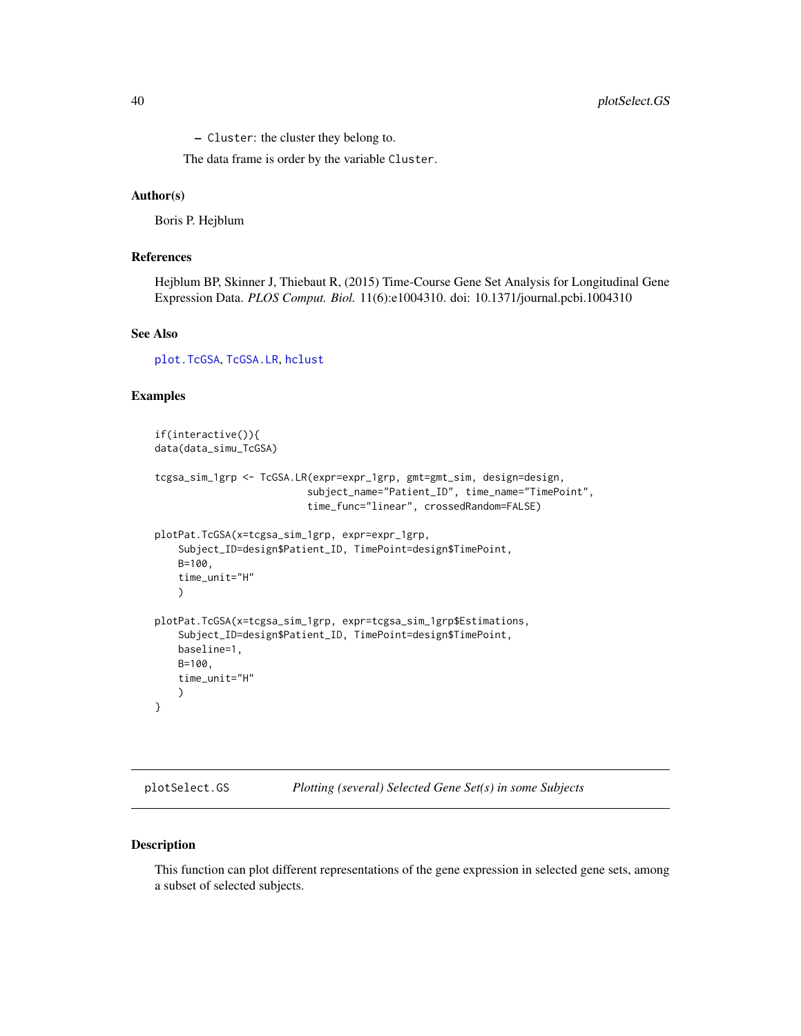<span id="page-39-0"></span>40 plotSelect.GS

– Cluster: the cluster they belong to.

The data frame is order by the variable Cluster.

#### Author(s)

Boris P. Hejblum

### References

Hejblum BP, Skinner J, Thiebaut R, (2015) Time-Course Gene Set Analysis for Longitudinal Gene Expression Data. *PLOS Comput. Biol.* 11(6):e1004310. doi: 10.1371/journal.pcbi.1004310

#### See Also

[plot.TcGSA](#page-9-1), [TcGSA.LR](#page-49-1), [hclust](#page-0-0)

#### Examples

```
if(interactive()){
data(data_simu_TcGSA)
tcgsa_sim_1grp <- TcGSA.LR(expr=expr_1grp, gmt=gmt_sim, design=design,
                          subject_name="Patient_ID", time_name="TimePoint",
                          time_func="linear", crossedRandom=FALSE)
plotPat.TcGSA(x=tcgsa_sim_1grp, expr=expr_1grp,
    Subject_ID=design$Patient_ID, TimePoint=design$TimePoint,
   B=100,
   time_unit="H"
   )
plotPat.TcGSA(x=tcgsa_sim_1grp, expr=tcgsa_sim_1grp$Estimations,
    Subject_ID=design$Patient_ID, TimePoint=design$TimePoint,
   baseline=1,
   B=100,
   time_unit="H"
    )
}
```
<span id="page-39-1"></span>

| plotSelect.GS | Plotting (several) Selected Gene Set(s) in some Subjects |  |  |  |
|---------------|----------------------------------------------------------|--|--|--|
|---------------|----------------------------------------------------------|--|--|--|

#### Description

This function can plot different representations of the gene expression in selected gene sets, among a subset of selected subjects.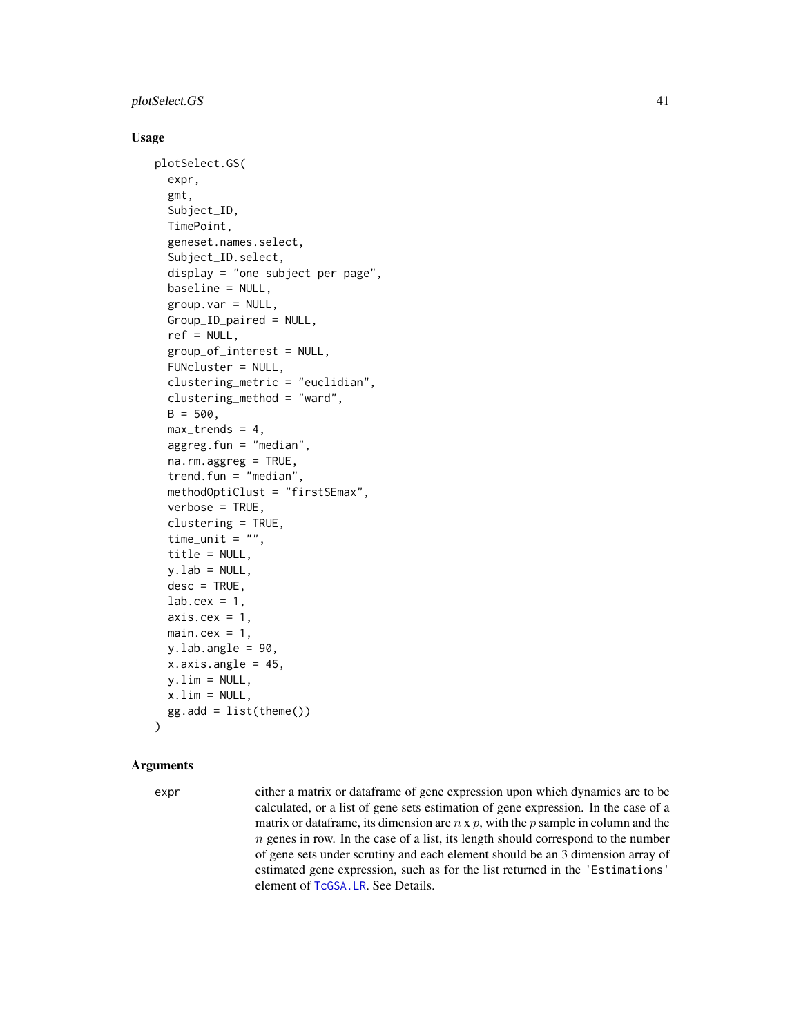#### <span id="page-40-0"></span>plotSelect.GS 41

#### Usage

```
plotSelect.GS(
  expr,
  gmt,
  Subject_ID,
  TimePoint,
  geneset.names.select,
  Subject_ID.select,
  display = "one subject per page",
  baseline = NULL,
  group.var = NULL,
  Group_ID_paired = NULL,
  ref = NULL,group_of_interest = NULL,
  FUNcluster = NULL,
  clustering_metric = "euclidian",
  clustering_method = "ward",
  B = 500,
  max_trends = 4,
  aggreg.fun = "median",
  na.rm.aggreg = TRUE,
  trend.fun = "median",
  methodOptiClust = "firstSEmax",
  verbose = TRUE,
  clustering = TRUE,
  time_unit = ",
  title = NULL,
  v.lab = NULL,
  desc = TRUE,lab.cex = 1,
  axis.cex = 1,
  main.cex = 1,
  y.lab.angle = 90,
  x.axis.angle = 45,
  y.lim = NULL,
  x.lim = NULL,gg.add = list(theme())
```
#### Arguments

)

expr either a matrix or dataframe of gene expression upon which dynamics are to be calculated, or a list of gene sets estimation of gene expression. In the case of a matrix or dataframe, its dimension are  $n \times p$ , with the p sample in column and the  $n$  genes in row. In the case of a list, its length should correspond to the number of gene sets under scrutiny and each element should be an 3 dimension array of estimated gene expression, such as for the list returned in the 'Estimations' element of [TcGSA.LR](#page-49-1). See Details.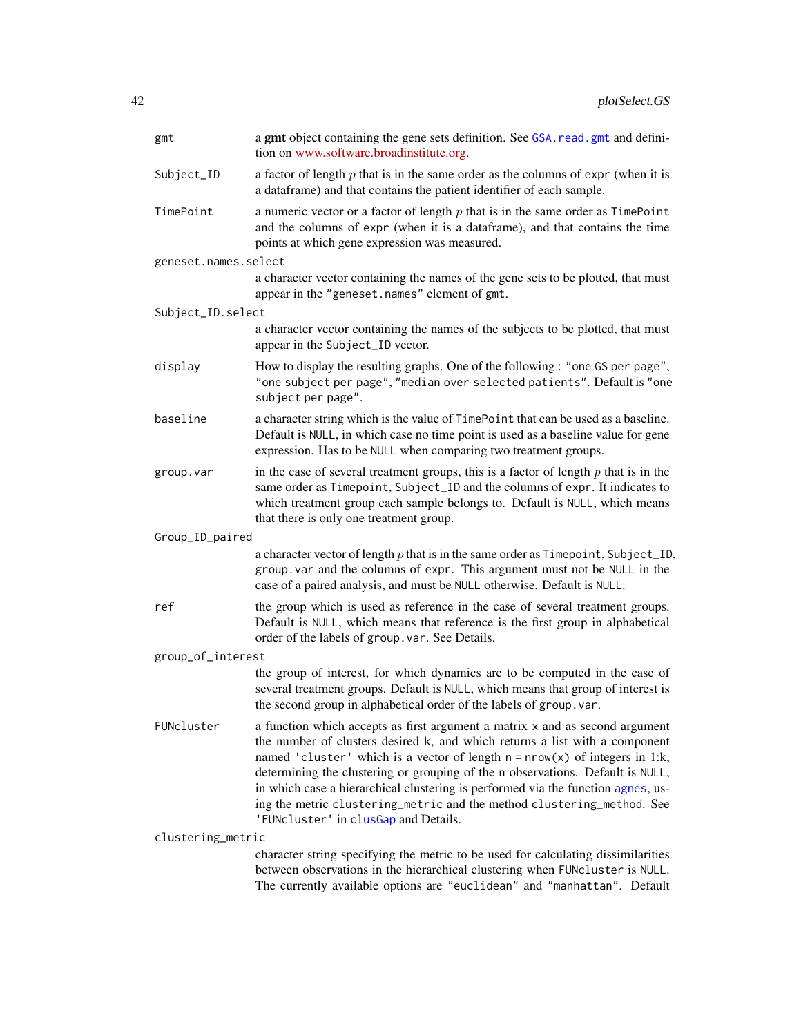<span id="page-41-0"></span>

| gmt                  | a gmt object containing the gene sets definition. See GSA. read. gmt and defini-<br>tion on www.software.broadinstitute.org.                                                                                                                                                                                                                                                                                                                                                                                                         |
|----------------------|--------------------------------------------------------------------------------------------------------------------------------------------------------------------------------------------------------------------------------------------------------------------------------------------------------------------------------------------------------------------------------------------------------------------------------------------------------------------------------------------------------------------------------------|
| Subject_ID           | a factor of length $p$ that is in the same order as the columns of expr (when it is<br>a dataframe) and that contains the patient identifier of each sample.                                                                                                                                                                                                                                                                                                                                                                         |
| TimePoint            | a numeric vector or a factor of length $p$ that is in the same order as $TimePoint$<br>and the columns of expr (when it is a dataframe), and that contains the time<br>points at which gene expression was measured.                                                                                                                                                                                                                                                                                                                 |
| geneset.names.select |                                                                                                                                                                                                                                                                                                                                                                                                                                                                                                                                      |
|                      | a character vector containing the names of the gene sets to be plotted, that must<br>appear in the "geneset.names" element of gmt.                                                                                                                                                                                                                                                                                                                                                                                                   |
| Subject_ID.select    |                                                                                                                                                                                                                                                                                                                                                                                                                                                                                                                                      |
|                      | a character vector containing the names of the subjects to be plotted, that must<br>appear in the Subject_ID vector.                                                                                                                                                                                                                                                                                                                                                                                                                 |
| display              | How to display the resulting graphs. One of the following : "one GS per page",<br>"one subject per page", "median over selected patients". Default is "one<br>subject per page".                                                                                                                                                                                                                                                                                                                                                     |
| baseline             | a character string which is the value of TimePoint that can be used as a baseline.<br>Default is NULL, in which case no time point is used as a baseline value for gene<br>expression. Has to be NULL when comparing two treatment groups.                                                                                                                                                                                                                                                                                           |
| group.var            | in the case of several treatment groups, this is a factor of length $p$ that is in the<br>same order as Timepoint, Subject_ID and the columns of expr. It indicates to<br>which treatment group each sample belongs to. Default is NULL, which means<br>that there is only one treatment group.                                                                                                                                                                                                                                      |
| Group_ID_paired      |                                                                                                                                                                                                                                                                                                                                                                                                                                                                                                                                      |
|                      | a character vector of length $p$ that is in the same order as $T$ imepoint, Subject_ID,<br>group. var and the columns of expr. This argument must not be NULL in the<br>case of a paired analysis, and must be NULL otherwise. Default is NULL.                                                                                                                                                                                                                                                                                      |
| ref                  | the group which is used as reference in the case of several treatment groups.<br>Default is NULL, which means that reference is the first group in alphabetical<br>order of the labels of group. var. See Details.                                                                                                                                                                                                                                                                                                                   |
| group_of_interest    |                                                                                                                                                                                                                                                                                                                                                                                                                                                                                                                                      |
|                      | the group of interest, for which dynamics are to be computed in the case of<br>several treatment groups. Default is NULL, which means that group of interest is<br>the second group in alphabetical order of the labels of group. var.                                                                                                                                                                                                                                                                                               |
| FUNcluster           | a function which accepts as first argument a matrix x and as second argument<br>the number of clusters desired k, and which returns a list with a component<br>named 'cluster' which is a vector of length $n = nrow(x)$ of integers in 1:k,<br>determining the clustering or grouping of the n observations. Default is NULL,<br>in which case a hierarchical clustering is performed via the function agnes, us-<br>ing the metric clustering_metric and the method clustering_method. See<br>'FUNcluster' in clusGap and Details. |
| clustering_metric    |                                                                                                                                                                                                                                                                                                                                                                                                                                                                                                                                      |
|                      | character string specifying the metric to be used for calculating dissimilarities<br>between observations in the hierarchical clustering when FUNcluster is NULL.<br>The currently available options are "euclidean" and "manhattan". Default                                                                                                                                                                                                                                                                                        |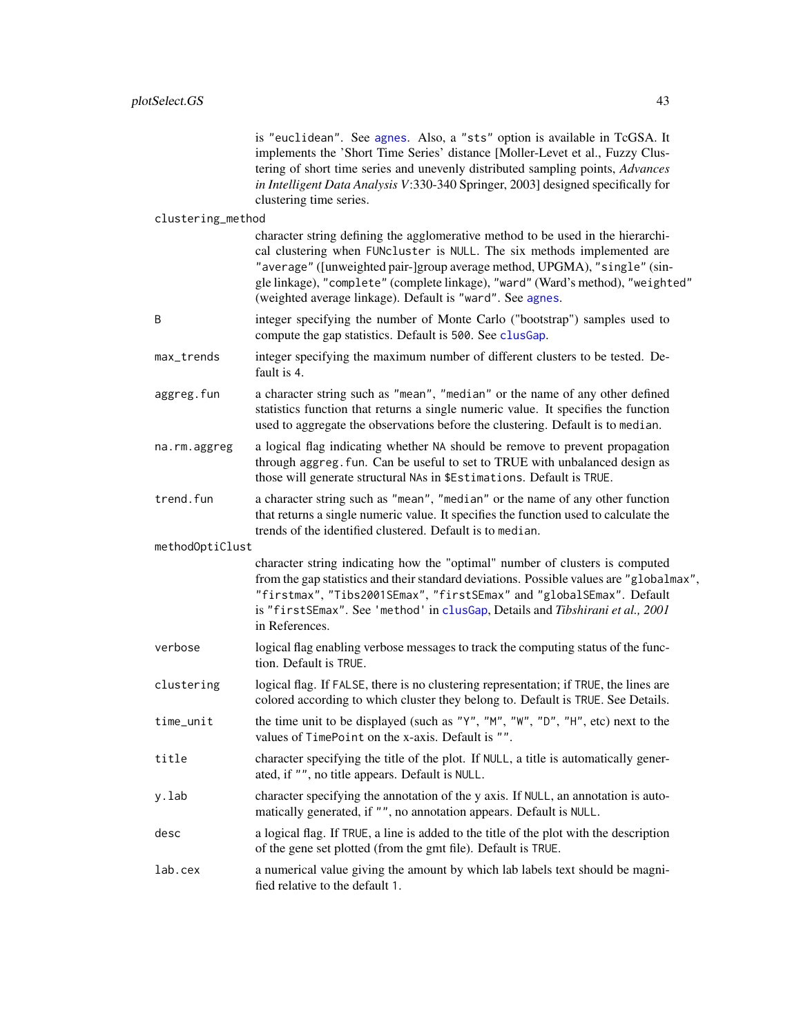<span id="page-42-0"></span>

|                   | is "euclidean". See agnes. Also, a "sts" option is available in TcGSA. It<br>implements the 'Short Time Series' distance [Moller-Levet et al., Fuzzy Clus-<br>tering of short time series and unevenly distributed sampling points, Advances<br>in Intelligent Data Analysis V:330-340 Springer, 2003] designed specifically for<br>clustering time series.                             |
|-------------------|-----------------------------------------------------------------------------------------------------------------------------------------------------------------------------------------------------------------------------------------------------------------------------------------------------------------------------------------------------------------------------------------|
| clustering_method |                                                                                                                                                                                                                                                                                                                                                                                         |
|                   | character string defining the agglomerative method to be used in the hierarchi-<br>cal clustering when FUNcluster is NULL. The six methods implemented are<br>"average" ([unweighted pair-]group average method, UPGMA), "single" (sin-<br>gle linkage), "complete" (complete linkage), "ward" (Ward's method), "weighted"<br>(weighted average linkage). Default is "ward". See agnes. |
| B                 | integer specifying the number of Monte Carlo ("bootstrap") samples used to<br>compute the gap statistics. Default is 500. See clusGap.                                                                                                                                                                                                                                                  |
| max_trends        | integer specifying the maximum number of different clusters to be tested. De-<br>fault is 4.                                                                                                                                                                                                                                                                                            |
| aggreg.fun        | a character string such as "mean", "median" or the name of any other defined<br>statistics function that returns a single numeric value. It specifies the function<br>used to aggregate the observations before the clustering. Default is to median.                                                                                                                                   |
| na.rm.aggreg      | a logical flag indicating whether NA should be remove to prevent propagation<br>through aggreg. fun. Can be useful to set to TRUE with unbalanced design as<br>those will generate structural NAs in \$Estimations. Default is TRUE.                                                                                                                                                    |
| trend.fun         | a character string such as "mean", "median" or the name of any other function<br>that returns a single numeric value. It specifies the function used to calculate the<br>trends of the identified clustered. Default is to median.                                                                                                                                                      |
| methodOptiClust   |                                                                                                                                                                                                                                                                                                                                                                                         |
|                   | character string indicating how the "optimal" number of clusters is computed<br>from the gap statistics and their standard deviations. Possible values are "globalmax",<br>"firstmax", "Tibs2001SEmax", "firstSEmax" and "globalSEmax". Default<br>is "firstSEmax". See 'method' in clusGap, Details and Tibshirani et al., 2001<br>in References.                                      |
| verbose           | logical flag enabling verbose messages to track the computing status of the func-<br>tion. Default is TRUE.                                                                                                                                                                                                                                                                             |
| clustering        | logical flag. If FALSE, there is no clustering representation; if TRUE, the lines are<br>colored according to which cluster they belong to. Default is TRUE. See Details.                                                                                                                                                                                                               |
| time_unit         | the time unit to be displayed (such as "Y", "M", "W", "D", "H", etc) next to the<br>values of TimePoint on the x-axis. Default is "".                                                                                                                                                                                                                                                   |
| title             | character specifying the title of the plot. If NULL, a title is automatically gener-<br>ated, if "", no title appears. Default is NULL.                                                                                                                                                                                                                                                 |
| y.lab             | character specifying the annotation of the y axis. If NULL, an annotation is auto-<br>matically generated, if "", no annotation appears. Default is NULL.                                                                                                                                                                                                                               |
| desc              | a logical flag. If TRUE, a line is added to the title of the plot with the description<br>of the gene set plotted (from the gmt file). Default is TRUE.                                                                                                                                                                                                                                 |
| lab.cex           | a numerical value giving the amount by which lab labels text should be magni-<br>fied relative to the default 1.                                                                                                                                                                                                                                                                        |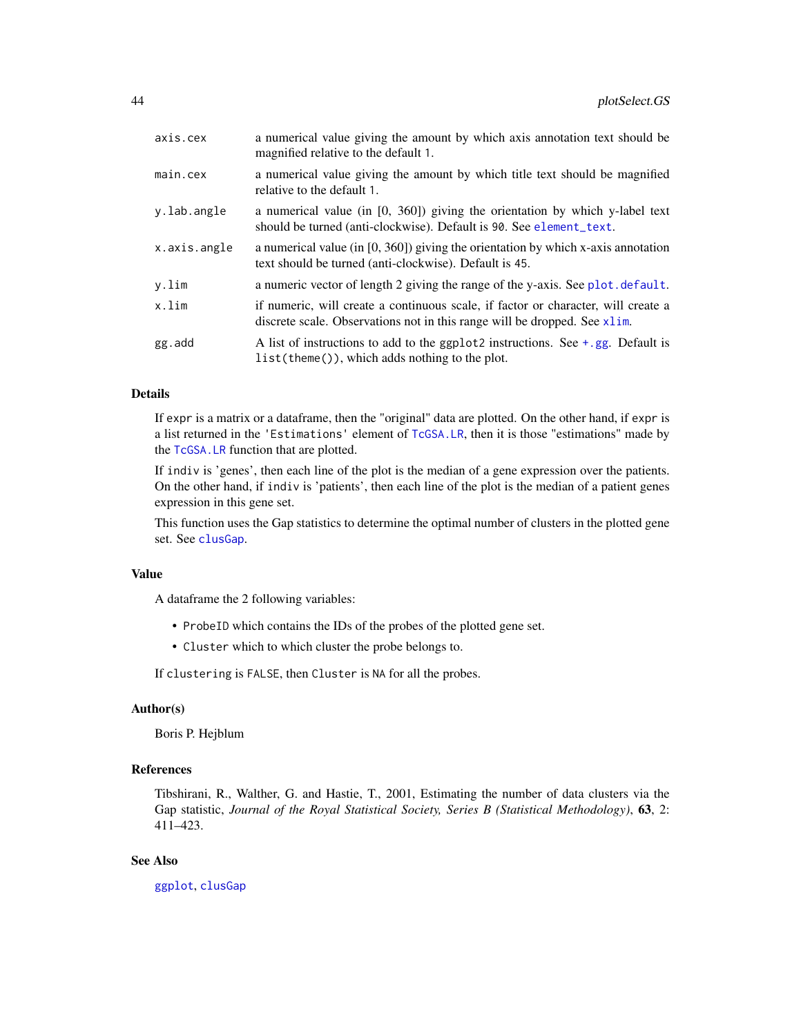<span id="page-43-0"></span>

| axis.cex     | a numerical value giving the amount by which axis annotation text should be<br>magnified relative to the default 1.                                             |
|--------------|-----------------------------------------------------------------------------------------------------------------------------------------------------------------|
| main.cex     | a numerical value giving the amount by which title text should be magnified<br>relative to the default 1.                                                       |
| y.lab.angle  | a numerical value (in $[0, 360]$ ) giving the orientation by which y-label text<br>should be turned (anti-clockwise). Default is 90. See element_text.          |
| x.axis.angle | a numerical value (in $[0, 360]$ ) giving the orientation by which x-axis annotation<br>text should be turned (anti-clockwise). Default is 45.                  |
| y.lim        | a numeric vector of length 2 giving the range of the y-axis. See plot. default.                                                                                 |
| x.lim        | if numeric, will create a continuous scale, if factor or character, will create a<br>discrete scale. Observations not in this range will be dropped. See x1 im. |
| gg.add       | A list of instructions to add to the ggplot2 instructions. See $+$ , gg. Default is<br>$list(theme())$ , which adds nothing to the plot.                        |

#### Details

If expr is a matrix or a dataframe, then the "original" data are plotted. On the other hand, if expr is a list returned in the 'Estimations' element of [TcGSA.LR](#page-49-1), then it is those "estimations" made by the [TcGSA.LR](#page-49-1) function that are plotted.

If indiv is 'genes', then each line of the plot is the median of a gene expression over the patients. On the other hand, if indiv is 'patients', then each line of the plot is the median of a patient genes expression in this gene set.

This function uses the Gap statistics to determine the optimal number of clusters in the plotted gene set. See [clusGap](#page-0-0).

#### Value

A dataframe the 2 following variables:

- ProbeID which contains the IDs of the probes of the plotted gene set.
- Cluster which to which cluster the probe belongs to.

If clustering is FALSE, then Cluster is NA for all the probes.

#### Author(s)

Boris P. Hejblum

#### References

Tibshirani, R., Walther, G. and Hastie, T., 2001, Estimating the number of data clusters via the Gap statistic, *Journal of the Royal Statistical Society, Series B (Statistical Methodology)*, 63, 2: 411–423.

#### See Also

[ggplot](#page-0-0), [clusGap](#page-0-0)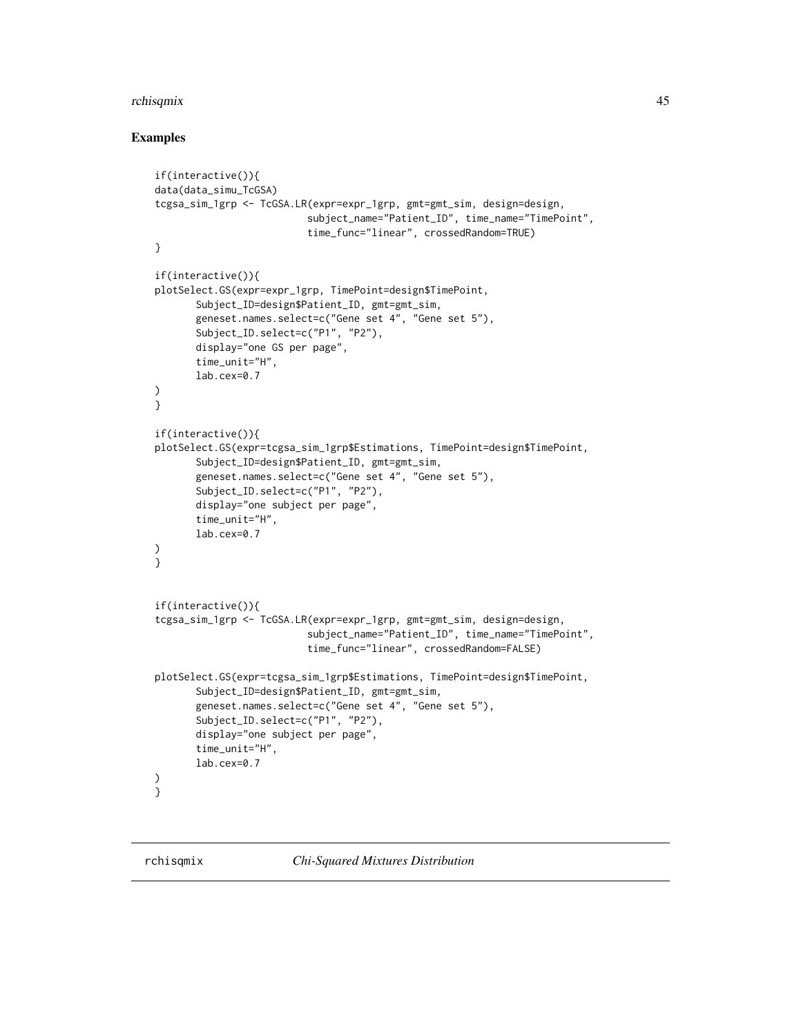#### <span id="page-44-0"></span>rchisqmix 45

#### Examples

```
if(interactive()){
data(data_simu_TcGSA)
tcgsa_sim_1grp <- TcGSA.LR(expr=expr_1grp, gmt=gmt_sim, design=design,
                          subject_name="Patient_ID", time_name="TimePoint",
                          time_func="linear", crossedRandom=TRUE)
}
if(interactive()){
plotSelect.GS(expr=expr_1grp, TimePoint=design$TimePoint,
       Subject_ID=design$Patient_ID, gmt=gmt_sim,
       geneset.names.select=c("Gene set 4", "Gene set 5"),
       Subject_ID.select=c("P1", "P2"),
       display="one GS per page",
       time_unit="H",
       lab.cex=0.7
)
}
if(interactive()){
plotSelect.GS(expr=tcgsa_sim_1grp$Estimations, TimePoint=design$TimePoint,
       Subject_ID=design$Patient_ID, gmt=gmt_sim,
       geneset.names.select=c("Gene set 4", "Gene set 5"),
       Subject_ID.select=c("P1", "P2"),
       display="one subject per page",
       time_unit="H",
       lab.cex=0.7
)
}
if(interactive()){
tcgsa_sim_1grp <- TcGSA.LR(expr=expr_1grp, gmt=gmt_sim, design=design,
                          subject_name="Patient_ID", time_name="TimePoint",
                          time_func="linear", crossedRandom=FALSE)
plotSelect.GS(expr=tcgsa_sim_1grp$Estimations, TimePoint=design$TimePoint,
       Subject_ID=design$Patient_ID, gmt=gmt_sim,
       geneset.names.select=c("Gene set 4", "Gene set 5"),
       Subject_ID.select=c("P1", "P2"),
       display="one subject per page",
       time_unit="H",
       lab.cex=0.7
)
}
```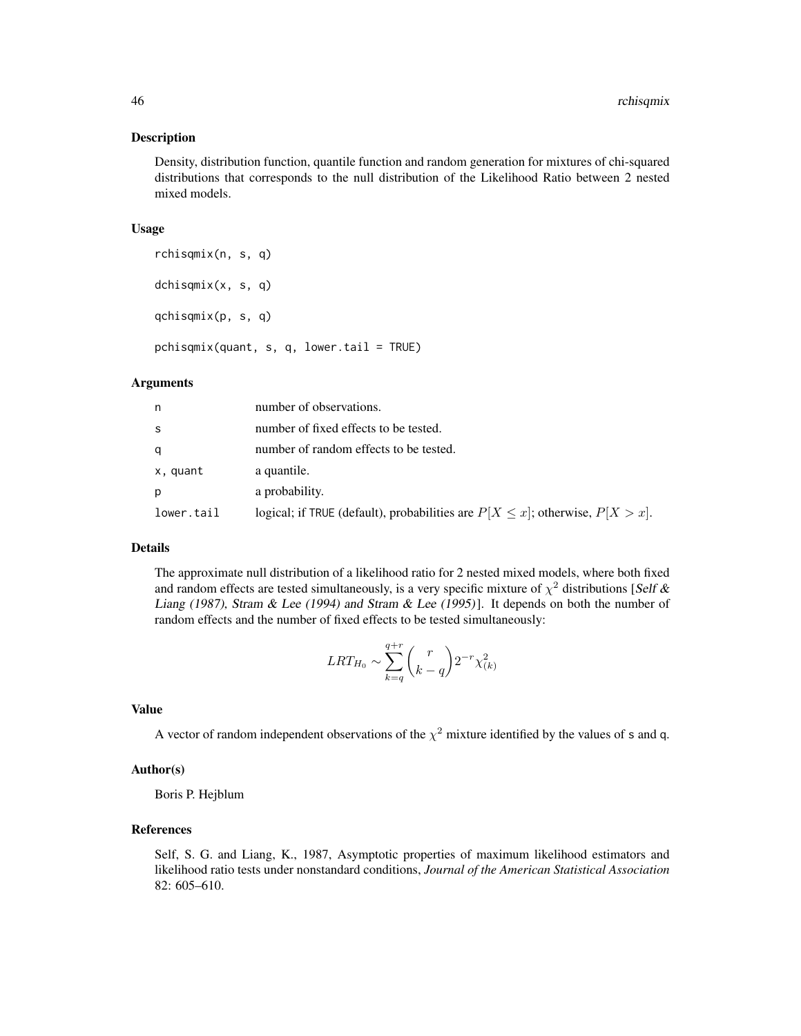#### Description

Density, distribution function, quantile function and random generation for mixtures of chi-squared distributions that corresponds to the null distribution of the Likelihood Ratio between 2 nested mixed models.

#### Usage

rchisqmix(n, s, q) dchisqmix(x, s, q) qchisqmix(p, s, q)

 $pchisqmix(quant, s, q, lower.tail = TRUE)$ 

#### Arguments

| n          | number of observations.                                                               |
|------------|---------------------------------------------------------------------------------------|
| S          | number of fixed effects to be tested.                                                 |
| a          | number of random effects to be tested.                                                |
| x, quant   | a quantile.                                                                           |
| p          | a probability.                                                                        |
| lower.tail | logical; if TRUE (default), probabilities are $P[X \leq x]$ ; otherwise, $P[X > x]$ . |

#### Details

The approximate null distribution of a likelihood ratio for 2 nested mixed models, where both fixed and random effects are tested simultaneously, is a very specific mixture of  $\chi^2$  distributions [Self & Liang (1987), Stram & Lee (1994) and Stram & Lee (1995)]. It depends on both the number of random effects and the number of fixed effects to be tested simultaneously:

$$
LRT_{H_0} \sim \sum_{k=q}^{q+r} \binom{r}{k-q} 2^{-r} \chi^2_{(k)}
$$

#### Value

A vector of random independent observations of the  $\chi^2$  mixture identified by the values of s and q.

#### Author(s)

Boris P. Hejblum

#### References

Self, S. G. and Liang, K., 1987, Asymptotic properties of maximum likelihood estimators and likelihood ratio tests under nonstandard conditions, *Journal of the American Statistical Association* 82: 605–610.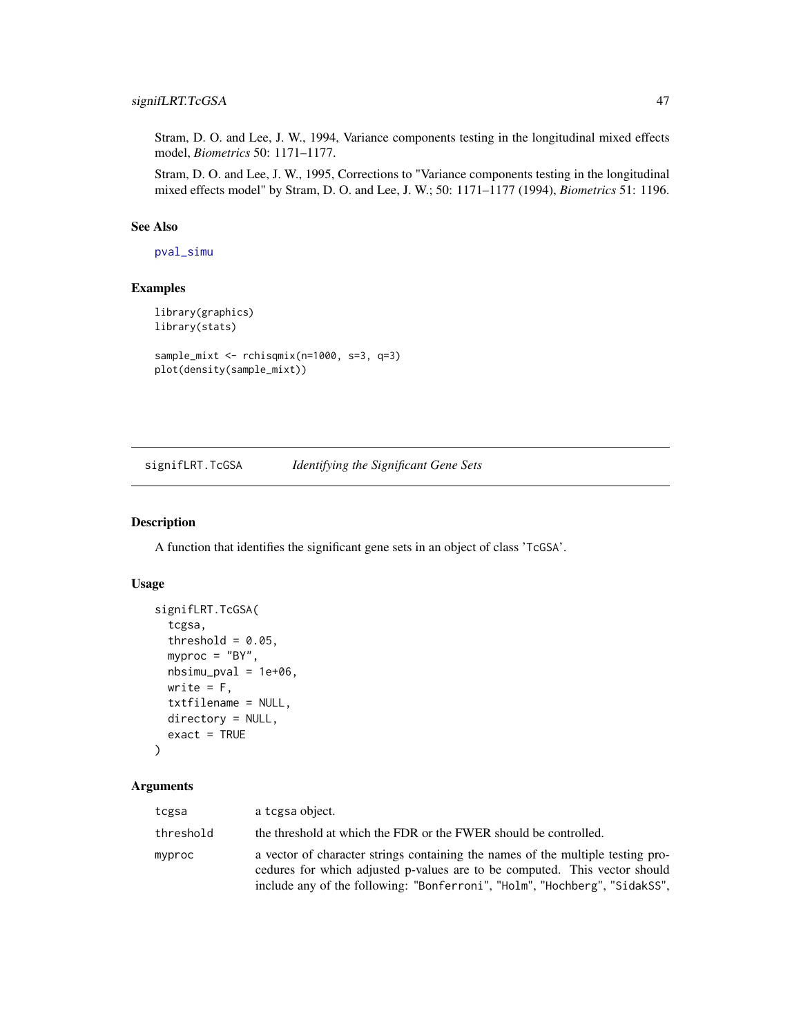#### <span id="page-46-0"></span>signifLRT.TcGSA 47

Stram, D. O. and Lee, J. W., 1994, Variance components testing in the longitudinal mixed effects model, *Biometrics* 50: 1171–1177.

Stram, D. O. and Lee, J. W., 1995, Corrections to "Variance components testing in the longitudinal mixed effects model" by Stram, D. O. and Lee, J. W.; 50: 1171–1177 (1994), *Biometrics* 51: 1196.

#### See Also

[pval\\_simu](#page-0-0)

### Examples

```
library(graphics)
library(stats)
sample_mixt <- rchisqmix(n=1000, s=3, q=3)
plot(density(sample_mixt))
```
<span id="page-46-1"></span>signifLRT.TcGSA *Identifying the Significant Gene Sets*

#### Description

A function that identifies the significant gene sets in an object of class 'TcGSA'.

### Usage

```
signifLRT.TcGSA(
  tcgsa,
  threshold = 0.05,
 myproc = "BY",
 nbsimu_pval = 1e+06,
 write = F,
  txtfilename = NULL,
 directory = NULL,
  exact = TRUE)
```

| tcgsa     | a tegsa object.                                                                                                                                                                                                                             |
|-----------|---------------------------------------------------------------------------------------------------------------------------------------------------------------------------------------------------------------------------------------------|
| threshold | the threshold at which the FDR or the FWER should be controlled.                                                                                                                                                                            |
| myproc    | a vector of character strings containing the names of the multiple testing pro-<br>cedures for which adjusted p-values are to be computed. This vector should<br>include any of the following: "Bonferroni", "Holm", "Hochberg", "SidakSS", |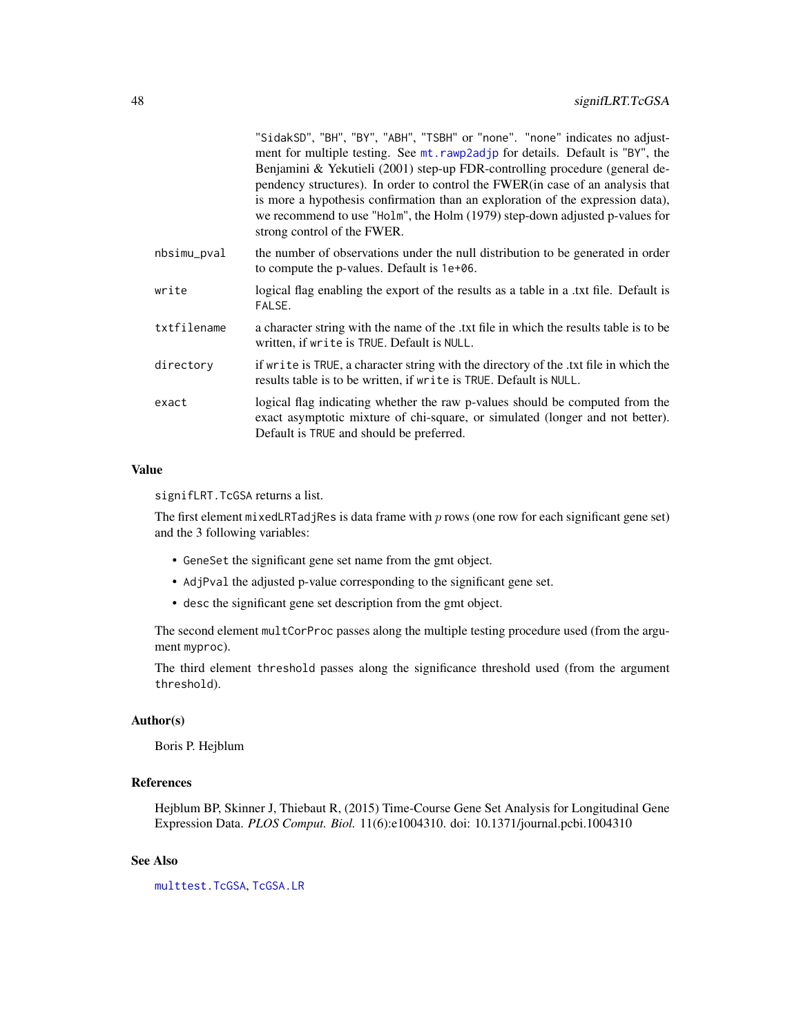<span id="page-47-0"></span>

| "SidakSD", "BH", "BY", "ABH", "TSBH" or "none". "none" indicates no adjust-<br>ment for multiple testing. See mt. rawp2adjp for details. Default is "BY", the<br>Benjamini & Yekutieli (2001) step-up FDR-controlling procedure (general de-<br>pendency structures). In order to control the FWER(in case of an analysis that<br>is more a hypothesis confirmation than an exploration of the expression data),<br>we recommend to use "Holm", the Holm (1979) step-down adjusted p-values for<br>strong control of the FWER. |
|--------------------------------------------------------------------------------------------------------------------------------------------------------------------------------------------------------------------------------------------------------------------------------------------------------------------------------------------------------------------------------------------------------------------------------------------------------------------------------------------------------------------------------|
| the number of observations under the null distribution to be generated in order<br>to compute the p-values. Default is 1e+06.                                                                                                                                                                                                                                                                                                                                                                                                  |
| logical flag enabling the export of the results as a table in a txt file. Default is<br>FALSE.                                                                                                                                                                                                                                                                                                                                                                                                                                 |
| a character string with the name of the txt file in which the results table is to be<br>written, if write is TRUE. Default is NULL.                                                                                                                                                                                                                                                                                                                                                                                            |
| if write is TRUE, a character string with the directory of the txt file in which the<br>results table is to be written, if write is TRUE. Default is NULL.                                                                                                                                                                                                                                                                                                                                                                     |
| logical flag indicating whether the raw p-values should be computed from the<br>exact asymptotic mixture of chi-square, or simulated (longer and not better).<br>Default is TRUE and should be preferred.                                                                                                                                                                                                                                                                                                                      |
|                                                                                                                                                                                                                                                                                                                                                                                                                                                                                                                                |

#### Value

signifLRT.TcGSA returns a list.

The first element mixedLRTadjRes is data frame with p rows (one row for each significant gene set) and the 3 following variables:

- GeneSet the significant gene set name from the gmt object.
- AdjPval the adjusted p-value corresponding to the significant gene set.
- desc the significant gene set description from the gmt object.

The second element multCorProc passes along the multiple testing procedure used (from the argument myproc).

The third element threshold passes along the significance threshold used (from the argument threshold).

#### Author(s)

Boris P. Hejblum

### References

Hejblum BP, Skinner J, Thiebaut R, (2015) Time-Course Gene Set Analysis for Longitudinal Gene Expression Data. *PLOS Comput. Biol.* 11(6):e1004310. doi: 10.1371/journal.pcbi.1004310

#### See Also

[multtest.TcGSA](#page-7-1), [TcGSA.LR](#page-49-1)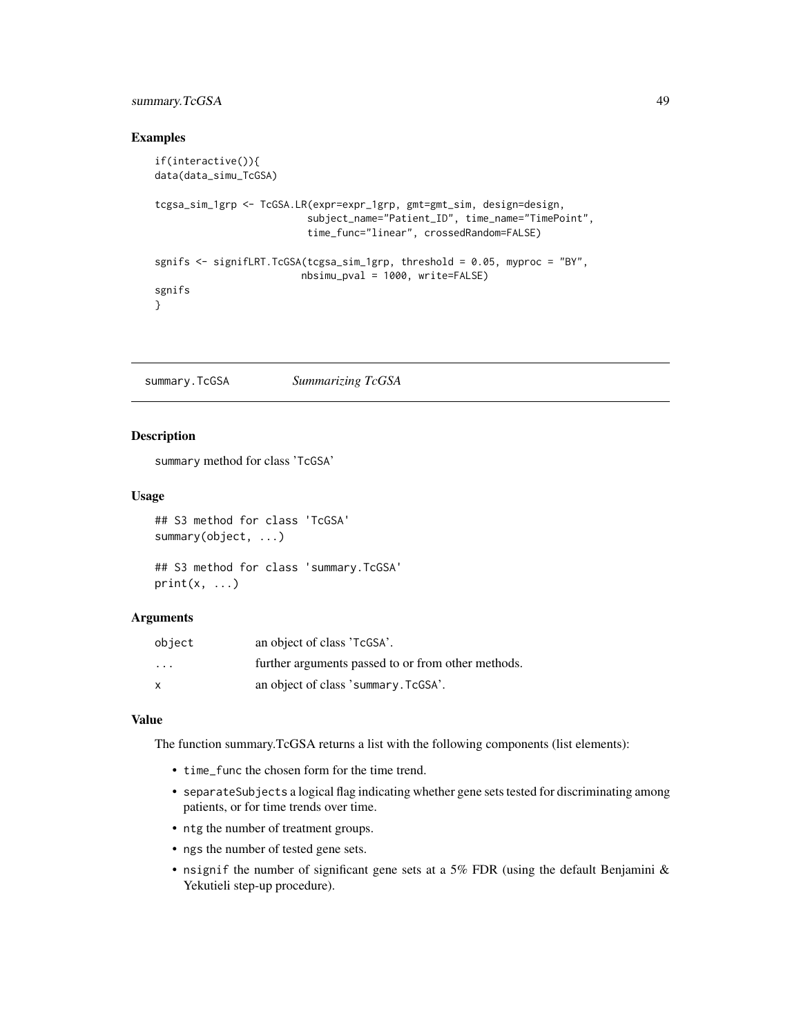### <span id="page-48-0"></span>summary.TcGSA 49

#### Examples

```
if(interactive()){
data(data_simu_TcGSA)
tcgsa_sim_1grp <- TcGSA.LR(expr=expr_1grp, gmt=gmt_sim, design=design,
                          subject_name="Patient_ID", time_name="TimePoint",
                          time_func="linear", crossedRandom=FALSE)
sgnifs <- signifLRT.TcGSA(tcgsa_sim_1grp, threshold = 0.05, myproc = "BY",
                         nbsimu_pval = 1000, write=FALSE)
sgnifs
}
```
<span id="page-48-1"></span>summary.TcGSA *Summarizing TcGSA*

#### Description

summary method for class 'TcGSA'

#### Usage

```
## S3 method for class 'TcGSA'
summary(object, ...)
## S3 method for class 'summary.TcGSA'
```

```
print(x, \ldots)
```
#### Arguments

| object  | an object of class 'TcGSA'.                        |
|---------|----------------------------------------------------|
| $\cdot$ | further arguments passed to or from other methods. |
| X       | an object of class 'summary. TcGSA'.               |

#### Value

The function summary.TcGSA returns a list with the following components (list elements):

- time\_func the chosen form for the time trend.
- separateSubjects a logical flag indicating whether gene sets tested for discriminating among patients, or for time trends over time.
- ntg the number of treatment groups.
- ngs the number of tested gene sets.
- nsignif the number of significant gene sets at a 5% FDR (using the default Benjamini  $\&$ Yekutieli step-up procedure).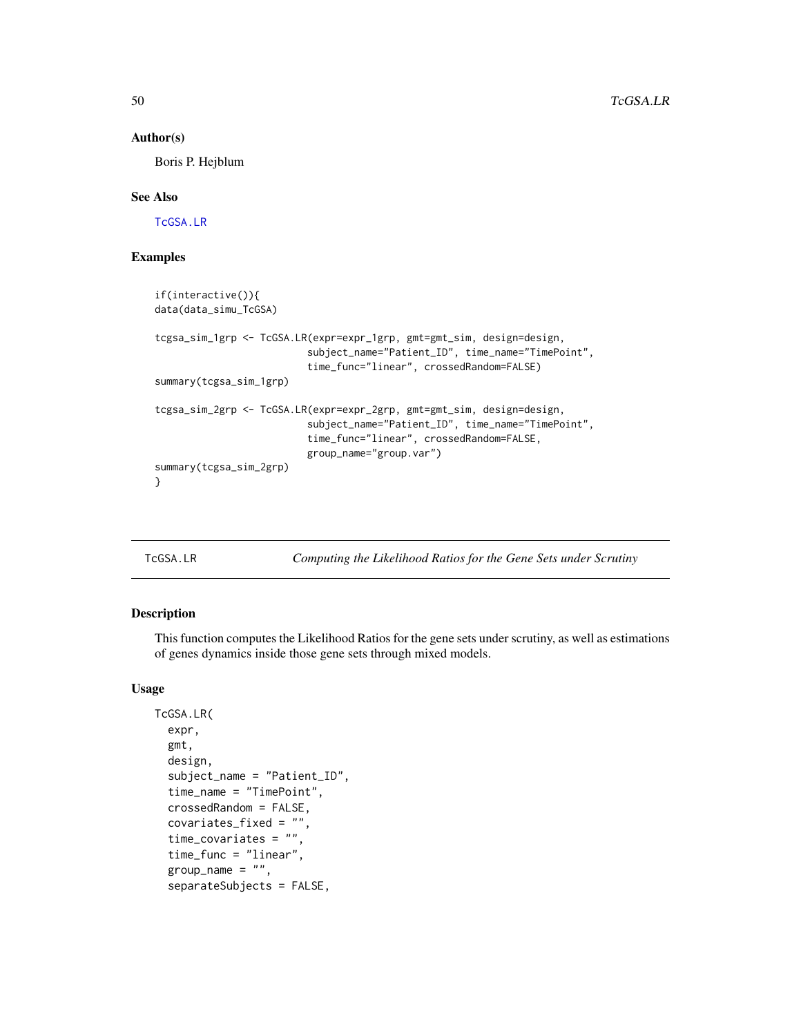#### Author(s)

Boris P. Hejblum

#### See Also

[TcGSA.LR](#page-49-1)

#### Examples

```
if(interactive()){
data(data_simu_TcGSA)
tcgsa_sim_1grp <- TcGSA.LR(expr=expr_1grp, gmt=gmt_sim, design=design,
                          subject_name="Patient_ID", time_name="TimePoint",
                          time_func="linear", crossedRandom=FALSE)
summary(tcgsa_sim_1grp)
tcgsa_sim_2grp <- TcGSA.LR(expr=expr_2grp, gmt=gmt_sim, design=design,
                          subject_name="Patient_ID", time_name="TimePoint",
                          time_func="linear", crossedRandom=FALSE,
                          group_name="group.var")
summary(tcgsa_sim_2grp)
}
```
<span id="page-49-1"></span>

TcGSA.LR *Computing the Likelihood Ratios for the Gene Sets under Scrutiny*

#### Description

This function computes the Likelihood Ratios for the gene sets under scrutiny, as well as estimations of genes dynamics inside those gene sets through mixed models.

#### Usage

```
TcGSA.LR(
  expr,
  gmt,
  design,
  subject_name = "Patient_ID",
  time_name = "TimePoint",
  crossedRandom = FALSE,
  covariates_fixed = "",
  time_covariates = "",
  time_func = "linear",
  group_name = ",
  separateSubjects = FALSE,
```
<span id="page-49-0"></span>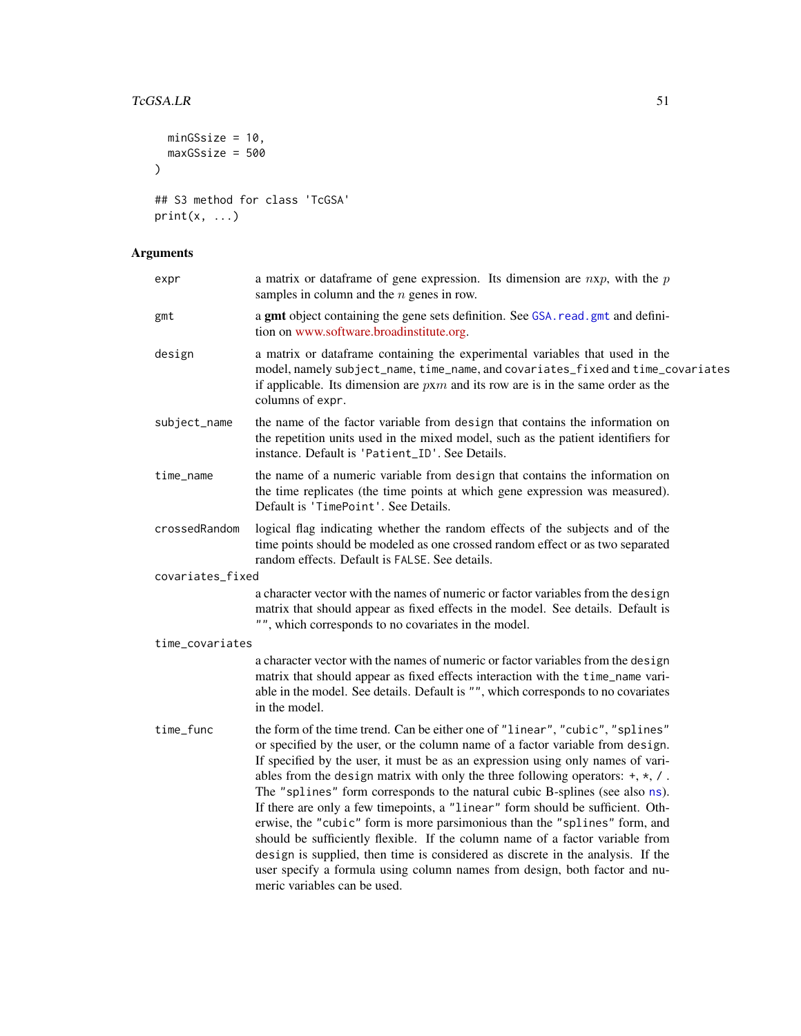### <span id="page-50-0"></span>TcGSA.LR 51

```
minGSsize = 10,
  maxGSsize = 500
\lambda## S3 method for class 'TcGSA'
print(x, \ldots)
```

| expr             | a matrix or data frame of gene expression. Its dimension are $nxp$ , with the $p$<br>samples in column and the $n$ genes in row.                                                                                                                                                                                                                                                                                                                                                                                                                                                                                                                                                                                                                                                                                                                                          |
|------------------|---------------------------------------------------------------------------------------------------------------------------------------------------------------------------------------------------------------------------------------------------------------------------------------------------------------------------------------------------------------------------------------------------------------------------------------------------------------------------------------------------------------------------------------------------------------------------------------------------------------------------------------------------------------------------------------------------------------------------------------------------------------------------------------------------------------------------------------------------------------------------|
| gmt              | a gmt object containing the gene sets definition. See GSA. read. gmt and defini-<br>tion on www.software.broadinstitute.org.                                                                                                                                                                                                                                                                                                                                                                                                                                                                                                                                                                                                                                                                                                                                              |
| design           | a matrix or dataframe containing the experimental variables that used in the<br>model, namely subject_name, time_name, and covariates_fixed and time_covariates<br>if applicable. Its dimension are $p x m$ and its row are is in the same order as the<br>columns of expr.                                                                                                                                                                                                                                                                                                                                                                                                                                                                                                                                                                                               |
| subject_name     | the name of the factor variable from design that contains the information on<br>the repetition units used in the mixed model, such as the patient identifiers for<br>instance. Default is 'Patient_ID'. See Details.                                                                                                                                                                                                                                                                                                                                                                                                                                                                                                                                                                                                                                                      |
| time_name        | the name of a numeric variable from design that contains the information on<br>the time replicates (the time points at which gene expression was measured).<br>Default is 'TimePoint'. See Details.                                                                                                                                                                                                                                                                                                                                                                                                                                                                                                                                                                                                                                                                       |
| crossedRandom    | logical flag indicating whether the random effects of the subjects and of the<br>time points should be modeled as one crossed random effect or as two separated<br>random effects. Default is FALSE. See details.                                                                                                                                                                                                                                                                                                                                                                                                                                                                                                                                                                                                                                                         |
| covariates_fixed |                                                                                                                                                                                                                                                                                                                                                                                                                                                                                                                                                                                                                                                                                                                                                                                                                                                                           |
|                  | a character vector with the names of numeric or factor variables from the design<br>matrix that should appear as fixed effects in the model. See details. Default is<br>"", which corresponds to no covariates in the model.                                                                                                                                                                                                                                                                                                                                                                                                                                                                                                                                                                                                                                              |
| time_covariates  |                                                                                                                                                                                                                                                                                                                                                                                                                                                                                                                                                                                                                                                                                                                                                                                                                                                                           |
|                  | a character vector with the names of numeric or factor variables from the design<br>matrix that should appear as fixed effects interaction with the time_name vari-<br>able in the model. See details. Default is "", which corresponds to no covariates<br>in the model.                                                                                                                                                                                                                                                                                                                                                                                                                                                                                                                                                                                                 |
| time_func        | the form of the time trend. Can be either one of "linear", "cubic", "splines"<br>or specified by the user, or the column name of a factor variable from design.<br>If specified by the user, it must be as an expression using only names of vari-<br>ables from the design matrix with only the three following operators: $+, *, /$ .<br>The "splines" form corresponds to the natural cubic B-splines (see also ns).<br>If there are only a few timepoints, a "linear" form should be sufficient. Oth-<br>erwise, the "cubic" form is more parsimonious than the "splines" form, and<br>should be sufficiently flexible. If the column name of a factor variable from<br>design is supplied, then time is considered as discrete in the analysis. If the<br>user specify a formula using column names from design, both factor and nu-<br>meric variables can be used. |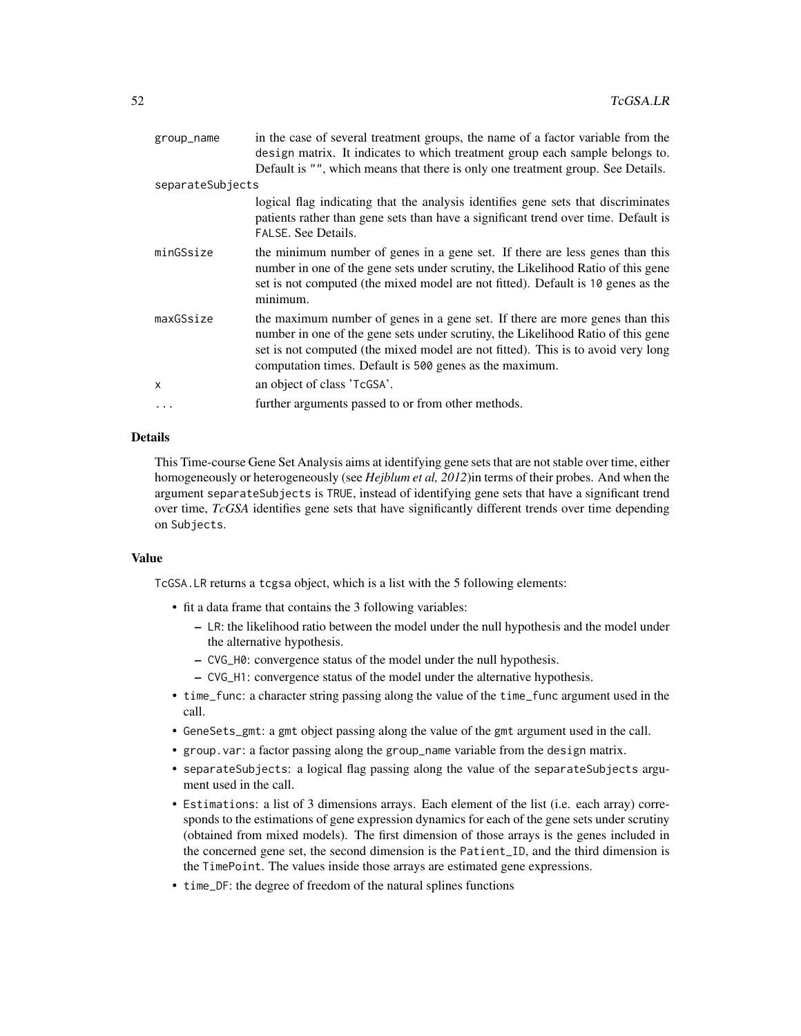| group_name       | in the case of several treatment groups, the name of a factor variable from the<br>design matrix. It indicates to which treatment group each sample belongs to.                                                                                                                                                 |
|------------------|-----------------------------------------------------------------------------------------------------------------------------------------------------------------------------------------------------------------------------------------------------------------------------------------------------------------|
|                  | Default is "", which means that there is only one treatment group. See Details.                                                                                                                                                                                                                                 |
| separateSubjects |                                                                                                                                                                                                                                                                                                                 |
|                  | logical flag indicating that the analysis identifies gene sets that discriminates<br>patients rather than gene sets than have a significant trend over time. Default is<br>FALSE. See Details.                                                                                                                  |
| minGSsize        | the minimum number of genes in a gene set. If there are less genes than this<br>number in one of the gene sets under scrutiny, the Likelihood Ratio of this gene<br>set is not computed (the mixed model are not fitted). Default is 10 genes as the<br>minimum.                                                |
| maxGSsize        | the maximum number of genes in a gene set. If there are more genes than this<br>number in one of the gene sets under scrutiny, the Likelihood Ratio of this gene<br>set is not computed (the mixed model are not fitted). This is to avoid very long<br>computation times. Default is 500 genes as the maximum. |
| X                | an object of class 'TcGSA'.                                                                                                                                                                                                                                                                                     |
| .                | further arguments passed to or from other methods.                                                                                                                                                                                                                                                              |

#### Details

This Time-course Gene Set Analysis aims at identifying gene sets that are not stable over time, either homogeneously or heterogeneously (see *Hejblum et al, 2012*)in terms of their probes. And when the argument separateSubjects is TRUE, instead of identifying gene sets that have a significant trend over time, *TcGSA* identifies gene sets that have significantly different trends over time depending on Subjects.

#### Value

TcGSA.LR returns a tcgsa object, which is a list with the 5 following elements:

- fit a data frame that contains the 3 following variables:
	- LR: the likelihood ratio between the model under the null hypothesis and the model under the alternative hypothesis.
	- CVG\_H0: convergence status of the model under the null hypothesis.
	- CVG\_H1: convergence status of the model under the alternative hypothesis.
- time\_func: a character string passing along the value of the time\_func argument used in the call.
- GeneSets\_gmt: a gmt object passing along the value of the gmt argument used in the call.
- group.var: a factor passing along the group\_name variable from the design matrix.
- separateSubjects: a logical flag passing along the value of the separateSubjects argument used in the call.
- Estimations: a list of 3 dimensions arrays. Each element of the list (i.e. each array) corresponds to the estimations of gene expression dynamics for each of the gene sets under scrutiny (obtained from mixed models). The first dimension of those arrays is the genes included in the concerned gene set, the second dimension is the Patient\_ID, and the third dimension is the TimePoint. The values inside those arrays are estimated gene expressions.
- time\_DF: the degree of freedom of the natural splines functions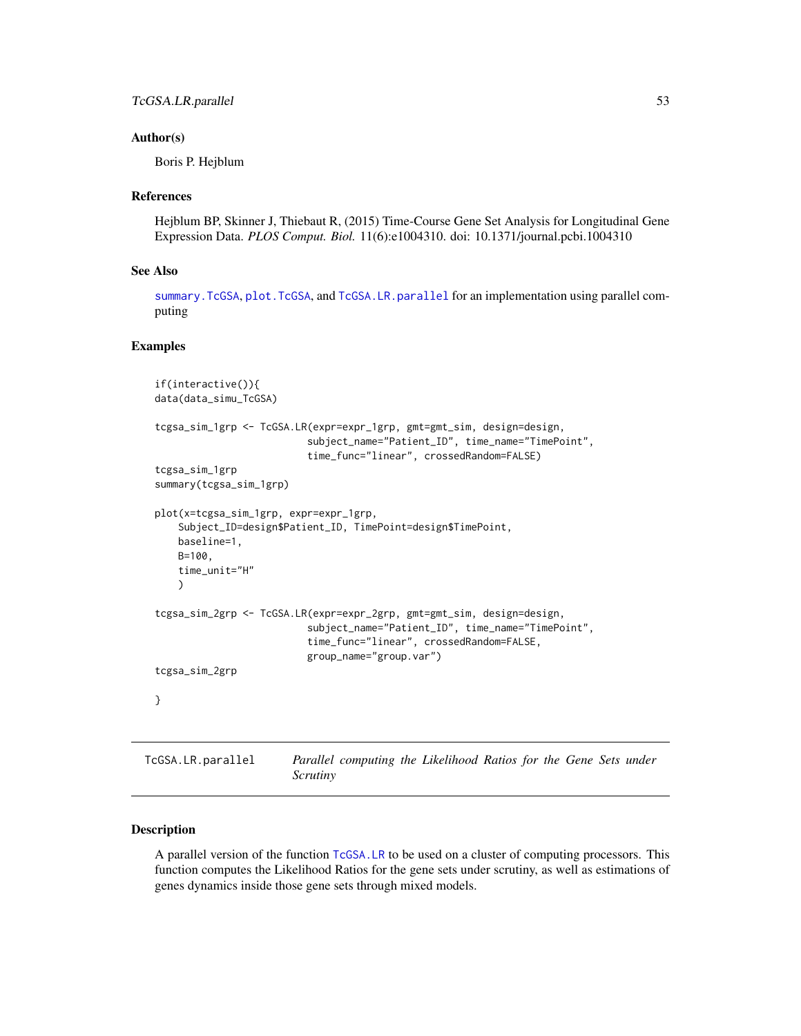#### <span id="page-52-0"></span>Author(s)

Boris P. Hejblum

#### References

Hejblum BP, Skinner J, Thiebaut R, (2015) Time-Course Gene Set Analysis for Longitudinal Gene Expression Data. *PLOS Comput. Biol.* 11(6):e1004310. doi: 10.1371/journal.pcbi.1004310

#### See Also

[summary.TcGSA](#page-48-1), [plot.TcGSA](#page-9-1), and [TcGSA.LR.parallel](#page-52-1) for an implementation using parallel computing

#### Examples

```
if(interactive()){
data(data_simu_TcGSA)
tcgsa_sim_1grp <- TcGSA.LR(expr=expr_1grp, gmt=gmt_sim, design=design,
                          subject_name="Patient_ID", time_name="TimePoint",
                          time_func="linear", crossedRandom=FALSE)
tcgsa_sim_1grp
summary(tcgsa_sim_1grp)
plot(x=tcgsa_sim_1grp, expr=expr_1grp,
   Subject_ID=design$Patient_ID, TimePoint=design$TimePoint,
   baseline=1,
   B=100,
   time_unit="H"
   )
tcgsa_sim_2grp <- TcGSA.LR(expr=expr_2grp, gmt=gmt_sim, design=design,
                          subject_name="Patient_ID", time_name="TimePoint",
                          time_func="linear", crossedRandom=FALSE,
                          group_name="group.var")
tcgsa_sim_2grp
}
```
## <span id="page-52-1"></span>TcGSA.LR.parallel *Parallel computing the Likelihood Ratios for the Gene Sets under Scrutiny*

#### Description

A parallel version of the function [TcGSA.LR](#page-49-1) to be used on a cluster of computing processors. This function computes the Likelihood Ratios for the gene sets under scrutiny, as well as estimations of genes dynamics inside those gene sets through mixed models.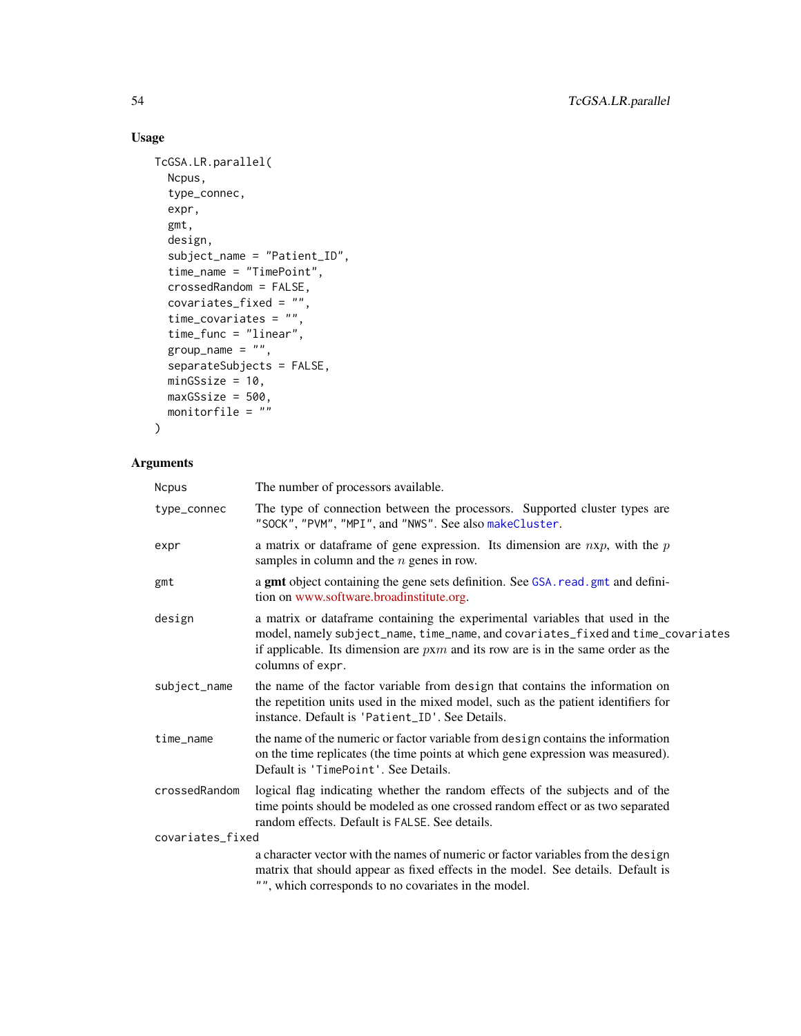### <span id="page-53-0"></span>Usage

```
TcGSA.LR.parallel(
 Ncpus,
  type_connec,
 expr,
 gmt,
 design,
  subject_name = "Patient_ID",
 time_name = "TimePoint",
 crossedRandom = FALSE,
  covariates_fixed = "",
  time_covariates = "",
 time_func = "linear",
 group_name = ",
 separateSubjects = FALSE,
 minGSize = 10,
 maxGSsize = 500,
 monitorfile = ""
)
```

| <b>Ncpus</b>     | The number of processors available.                                                                                                                                                                                                                                         |
|------------------|-----------------------------------------------------------------------------------------------------------------------------------------------------------------------------------------------------------------------------------------------------------------------------|
| type_connec      | The type of connection between the processors. Supported cluster types are<br>"SOCK", "PVM", "MPI", and "NWS". See also makeCluster.                                                                                                                                        |
| expr             | a matrix or data frame of gene expression. Its dimension are $nxp$ , with the $p$<br>samples in column and the $n$ genes in row.                                                                                                                                            |
| gmt              | a gmt object containing the gene sets definition. See GSA. read. gmt and defini-<br>tion on www.software.broadinstitute.org.                                                                                                                                                |
| design           | a matrix or dataframe containing the experimental variables that used in the<br>model, namely subject_name, time_name, and covariates_fixed and time_covariates<br>if applicable. Its dimension are $p x m$ and its row are is in the same order as the<br>columns of expr. |
| subject_name     | the name of the factor variable from design that contains the information on<br>the repetition units used in the mixed model, such as the patient identifiers for<br>instance. Default is 'Patient_ID'. See Details.                                                        |
| time_name        | the name of the numeric or factor variable from design contains the information<br>on the time replicates (the time points at which gene expression was measured).<br>Default is 'TimePoint'. See Details.                                                                  |
| crossedRandom    | logical flag indicating whether the random effects of the subjects and of the<br>time points should be modeled as one crossed random effect or as two separated<br>random effects. Default is FALSE. See details.                                                           |
| covariates_fixed |                                                                                                                                                                                                                                                                             |
|                  | a character vector with the names of numeric or factor variables from the design<br>matrix that should appear as fixed effects in the model. See details. Default is<br>"", which corresponds to no covariates in the model.                                                |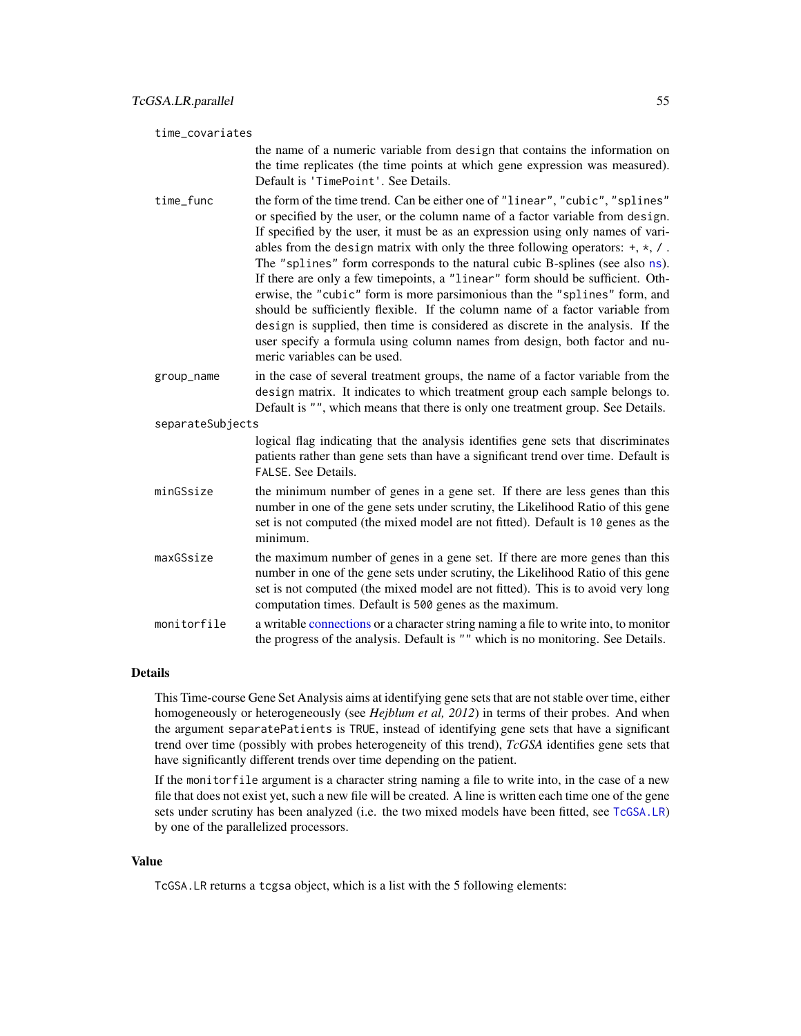<span id="page-54-0"></span>

| time_covariates |                  |                                                                                                                                                                                                                                                                                                                                                                                                                                                                                                                                                                                                                                                                                                                                                                                                                                                                           |
|-----------------|------------------|---------------------------------------------------------------------------------------------------------------------------------------------------------------------------------------------------------------------------------------------------------------------------------------------------------------------------------------------------------------------------------------------------------------------------------------------------------------------------------------------------------------------------------------------------------------------------------------------------------------------------------------------------------------------------------------------------------------------------------------------------------------------------------------------------------------------------------------------------------------------------|
|                 |                  | the name of a numeric variable from design that contains the information on<br>the time replicates (the time points at which gene expression was measured).<br>Default is 'TimePoint'. See Details.                                                                                                                                                                                                                                                                                                                                                                                                                                                                                                                                                                                                                                                                       |
|                 | time_func        | the form of the time trend. Can be either one of "linear", "cubic", "splines"<br>or specified by the user, or the column name of a factor variable from design.<br>If specified by the user, it must be as an expression using only names of vari-<br>ables from the design matrix with only the three following operators: $+, *, /$ .<br>The "splines" form corresponds to the natural cubic B-splines (see also ns).<br>If there are only a few timepoints, a "linear" form should be sufficient. Oth-<br>erwise, the "cubic" form is more parsimonious than the "splines" form, and<br>should be sufficiently flexible. If the column name of a factor variable from<br>design is supplied, then time is considered as discrete in the analysis. If the<br>user specify a formula using column names from design, both factor and nu-<br>meric variables can be used. |
|                 | group_name       | in the case of several treatment groups, the name of a factor variable from the<br>design matrix. It indicates to which treatment group each sample belongs to.<br>Default is "", which means that there is only one treatment group. See Details.                                                                                                                                                                                                                                                                                                                                                                                                                                                                                                                                                                                                                        |
|                 | separateSubjects | logical flag indicating that the analysis identifies gene sets that discriminates<br>patients rather than gene sets than have a significant trend over time. Default is<br>FALSE. See Details.                                                                                                                                                                                                                                                                                                                                                                                                                                                                                                                                                                                                                                                                            |
|                 | minGSsize        | the minimum number of genes in a gene set. If there are less genes than this<br>number in one of the gene sets under scrutiny, the Likelihood Ratio of this gene<br>set is not computed (the mixed model are not fitted). Default is 10 genes as the<br>minimum.                                                                                                                                                                                                                                                                                                                                                                                                                                                                                                                                                                                                          |
|                 | maxGSsize        | the maximum number of genes in a gene set. If there are more genes than this<br>number in one of the gene sets under scrutiny, the Likelihood Ratio of this gene<br>set is not computed (the mixed model are not fitted). This is to avoid very long<br>computation times. Default is 500 genes as the maximum.                                                                                                                                                                                                                                                                                                                                                                                                                                                                                                                                                           |
|                 | monitorfile      | a writable connections or a character string naming a file to write into, to monitor<br>the progress of the analysis. Default is "" which is no monitoring. See Details.                                                                                                                                                                                                                                                                                                                                                                                                                                                                                                                                                                                                                                                                                                  |

#### Details

This Time-course Gene Set Analysis aims at identifying gene sets that are not stable over time, either homogeneously or heterogeneously (see *Hejblum et al, 2012*) in terms of their probes. And when the argument separatePatients is TRUE, instead of identifying gene sets that have a significant trend over time (possibly with probes heterogeneity of this trend), *TcGSA* identifies gene sets that have significantly different trends over time depending on the patient.

If the monitorfile argument is a character string naming a file to write into, in the case of a new file that does not exist yet, such a new file will be created. A line is written each time one of the gene sets under scrutiny has been analyzed (i.e. the two mixed models have been fitted, see [TcGSA.LR](#page-49-1)) by one of the parallelized processors.

#### Value

TcGSA.LR returns a tcgsa object, which is a list with the 5 following elements: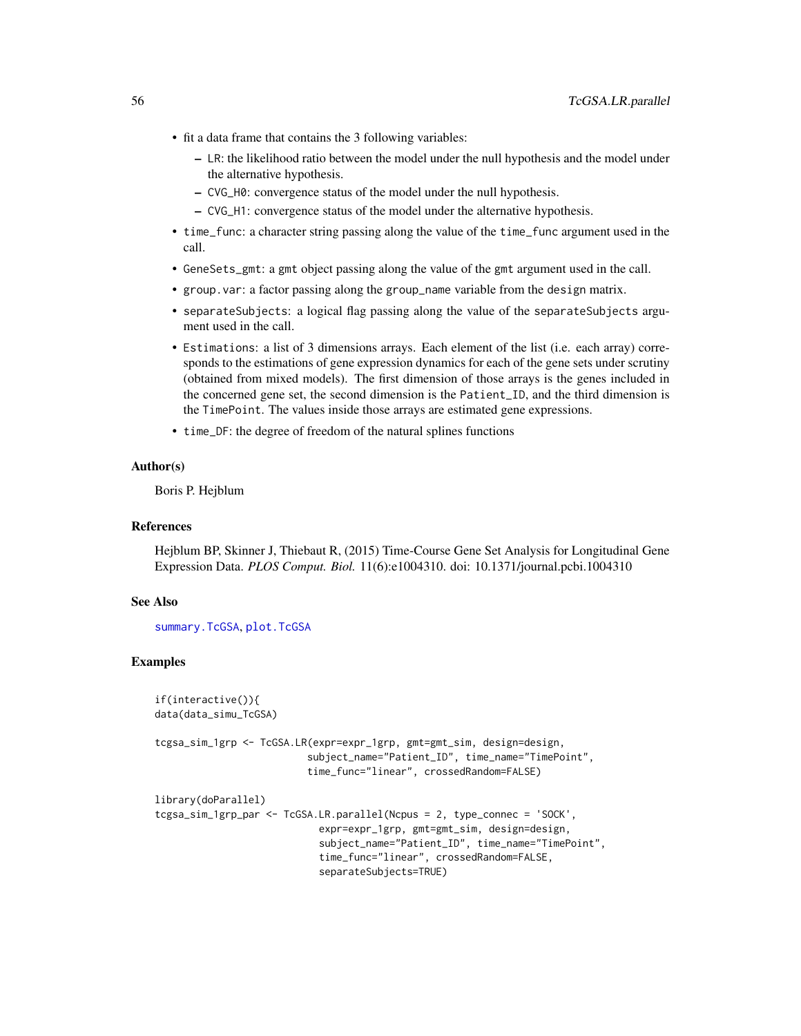- <span id="page-55-0"></span>• fit a data frame that contains the 3 following variables:
	- LR: the likelihood ratio between the model under the null hypothesis and the model under the alternative hypothesis.
	- CVG\_H0: convergence status of the model under the null hypothesis.
	- CVG\_H1: convergence status of the model under the alternative hypothesis.
- time\_func: a character string passing along the value of the time\_func argument used in the call.
- GeneSets\_gmt: a gmt object passing along the value of the gmt argument used in the call.
- group.var: a factor passing along the group\_name variable from the design matrix.
- separateSubjects: a logical flag passing along the value of the separateSubjects argument used in the call.
- Estimations: a list of 3 dimensions arrays. Each element of the list (i.e. each array) corresponds to the estimations of gene expression dynamics for each of the gene sets under scrutiny (obtained from mixed models). The first dimension of those arrays is the genes included in the concerned gene set, the second dimension is the Patient\_ID, and the third dimension is the TimePoint. The values inside those arrays are estimated gene expressions.
- time\_DF: the degree of freedom of the natural splines functions

#### Author(s)

Boris P. Hejblum

### References

Hejblum BP, Skinner J, Thiebaut R, (2015) Time-Course Gene Set Analysis for Longitudinal Gene Expression Data. *PLOS Comput. Biol.* 11(6):e1004310. doi: 10.1371/journal.pcbi.1004310

#### See Also

[summary.TcGSA](#page-48-1), [plot.TcGSA](#page-9-1)

#### Examples

```
if(interactive()){
data(data_simu_TcGSA)
tcgsa_sim_1grp <- TcGSA.LR(expr=expr_1grp, gmt=gmt_sim, design=design,
                          subject_name="Patient_ID", time_name="TimePoint",
                          time_func="linear", crossedRandom=FALSE)
library(doParallel)
tcgsa_sim_1grp_par <- TcGSA.LR.parallel(Ncpus = 2, type_connec = 'SOCK',
                            expr=expr_1grp, gmt=gmt_sim, design=design,
                            subject_name="Patient_ID", time_name="TimePoint",
                            time_func="linear", crossedRandom=FALSE,
                            separateSubjects=TRUE)
```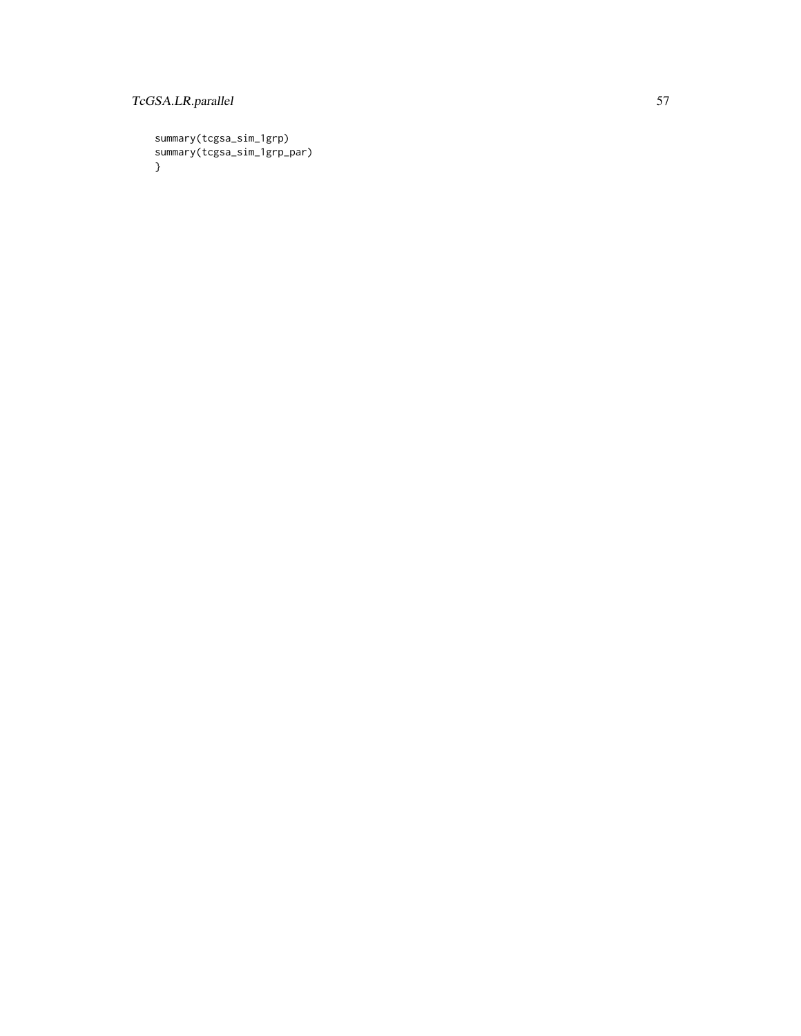### TcGSA.LR.parallel 57

summary(tcgsa\_sim\_1grp) summary(tcgsa\_sim\_1grp\_par) }